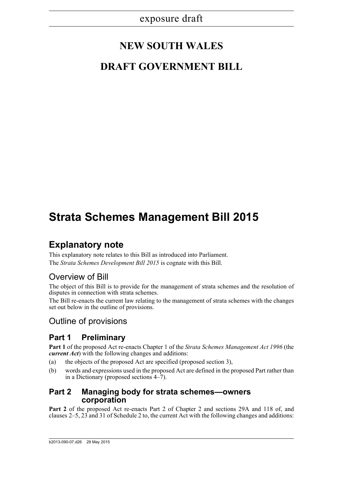# **NEW SOUTH WALES**

# **DRAFT GOVERNMENT BILL**

# **Strata Schemes Management Bill 2015**

## **Explanatory note**

This explanatory note relates to this Bill as introduced into Parliament. The *Strata Schemes Development Bill 2015* is cognate with this Bill.

## Overview of Bill

The object of this Bill is to provide for the management of strata schemes and the resolution of disputes in connection with strata schemes.

The Bill re-enacts the current law relating to the management of strata schemes with the changes set out below in the outline of provisions.

## Outline of provisions

## **Part 1 Preliminary**

**Part 1** of the proposed Act re-enacts Chapter 1 of the *Strata Schemes Management Act 1996* (the *current Act*) with the following changes and additions:

- (a) the objects of the proposed Act are specified (proposed section 3),
- (b) words and expressions used in the proposed Act are defined in the proposed Part rather than in a Dictionary (proposed sections 4–7).

### **Part 2 Managing body for strata schemes—owners corporation**

**Part 2** of the proposed Act re-enacts Part 2 of Chapter 2 and sections 29A and 118 of, and clauses 2–5, 23 and 31 of Schedule 2 to, the current Act with the following changes and additions: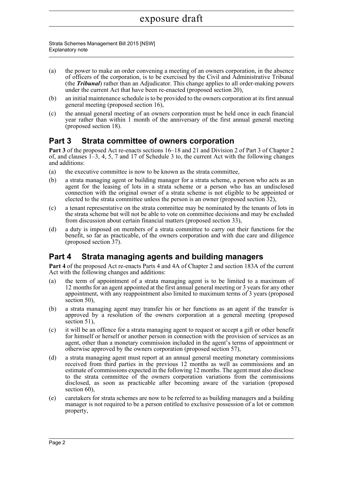Strata Schemes Management Bill 2015 [NSW] Explanatory note

- (a) the power to make an order convening a meeting of an owners corporation, in the absence of officers of the corporation, is to be exercised by the Civil and Administrative Tribunal (the *Tribunal*) rather than an Adjudicator. This change applies to all order-making powers under the current Act that have been re-enacted (proposed section 20),
- (b) an initial maintenance schedule is to be provided to the owners corporation at its first annual general meeting (proposed section 16),
- (c) the annual general meeting of an owners corporation must be held once in each financial year rather than within 1 month of the anniversary of the first annual general meeting (proposed section 18).

## **Part 3 Strata committee of owners corporation**

Part 3 of the proposed Act re-enacts sections 16–18 and 21 and Division 2 of Part 3 of Chapter 2 of, and clauses 1–3, 4, 5, 7 and 17 of Schedule 3 to, the current Act with the following changes and additions:

- (a) the executive committee is now to be known as the strata committee,
- (b) a strata managing agent or building manager for a strata scheme, a person who acts as an agent for the leasing of lots in a strata scheme or a person who has an undisclosed connection with the original owner of a strata scheme is not eligible to be appointed or elected to the strata committee unless the person is an owner (proposed section 32),
- (c) a tenant representative on the strata committee may be nominated by the tenants of lots in the strata scheme but will not be able to vote on committee decisions and may be excluded from discussion about certain financial matters (proposed section 33),
- (d) a duty is imposed on members of a strata committee to carry out their functions for the benefit, so far as practicable, of the owners corporation and with due care and diligence (proposed section 37).

## **Part 4 Strata managing agents and building managers**

**Part 4** of the proposed Act re-enacts Parts 4 and 4A of Chapter 2 and section 183A of the current Act with the following changes and additions:

- (a) the term of appointment of a strata managing agent is to be limited to a maximum of 12 months for an agent appointed at the first annual general meeting or 3 years for any other appointment, with any reappointment also limited to maximum terms of 3 years (proposed section 50).
- (b) a strata managing agent may transfer his or her functions as an agent if the transfer is approved by a resolution of the owners corporation at a general meeting (proposed section 51),
- (c) it will be an offence for a strata managing agent to request or accept a gift or other benefit for himself or herself or another person in connection with the provision of services as an agent, other than a monetary commission included in the agent's terms of appointment or otherwise approved by the owners corporation (proposed section 57),
- (d) a strata managing agent must report at an annual general meeting monetary commissions received from third parties in the previous 12 months as well as commissions and an estimate of commissions expected in the following 12 months. The agent must also disclose to the strata committee of the owners corporation variations from the commissions disclosed, as soon as practicable after becoming aware of the variation (proposed section 60).
- (e) caretakers for strata schemes are now to be referred to as building managers and a building manager is not required to be a person entitled to exclusive possession of a lot or common property,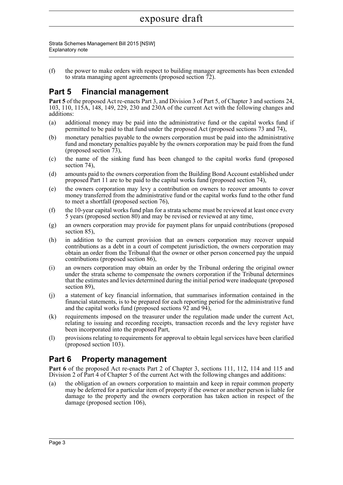Strata Schemes Management Bill 2015 [NSW] Explanatory note

(f) the power to make orders with respect to building manager agreements has been extended to strata managing agent agreements (proposed section 72).

## **Part 5 Financial management**

**Part 5** of the proposed Act re-enacts Part 3, and Division 3 of Part 5, of Chapter 3 and sections 24, 103, 110, 115A, 148, 149, 229, 230 and 230A of the current Act with the following changes and additions:

- (a) additional money may be paid into the administrative fund or the capital works fund if permitted to be paid to that fund under the proposed Act (proposed sections 73 and 74),
- (b) monetary penalties payable to the owners corporation must be paid into the administrative fund and monetary penalties payable by the owners corporation may be paid from the fund (proposed section 73),
- (c) the name of the sinking fund has been changed to the capital works fund (proposed section 74).
- (d) amounts paid to the owners corporation from the Building Bond Account established under proposed Part 11 are to be paid to the capital works fund (proposed section 74),
- (e) the owners corporation may levy a contribution on owners to recover amounts to cover money transferred from the administrative fund or the capital works fund to the other fund to meet a shortfall (proposed section 76),
- (f) the 10-year capital works fund plan for a strata scheme must be reviewed at least once every 5 years (proposed section 80) and may be revised or reviewed at any time,
- (g) an owners corporation may provide for payment plans for unpaid contributions (proposed section 85),
- (h) in addition to the current provision that an owners corporation may recover unpaid contributions as a debt in a court of competent jurisdiction, the owners corporation may obtain an order from the Tribunal that the owner or other person concerned pay the unpaid contributions (proposed section 86),
- (i) an owners corporation may obtain an order by the Tribunal ordering the original owner under the strata scheme to compensate the owners corporation if the Tribunal determines that the estimates and levies determined during the initial period were inadequate (proposed section 89),
- (j) a statement of key financial information, that summarises information contained in the financial statements, is to be prepared for each reporting period for the administrative fund and the capital works fund (proposed sections 92 and 94),
- (k) requirements imposed on the treasurer under the regulation made under the current Act, relating to issuing and recording receipts, transaction records and the levy register have been incorporated into the proposed Part,
- (l) provisions relating to requirements for approval to obtain legal services have been clarified (proposed section 103).

## **Part 6 Property management**

Part 6 of the proposed Act re-enacts Part 2 of Chapter 3, sections 111, 112, 114 and 115 and Division 2 of Part 4 of Chapter 5 of the current Act with the following changes and additions:

(a) the obligation of an owners corporation to maintain and keep in repair common property may be deferred for a particular item of property if the owner or another person is liable for damage to the property and the owners corporation has taken action in respect of the damage (proposed section 106),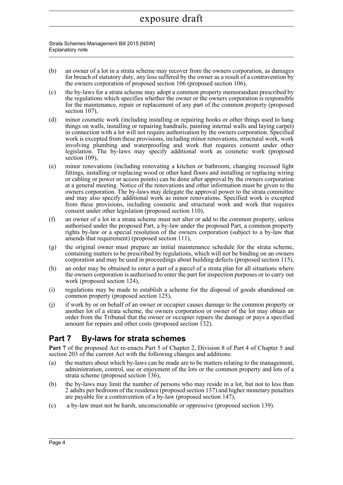Strata Schemes Management Bill 2015 [NSW] Explanatory note

- (b) an owner of a lot in a strata scheme may recover from the owners corporation, as damages for breach of statutory duty, any loss suffered by the owner as a result of a contravention by the owners corporation of proposed section 106 (proposed section 106),
- (c) the by-laws for a strata scheme may adopt a common property memorandum prescribed by the regulations which specifies whether the owner or the owners corporation is responsible for the maintenance, repair or replacement of any part of the common property (proposed section 107),
- (d) minor cosmetic work (including installing or repairing hooks or other things used to hang things on walls, installing or repairing handrails, painting internal walls and laying carpet) in connection with a lot will not require authorisation by the owners corporation. Specified work is excepted from these provisions, including minor renovations, structural work, work involving plumbing and waterproofing and work that requires consent under other legislation. The by-laws may specify additional work as cosmetic work (proposed section 109),
- (e) minor renovations (including renovating a kitchen or bathroom, changing recessed light fittings, installing or replacing wood or other hard floors and installing or replacing wiring or cabling or power or access points) can be done after approval by the owners corporation at a general meeting. Notice of the renovations and other information must be given to the owners corporation. The by-laws may delegate the approval power to the strata committee and may also specify additional work as minor renovations. Specified work is excepted from these provisions, including cosmetic and structural work and work that requires consent under other legislation (proposed section 110),
- (f) an owner of a lot in a strata scheme must not alter or add to the common property, unless authorised under the proposed Part, a by-law under the proposed Part, a common property rights by-law or a special resolution of the owners corporation (subject to a by-law that amends that requirement) (proposed section 111),
- (g) the original owner must prepare an initial maintenance schedule for the strata scheme, containing matters to be prescribed by regulations, which will not be binding on an owners corporation and may be used in proceedings about building defects (proposed section 115),
- (h) an order may be obtained to enter a part of a parcel of a strata plan for all situations where the owners corporation is authorised to enter the part for inspection purposes or to carry out work (proposed section 124),
- (i) regulations may be made to establish a scheme for the disposal of goods abandoned on common property (proposed section 125),
- (j) if work by or on behalf of an owner or occupier causes damage to the common property or another lot of a strata scheme, the owners corporation or owner of the lot may obtain an order from the Tribunal that the owner or occupier repairs the damage or pays a specified amount for repairs and other costs (proposed section 132).

## **Part 7 By-laws for strata schemes**

**Part 7** of the proposed Act re-enacts Part 5 of Chapter 2, Division 8 of Part 4 of Chapter 5 and section 203 of the current Act with the following changes and additions:

- (a) the matters about which by-laws can be made are to be matters relating to the management, administration, control, use or enjoyment of the lots or the common property and lots of a strata scheme (proposed section 136),
- (b) the by-laws may limit the number of persons who may reside in a lot, but not to less than 2 adults per bedroom of the residence (proposed section 137) and higher monetary penalties are payable for a contravention of a by-law (proposed section 147),
- (c) a by-law must not be harsh, unconscionable or oppressive (proposed section 139).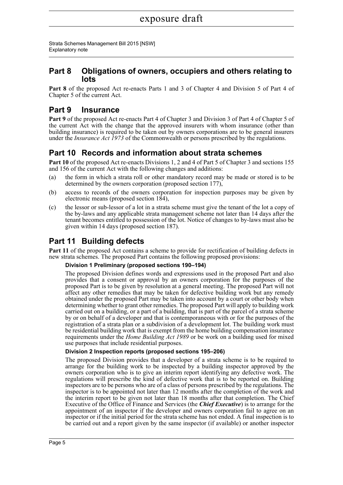Strata Schemes Management Bill 2015 [NSW] Explanatory note

### **Part 8 Obligations of owners, occupiers and others relating to lots**

**Part 8** of the proposed Act re-enacts Parts 1 and 3 of Chapter 4 and Division 5 of Part 4 of Chapter 5 of the current Act.

## **Part 9 Insurance**

**Part 9** of the proposed Act re-enacts Part 4 of Chapter 3 and Division 3 of Part 4 of Chapter 5 of the current Act with the change that the approved insurers with whom insurance (other than building insurance) is required to be taken out by owners corporations are to be general insurers under the *Insurance Act 1973* of the Commonwealth or persons prescribed by the regulations.

## **Part 10 Records and information about strata schemes**

**Part 10** of the proposed Act re-enacts Divisions 1, 2 and 4 of Part 5 of Chapter 3 and sections 155 and 156 of the current Act with the following changes and additions:

- (a) the form in which a strata roll or other mandatory record may be made or stored is to be determined by the owners corporation (proposed section 177),
- (b) access to records of the owners corporation for inspection purposes may be given by electronic means (proposed section 184),
- (c) the lessor or sub-lessor of a lot in a strata scheme must give the tenant of the lot a copy of the by-laws and any applicable strata management scheme not later than 14 days after the tenant becomes entitled to possession of the lot. Notice of changes to by-laws must also be given within 14 days (proposed section 187).

## **Part 11 Building defects**

**Part 11** of the proposed Act contains a scheme to provide for rectification of building defects in new strata schemes. The proposed Part contains the following proposed provisions:

#### **Division 1 Preliminary (proposed sections 190–194)**

The proposed Division defines words and expressions used in the proposed Part and also provides that a consent or approval by an owners corporation for the purposes of the proposed Part is to be given by resolution at a general meeting. The proposed Part will not affect any other remedies that may be taken for defective building work but any remedy obtained under the proposed Part may be taken into account by a court or other body when determining whether to grant other remedies. The proposed Part will apply to building work carried out on a building, or a part of a building, that is part of the parcel of a strata scheme by or on behalf of a developer and that is contemporaneous with or for the purposes of the registration of a strata plan or a subdivision of a development lot. The building work must be residential building work that is exempt from the home building compensation insurance requirements under the *Home Building Act 1989* or be work on a building used for mixed use purposes that include residential purposes.

#### **Division 2 Inspection reports (proposed sections 195–206)**

The proposed Division provides that a developer of a strata scheme is to be required to arrange for the building work to be inspected by a building inspector approved by the owners corporation who is to give an interim report identifying any defective work. The regulations will prescribe the kind of defective work that is to be reported on. Building inspectors are to be persons who are of a class of persons prescribed by the regulations. The inspector is to be appointed not later than 12 months after the completion of the work and the interim report to be given not later than 18 months after that completion. The Chief Executive of the Office of Finance and Services (the *Chief Executive*) is to arrange for the appointment of an inspector if the developer and owners corporation fail to agree on an inspector or if the initial period for the strata scheme has not ended. A final inspection is to be carried out and a report given by the same inspector (if available) or another inspector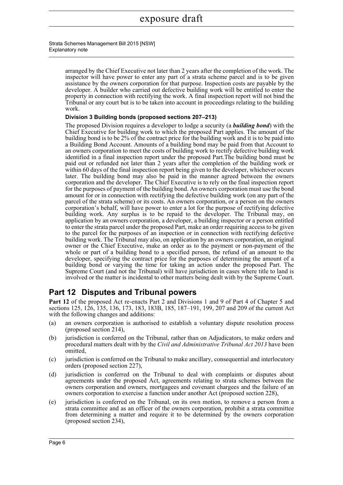#### Strata Schemes Management Bill 2015 [NSW] Explanatory note

arranged by the Chief Executive not later than 2 years after the completion of the work. The inspector will have power to enter any part of a strata scheme parcel and is to be given assistance by the owners corporation for that purpose. Inspection costs are payable by the developer. A builder who carried out defective building work will be entitled to enter the property in connection with rectifying the work. A final inspection report will not bind the Tribunal or any court but is to be taken into account in proceedings relating to the building work.

#### **Division 3 Building bonds (proposed sections 207–213)**

The proposed Division requires a developer to lodge a security (a *building bond*) with the Chief Executive for building work to which the proposed Part applies. The amount of the building bond is to be 2% of the contract price for the building work and it is to be paid into a Building Bond Account. Amounts of a building bond may be paid from that Account to an owners corporation to meet the costs of building work to rectify defective building work identified in a final inspection report under the proposed Part.The building bond must be paid out or refunded not later than 2 years after the completion of the building work or within 60 days of the final inspection report being given to the developer, whichever occurs later. The building bond may also be paid in the manner agreed between the owners corporation and the developer. The Chief Executive is to rely on the final inspection report for the purposes of payment of the building bond. An owners corporation must use the bond amount for or in connection with rectifying the defective building work (on any part of the parcel of the strata scheme) or its costs. An owners corporation, or a person on the owners corporation's behalf, will have power to enter a lot for the purpose of rectifying defective building work. Any surplus is to be repaid to the developer. The Tribunal may, on application by an owners corporation, a developer, a building inspector or a person entitled to enter the strata parcel under the proposed Part, make an order requiring access to be given to the parcel for the purposes of an inspection or in connection with rectifying defective building work. The Tribunal may also, on application by an owners corporation, an original owner or the Chief Executive, make an order as to the payment or non-payment of the whole or part of a building bond to a specified person, the refund of an amount to the developer, specifying the contract price for the purposes of determining the amount of a building bond or varying the time for taking an action under the proposed Part. The Supreme Court (and not the Tribunal) will have jurisdiction in cases where title to land is involved or the matter is incidental to other matters being dealt with by the Supreme Court.

## **Part 12 Disputes and Tribunal powers**

**Part 12** of the proposed Act re-enacts Part 2 and Divisions 1 and 9 of Part 4 of Chapter 5 and sections 125, 126, 135, 136, 173, 183, 183B, 185, 187–191, 199, 207 and 209 of the current Act with the following changes and additions:

- (a) an owners corporation is authorised to establish a voluntary dispute resolution process (proposed section 214),
- (b) jurisdiction is conferred on the Tribunal, rather than on Adjudicators, to make orders and procedural matters dealt with by the *Civil and Administrative Tribunal Act 2013* have been omitted,
- (c) jurisdiction is conferred on the Tribunal to make ancillary, consequential and interlocutory orders (proposed section 227),
- (d) jurisdiction is conferred on the Tribunal to deal with complaints or disputes about agreements under the proposed Act, agreements relating to strata schemes between the owners corporation and owners, mortgagees and covenant chargees and the failure of an owners corporation to exercise a function under another Act (proposed section 228),
- (e) jurisdiction is conferred on the Tribunal, on its own motion, to remove a person from a strata committee and as an officer of the owners corporation, prohibit a strata committee from determining a matter and require it to be determined by the owners corporation (proposed section 234),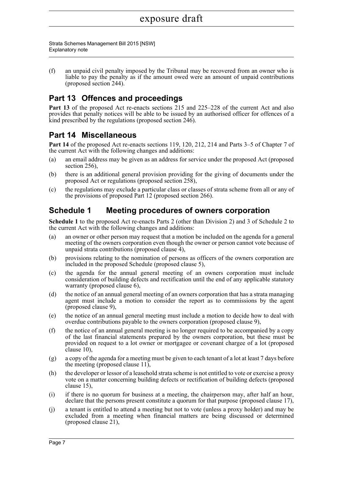Strata Schemes Management Bill 2015 [NSW] Explanatory note

(f) an unpaid civil penalty imposed by the Tribunal may be recovered from an owner who is liable to pay the penalty as if the amount owed were an amount of unpaid contributions (proposed section 244).

## **Part 13 Offences and proceedings**

Part 13 of the proposed Act re-enacts sections 215 and 225–228 of the current Act and also provides that penalty notices will be able to be issued by an authorised officer for offences of a kind prescribed by the regulations (proposed section 246).

### **Part 14 Miscellaneous**

**Part 14** of the proposed Act re-enacts sections 119, 120, 212, 214 and Parts 3–5 of Chapter 7 of the current Act with the following changes and additions:

- (a) an email address may be given as an address for service under the proposed Act (proposed section 256),
- (b) there is an additional general provision providing for the giving of documents under the proposed Act or regulations (proposed section 258),
- (c) the regulations may exclude a particular class or classes of strata scheme from all or any of the provisions of proposed Part 12 (proposed section 266).

### **Schedule 1 Meeting procedures of owners corporation**

**Schedule 1** to the proposed Act re-enacts Parts 2 (other than Division 2) and 3 of Schedule 2 to the current Act with the following changes and additions:

- (a) an owner or other person may request that a motion be included on the agenda for a general meeting of the owners corporation even though the owner or person cannot vote because of unpaid strata contributions (proposed clause  $\overline{4}$ ),
- (b) provisions relating to the nomination of persons as officers of the owners corporation are included in the proposed Schedule (proposed clause 5),
- (c) the agenda for the annual general meeting of an owners corporation must include consideration of building defects and rectification until the end of any applicable statutory warranty (proposed clause 6),
- (d) the notice of an annual general meeting of an owners corporation that has a strata managing agent must include a motion to consider the report as to commissions by the agent (proposed clause 9),
- (e) the notice of an annual general meeting must include a motion to decide how to deal with overdue contributions payable to the owners corporation (proposed clause 9),
- (f) the notice of an annual general meeting is no longer required to be accompanied by a copy of the last financial statements prepared by the owners corporation, but these must be provided on request to a lot owner or mortgagee or covenant chargee of a lot (proposed clause 10),
- (g) a copy of the agenda for a meeting must be given to each tenant of a lot at least 7 days before the meeting (proposed clause 11),
- (h) the developer or lessor of a leasehold strata scheme is not entitled to vote or exercise a proxy vote on a matter concerning building defects or rectification of building defects (proposed clause 15),
- (i) if there is no quorum for business at a meeting, the chairperson may, after half an hour, declare that the persons present constitute a quorum for that purpose (proposed clause 17),
- (j) a tenant is entitled to attend a meeting but not to vote (unless a proxy holder) and may be excluded from a meeting when financial matters are being discussed or determined (proposed clause 21),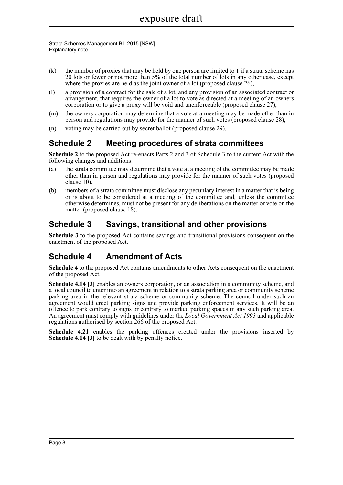Strata Schemes Management Bill 2015 [NSW] Explanatory note

- $(k)$  the number of proxies that may be held by one person are limited to 1 if a strata scheme has 20 lots or fewer or not more than 5% of the total number of lots in any other case, except where the proxies are held as the joint owner of a lot (proposed clause 26),
- (l) a provision of a contract for the sale of a lot, and any provision of an associated contract or arrangement, that requires the owner of a lot to vote as directed at a meeting of an owners corporation or to give a proxy will be void and unenforceable (proposed clause 27),
- (m) the owners corporation may determine that a vote at a meeting may be made other than in person and regulations may provide for the manner of such votes (proposed clause 28),
- (n) voting may be carried out by secret ballot (proposed clause 29).

### **Schedule 2 Meeting procedures of strata committees**

**Schedule 2** to the proposed Act re-enacts Parts 2 and 3 of Schedule 3 to the current Act with the following changes and additions:

- (a) the strata committee may determine that a vote at a meeting of the committee may be made other than in person and regulations may provide for the manner of such votes (proposed clause 10),
- (b) members of a strata committee must disclose any pecuniary interest in a matter that is being or is about to be considered at a meeting of the committee and, unless the committee otherwise determines, must not be present for any deliberations on the matter or vote on the matter (proposed clause 18).

### **Schedule 3 Savings, transitional and other provisions**

**Schedule 3** to the proposed Act contains savings and transitional provisions consequent on the enactment of the proposed Act.

## **Schedule 4 Amendment of Acts**

**Schedule 4** to the proposed Act contains amendments to other Acts consequent on the enactment of the proposed Act.

**Schedule 4.14 [3]** enables an owners corporation, or an association in a community scheme, and a local council to enter into an agreement in relation to a strata parking area or community scheme parking area in the relevant strata scheme or community scheme. The council under such an agreement would erect parking signs and provide parking enforcement services. It will be an offence to park contrary to signs or contrary to marked parking spaces in any such parking area. An agreement must comply with guidelines under the *Local Government Act 1993* and applicable regulations authorised by section 266 of the proposed Act.

**Schedule 4.21** enables the parking offences created under the provisions inserted by **Schedule 4.14 [3]** to be dealt with by penalty notice.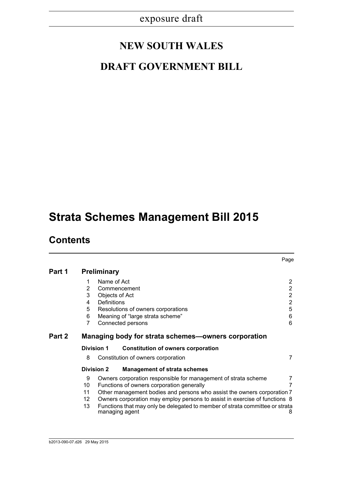# **NEW SOUTH WALES**

## **DRAFT GOVERNMENT BILL**

# **Strata Schemes Management Bill 2015**

## **Contents**

|        |    |                    |                                                                                                | Page           |
|--------|----|--------------------|------------------------------------------------------------------------------------------------|----------------|
| Part 1 |    | <b>Preliminary</b> |                                                                                                |                |
|        | 1  | Name of Act        |                                                                                                | $\overline{2}$ |
|        | 2  |                    | Commencement                                                                                   | $\overline{2}$ |
|        | 3  |                    | Objects of Act                                                                                 | $\overline{2}$ |
|        | 4  | Definitions        |                                                                                                | $\overline{2}$ |
|        | 5  |                    | Resolutions of owners corporations                                                             | 5              |
|        | 6  |                    | Meaning of "large strata scheme"                                                               | 6              |
|        | 7  |                    | Connected persons                                                                              | 6              |
| Part 2 |    |                    | Managing body for strata schemes—owners corporation                                            |                |
|        |    | <b>Division 1</b>  | <b>Constitution of owners corporation</b>                                                      |                |
|        | 8  |                    | Constitution of owners corporation                                                             | 7              |
|        |    | <b>Division 2</b>  | <b>Management of strata schemes</b>                                                            |                |
|        | 9  |                    | Owners corporation responsible for management of strata scheme                                 | 7              |
|        | 10 |                    | Functions of owners corporation generally                                                      | 7              |
|        | 11 |                    | Other management bodies and persons who assist the owners corporation 7                        |                |
|        | 12 |                    | Owners corporation may employ persons to assist in exercise of functions 8                     |                |
|        | 13 |                    | Functions that may only be delegated to member of strata committee or strata<br>managing agent | 8              |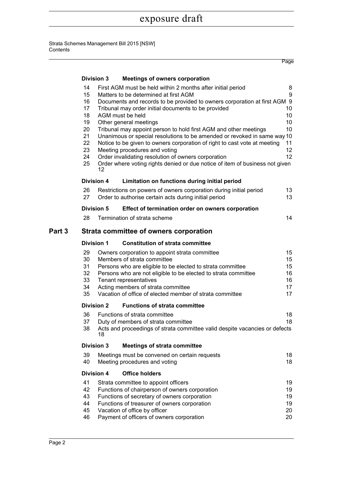|        |                                                                      |                   |                                                                                                                                                                                                                                                                                                                                                                                                                                                                                                                                                                                                                                                                                             | Page                                                             |  |  |  |
|--------|----------------------------------------------------------------------|-------------------|---------------------------------------------------------------------------------------------------------------------------------------------------------------------------------------------------------------------------------------------------------------------------------------------------------------------------------------------------------------------------------------------------------------------------------------------------------------------------------------------------------------------------------------------------------------------------------------------------------------------------------------------------------------------------------------------|------------------------------------------------------------------|--|--|--|
|        |                                                                      | <b>Division 3</b> | <b>Meetings of owners corporation</b>                                                                                                                                                                                                                                                                                                                                                                                                                                                                                                                                                                                                                                                       |                                                                  |  |  |  |
|        | 14<br>15<br>16<br>17<br>18<br>19<br>20<br>21<br>22<br>23<br>24<br>25 | 12                | First AGM must be held within 2 months after initial period<br>Matters to be determined at first AGM<br>Documents and records to be provided to owners corporation at first AGM 9<br>Tribunal may order initial documents to be provided<br>AGM must be held<br>Other general meetings<br>Tribunal may appoint person to hold first AGM and other meetings<br>Unanimous or special resolutions to be amended or revoked in same way 10<br>Notice to be given to owners corporation of right to cast vote at meeting<br>Meeting procedures and voting<br>Order invalidating resolution of owners corporation<br>Order where voting rights denied or due notice of item of business not given | 8<br>9<br>10<br>10<br>10<br>10<br>11<br>12<br>12                 |  |  |  |
|        |                                                                      | <b>Division 4</b> | Limitation on functions during initial period                                                                                                                                                                                                                                                                                                                                                                                                                                                                                                                                                                                                                                               |                                                                  |  |  |  |
|        | 26<br>27                                                             |                   | Restrictions on powers of owners corporation during initial period<br>Order to authorise certain acts during initial period                                                                                                                                                                                                                                                                                                                                                                                                                                                                                                                                                                 | 13<br>13 <sup>°</sup>                                            |  |  |  |
|        |                                                                      | <b>Division 5</b> | Effect of termination order on owners corporation                                                                                                                                                                                                                                                                                                                                                                                                                                                                                                                                                                                                                                           |                                                                  |  |  |  |
|        | 28                                                                   |                   | Termination of strata scheme                                                                                                                                                                                                                                                                                                                                                                                                                                                                                                                                                                                                                                                                | 14                                                               |  |  |  |
| Part 3 | Strata committee of owners corporation                               |                   |                                                                                                                                                                                                                                                                                                                                                                                                                                                                                                                                                                                                                                                                                             |                                                                  |  |  |  |
|        |                                                                      | <b>Division 1</b> | <b>Constitution of strata committee</b>                                                                                                                                                                                                                                                                                                                                                                                                                                                                                                                                                                                                                                                     |                                                                  |  |  |  |
|        | 29<br>30<br>31<br>32<br>33<br>34<br>35                               |                   | Owners corporation to appoint strata committee<br>Members of strata committee<br>Persons who are eligible to be elected to strata committee<br>Persons who are not eligible to be elected to strata committee<br>Tenant representatives<br>Acting members of strata committee<br>Vacation of office of elected member of strata committee                                                                                                                                                                                                                                                                                                                                                   | 15 <sub>1</sub><br>15 <sub>1</sub><br>15<br>16<br>16<br>17<br>17 |  |  |  |
|        |                                                                      | <b>Division 2</b> | <b>Functions of strata committee</b>                                                                                                                                                                                                                                                                                                                                                                                                                                                                                                                                                                                                                                                        |                                                                  |  |  |  |
|        | 36<br>37<br>38                                                       | 18                | Functions of strata committee<br>Duty of members of strata committee<br>Acts and proceedings of strata committee valid despite vacancies or defects                                                                                                                                                                                                                                                                                                                                                                                                                                                                                                                                         | 18<br>18                                                         |  |  |  |
|        |                                                                      | <b>Division 3</b> | <b>Meetings of strata committee</b>                                                                                                                                                                                                                                                                                                                                                                                                                                                                                                                                                                                                                                                         |                                                                  |  |  |  |
|        | 39<br>40                                                             |                   | Meetings must be convened on certain requests<br>Meeting procedures and voting                                                                                                                                                                                                                                                                                                                                                                                                                                                                                                                                                                                                              | 18<br>18                                                         |  |  |  |
|        |                                                                      | <b>Division 4</b> | <b>Office holders</b>                                                                                                                                                                                                                                                                                                                                                                                                                                                                                                                                                                                                                                                                       |                                                                  |  |  |  |
|        | 41<br>42<br>43<br>44<br>45<br>46                                     |                   | Strata committee to appoint officers<br>Functions of chairperson of owners corporation<br>Functions of secretary of owners corporation<br>Functions of treasurer of owners corporation<br>Vacation of office by officer<br>Payment of officers of owners corporation                                                                                                                                                                                                                                                                                                                                                                                                                        | 19<br>19<br>19<br>19<br>20<br>20                                 |  |  |  |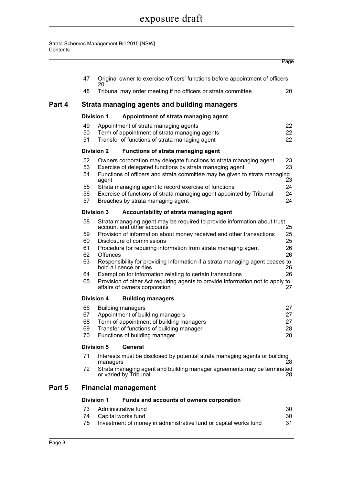#### Strata Schemes Management Bill 2015 [NSW] Contents

|        |                                               |                   |                                                                                                                                                                                                                                                                                                                                                                                    | Page                             |  |  |  |  |
|--------|-----------------------------------------------|-------------------|------------------------------------------------------------------------------------------------------------------------------------------------------------------------------------------------------------------------------------------------------------------------------------------------------------------------------------------------------------------------------------|----------------------------------|--|--|--|--|
|        | 47                                            | 20                | Original owner to exercise officers' functions before appointment of officers                                                                                                                                                                                                                                                                                                      |                                  |  |  |  |  |
|        | 48                                            |                   | Tribunal may order meeting if no officers or strata committee                                                                                                                                                                                                                                                                                                                      | 20                               |  |  |  |  |
| Part 4 |                                               |                   | Strata managing agents and building managers                                                                                                                                                                                                                                                                                                                                       |                                  |  |  |  |  |
|        |                                               | <b>Division 1</b> | Appointment of strata managing agent                                                                                                                                                                                                                                                                                                                                               |                                  |  |  |  |  |
|        | 49<br>50<br>51                                |                   | Appointment of strata managing agents<br>Term of appointment of strata managing agents<br>Transfer of functions of strata managing agent                                                                                                                                                                                                                                           | 22<br>22<br>22                   |  |  |  |  |
|        |                                               | <b>Division 2</b> | <b>Functions of strata managing agent</b>                                                                                                                                                                                                                                                                                                                                          |                                  |  |  |  |  |
|        | 52<br>53<br>54<br>55<br>56<br>57              | agent             | Owners corporation may delegate functions to strata managing agent<br>Exercise of delegated functions by strata managing agent<br>Functions of officers and strata committee may be given to strata managing<br>Strata managing agent to record exercise of functions<br>Exercise of functions of strata managing agent appointed by Tribunal<br>Breaches by strata managing agent | 23<br>23<br>23<br>24<br>24<br>24 |  |  |  |  |
|        |                                               | <b>Division 3</b> | Accountability of strata managing agent                                                                                                                                                                                                                                                                                                                                            |                                  |  |  |  |  |
|        | 58                                            |                   | Strata managing agent may be required to provide information about trust                                                                                                                                                                                                                                                                                                           |                                  |  |  |  |  |
|        | 59<br>60<br>61<br>62<br>63                    | <b>Offences</b>   | account and other accounts<br>Provision of information about money received and other transactions<br>Disclosure of commissions<br>Procedure for requiring information from strata managing agent<br>Responsibility for providing information if a strata managing agent ceases to                                                                                                 | 25<br>25<br>25<br>26<br>26       |  |  |  |  |
|        | 64<br>65                                      |                   | hold a licence or dies<br>Exemption for information relating to certain transactions<br>Provision of other Act requiring agents to provide information not to apply to<br>affairs of owners corporation                                                                                                                                                                            | 26<br>26<br>27                   |  |  |  |  |
|        | <b>Division 4</b><br><b>Building managers</b> |                   |                                                                                                                                                                                                                                                                                                                                                                                    |                                  |  |  |  |  |
|        | 66<br>67<br>68<br>69<br>70                    |                   | <b>Building managers</b><br>Appointment of building managers<br>Term of appointment of building managers<br>Transfer of functions of building manager<br>Functions of building manager                                                                                                                                                                                             | 27<br>27<br>27<br>28<br>28       |  |  |  |  |
|        |                                               | <b>Division 5</b> | General                                                                                                                                                                                                                                                                                                                                                                            |                                  |  |  |  |  |
|        | 71                                            | managers          | Interests must be disclosed by potential strata managing agents or building                                                                                                                                                                                                                                                                                                        | 28                               |  |  |  |  |
|        | 72                                            |                   | Strata managing agent and building manager agreements may be terminated<br>or varied by Tribunal                                                                                                                                                                                                                                                                                   | 28                               |  |  |  |  |
| Part 5 |                                               |                   | <b>Financial management</b>                                                                                                                                                                                                                                                                                                                                                        |                                  |  |  |  |  |
|        |                                               | <b>Division 1</b> | Funds and accounts of owners corporation                                                                                                                                                                                                                                                                                                                                           |                                  |  |  |  |  |
|        | 73<br>74                                      |                   | Administrative fund<br>Capital works fund                                                                                                                                                                                                                                                                                                                                          | 30<br>30                         |  |  |  |  |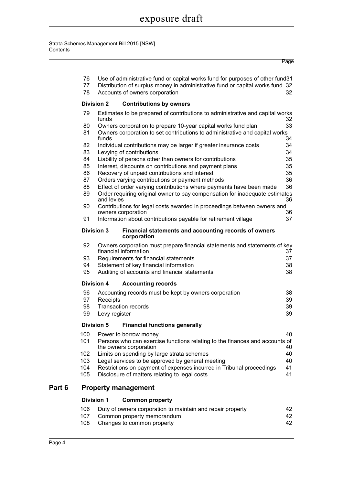#### Strata Schemes Management Bill 2015 [NSW] **Contents**

|        |          |                                                                                                                 | Page |
|--------|----------|-----------------------------------------------------------------------------------------------------------------|------|
|        | 76<br>77 | Use of administrative fund or capital works fund for purposes of other fund31                                   |      |
|        | 78       | Distribution of surplus money in administrative fund or capital works fund 32<br>Accounts of owners corporation | 32   |
|        |          |                                                                                                                 |      |
|        |          | <b>Division 2</b><br><b>Contributions by owners</b>                                                             |      |
|        | 79       | Estimates to be prepared of contributions to administrative and capital works<br>funds                          | 32   |
|        | 80       | Owners corporation to prepare 10-year capital works fund plan                                                   | 33   |
|        | 81       | Owners corporation to set contributions to administrative and capital works<br>funds                            | 34   |
|        | 82       | Individual contributions may be larger if greater insurance costs                                               | 34   |
|        | 83       | Levying of contributions                                                                                        | 34   |
|        | 84       | Liability of persons other than owners for contributions                                                        | 35   |
|        | 85       | Interest, discounts on contributions and payment plans                                                          | 35   |
|        | 86       | Recovery of unpaid contributions and interest                                                                   | 35   |
|        | 87       | Orders varying contributions or payment methods                                                                 | 36   |
|        | 88       | Effect of order varying contributions where payments have been made                                             | 36   |
|        | 89       | Order requiring original owner to pay compensation for inadequate estimates<br>and levies                       | 36   |
|        | 90       | Contributions for legal costs awarded in proceedings between owners and<br>owners corporation                   | 36   |
|        | 91       | Information about contributions payable for retirement village                                                  | 37   |
|        |          | <b>Division 3</b><br>Financial statements and accounting records of owners<br>corporation                       |      |
|        | 92       | Owners corporation must prepare financial statements and statements of key<br>financial information             | 37   |
|        | 93       | Requirements for financial statements                                                                           | 37   |
|        | 94       | Statement of key financial information                                                                          | 38   |
|        | 95       | Auditing of accounts and financial statements                                                                   | 38   |
|        |          | <b>Division 4</b><br><b>Accounting records</b>                                                                  |      |
|        | 96       | Accounting records must be kept by owners corporation                                                           | 38   |
|        | 97       | Receipts                                                                                                        | 39   |
|        | 98       | <b>Transaction records</b>                                                                                      | 39   |
|        | 99       | Levy register                                                                                                   | 39   |
|        |          | <b>Division 5</b><br><b>Financial functions generally</b>                                                       |      |
|        | 100      | Power to borrow money                                                                                           | 40   |
|        | 101      | Persons who can exercise functions relating to the finances and accounts of<br>the owners corporation           | 40   |
|        | 102      | Limits on spending by large strata schemes                                                                      | 40   |
|        | 103      | Legal services to be approved by general meeting                                                                | 40   |
|        | 104      | Restrictions on payment of expenses incurred in Tribunal proceedings                                            | 41   |
|        | 105      | Disclosure of matters relating to legal costs                                                                   | 41   |
| Part 6 |          | <b>Property management</b>                                                                                      |      |
|        |          | <b>Division 1</b><br><b>Common property</b>                                                                     |      |
|        | 106      | Duty of owners corporation to maintain and repair property                                                      | 42   |
|        | 107      | Common property memorandum                                                                                      | 42   |

108 Changes to common property and the settlement of the 42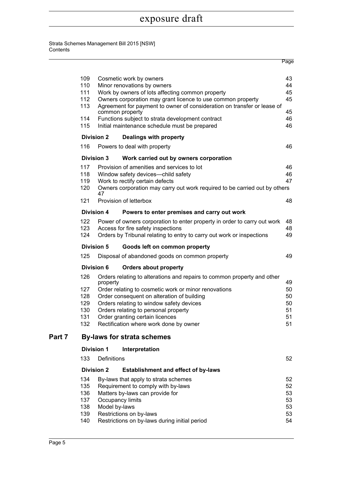|        |            |                   |                                                                                                                 | Page     |
|--------|------------|-------------------|-----------------------------------------------------------------------------------------------------------------|----------|
|        |            |                   |                                                                                                                 |          |
|        | 109        |                   | Cosmetic work by owners                                                                                         | 43       |
|        | 110<br>111 |                   | Minor renovations by owners                                                                                     | 44<br>45 |
|        | 112        |                   | Work by owners of lots affecting common property<br>Owners corporation may grant licence to use common property | 45       |
|        | 113        |                   | Agreement for payment to owner of consideration on transfer or lease of                                         |          |
|        |            |                   | common property                                                                                                 | 45       |
|        | 114        |                   | Functions subject to strata development contract                                                                | 46       |
|        | 115        |                   | Initial maintenance schedule must be prepared                                                                   | 46       |
|        |            | <b>Division 2</b> | Dealings with property                                                                                          |          |
|        | 116        |                   | Powers to deal with property                                                                                    | 46       |
|        |            | <b>Division 3</b> | Work carried out by owners corporation                                                                          |          |
|        | 117        |                   | Provision of amenities and services to lot                                                                      | 46       |
|        | 118        |                   | Window safety devices-child safety                                                                              | 46       |
|        | 119        |                   | Work to rectify certain defects                                                                                 | 47       |
|        | 120        | 47                | Owners corporation may carry out work required to be carried out by others                                      |          |
|        | 121        |                   | Provision of letterbox                                                                                          | 48       |
|        |            | <b>Division 4</b> | Powers to enter premises and carry out work                                                                     |          |
|        | 122        |                   | Power of owners corporation to enter property in order to carry out work                                        | 48       |
|        | 123        |                   | Access for fire safety inspections                                                                              | 48       |
|        | 124        |                   | Orders by Tribunal relating to entry to carry out work or inspections                                           | 49       |
|        |            | <b>Division 5</b> | Goods left on common property                                                                                   |          |
|        | 125        |                   | Disposal of abandoned goods on common property                                                                  | 49       |
|        |            | <b>Division 6</b> | <b>Orders about property</b>                                                                                    |          |
|        | 126        | property          | Orders relating to alterations and repairs to common property and other                                         | 49       |
|        | 127        |                   | Order relating to cosmetic work or minor renovations                                                            | 50       |
|        | 128        |                   | Order consequent on alteration of building                                                                      | 50       |
|        | 129        |                   | Orders relating to window safety devices                                                                        | 50       |
|        | 130        |                   | Orders relating to personal property                                                                            | 51       |
|        | 131        |                   | Order granting certain licences                                                                                 | 51       |
|        | 132        |                   | Rectification where work done by owner                                                                          | 51       |
| Part 7 |            |                   | <b>By-laws for strata schemes</b>                                                                               |          |
|        |            | <b>Division 1</b> | Interpretation                                                                                                  |          |
|        | 133        | Definitions       |                                                                                                                 | 52       |
|        |            | <b>Division 2</b> | <b>Establishment and effect of by-laws</b>                                                                      |          |
|        | 134        |                   | By-laws that apply to strata schemes                                                                            | 52       |
|        | 135        |                   | Requirement to comply with by-laws                                                                              | 52       |
|        | 136        |                   | Matters by-laws can provide for                                                                                 | 53       |
|        | 137        |                   | Occupancy limits                                                                                                | 53       |
|        | 138        | Model by-laws     |                                                                                                                 | 53       |
|        | 139        |                   | Restrictions on by-laws                                                                                         | 53       |
|        | 140        |                   | Restrictions on by-laws during initial period                                                                   | 54       |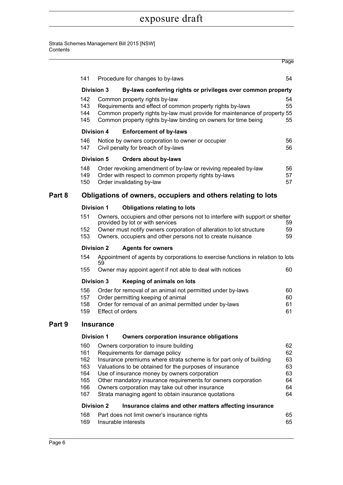|        |                                                                                   |                   |                                                                                                                                                                                                                                                                                                                                                                                                                                                                                                 | Page                                         |  |  |  |
|--------|-----------------------------------------------------------------------------------|-------------------|-------------------------------------------------------------------------------------------------------------------------------------------------------------------------------------------------------------------------------------------------------------------------------------------------------------------------------------------------------------------------------------------------------------------------------------------------------------------------------------------------|----------------------------------------------|--|--|--|
|        | 141                                                                               |                   | Procedure for changes to by-laws                                                                                                                                                                                                                                                                                                                                                                                                                                                                | 54                                           |  |  |  |
|        | <b>Division 3</b><br>By-laws conferring rights or privileges over common property |                   |                                                                                                                                                                                                                                                                                                                                                                                                                                                                                                 |                                              |  |  |  |
|        | 142<br>143<br>144<br>145                                                          |                   | Common property rights by-law<br>Requirements and effect of common property rights by-laws<br>Common property rights by-law must provide for maintenance of property 55<br>Common property rights by-law binding on owners for time being                                                                                                                                                                                                                                                       | 54<br>55<br>55                               |  |  |  |
|        |                                                                                   | <b>Division 4</b> | <b>Enforcement of by-laws</b>                                                                                                                                                                                                                                                                                                                                                                                                                                                                   |                                              |  |  |  |
|        | 146<br>147                                                                        |                   | Notice by owners corporation to owner or occupier<br>Civil penalty for breach of by-laws                                                                                                                                                                                                                                                                                                                                                                                                        | 56<br>56                                     |  |  |  |
|        |                                                                                   | <b>Division 5</b> | <b>Orders about by-laws</b>                                                                                                                                                                                                                                                                                                                                                                                                                                                                     |                                              |  |  |  |
|        | 148<br>149<br>150                                                                 |                   | Order revoking amendment of by-law or reviving repealed by-law<br>Order with respect to common property rights by-laws<br>Order invalidating by-law                                                                                                                                                                                                                                                                                                                                             | 56<br>57<br>57                               |  |  |  |
| Part 8 |                                                                                   |                   | Obligations of owners, occupiers and others relating to lots                                                                                                                                                                                                                                                                                                                                                                                                                                    |                                              |  |  |  |
|        |                                                                                   | <b>Division 1</b> | <b>Obligations relating to lots</b>                                                                                                                                                                                                                                                                                                                                                                                                                                                             |                                              |  |  |  |
|        | 151                                                                               |                   | Owners, occupiers and other persons not to interfere with support or shelter<br>provided by lot or with services                                                                                                                                                                                                                                                                                                                                                                                | 59                                           |  |  |  |
|        | 152<br>153                                                                        |                   | Owner must notify owners corporation of alteration to lot structure<br>Owners, occupiers and other persons not to create nuisance                                                                                                                                                                                                                                                                                                                                                               | 59<br>59                                     |  |  |  |
|        | <b>Division 2</b>                                                                 |                   | <b>Agents for owners</b>                                                                                                                                                                                                                                                                                                                                                                                                                                                                        |                                              |  |  |  |
|        | 154                                                                               | 59                | Appointment of agents by corporations to exercise functions in relation to lots                                                                                                                                                                                                                                                                                                                                                                                                                 |                                              |  |  |  |
|        | 155                                                                               |                   | Owner may appoint agent if not able to deal with notices                                                                                                                                                                                                                                                                                                                                                                                                                                        | 60                                           |  |  |  |
|        |                                                                                   | <b>Division 3</b> | Keeping of animals on lots                                                                                                                                                                                                                                                                                                                                                                                                                                                                      |                                              |  |  |  |
|        | 156<br>157<br>158<br>159                                                          |                   | Order for removal of an animal not permitted under by-laws<br>Order permitting keeping of animal<br>Order for removal of an animal permitted under by-laws<br><b>Effect of orders</b>                                                                                                                                                                                                                                                                                                           | 60<br>60<br>61<br>61                         |  |  |  |
| Part 9 | <b>Insurance</b>                                                                  |                   |                                                                                                                                                                                                                                                                                                                                                                                                                                                                                                 |                                              |  |  |  |
|        |                                                                                   | <b>Division 1</b> | <b>Owners corporation insurance obligations</b>                                                                                                                                                                                                                                                                                                                                                                                                                                                 |                                              |  |  |  |
|        | 160<br>161<br>162<br>163<br>164<br>165<br>166<br>167                              | <b>Division 2</b> | Owners corporation to insure building<br>Requirements for damage policy<br>Insurance premiums where strata scheme is for part only of building<br>Valuations to be obtained for the purposes of insurance<br>Use of insurance money by owners corporation<br>Other mandatory insurance requirements for owners corporation<br>Owners corporation may take out other insurance<br>Strata managing agent to obtain insurance quotations<br>Insurance claims and other matters affecting insurance | 62<br>62<br>63<br>63<br>63<br>64<br>64<br>64 |  |  |  |
|        | 168                                                                               |                   | Part does not limit owner's insurance rights                                                                                                                                                                                                                                                                                                                                                                                                                                                    | 65                                           |  |  |  |
|        | 169                                                                               |                   | Insurable interests                                                                                                                                                                                                                                                                                                                                                                                                                                                                             | 65                                           |  |  |  |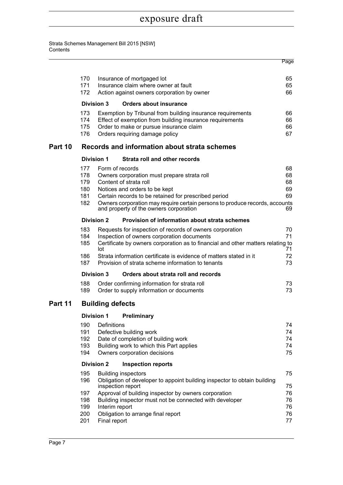|         |                                               |                                |                                                                                                                                                                                                                                                                                                            | Page                                   |
|---------|-----------------------------------------------|--------------------------------|------------------------------------------------------------------------------------------------------------------------------------------------------------------------------------------------------------------------------------------------------------------------------------------------------------|----------------------------------------|
|         | 170<br>171<br>172                             |                                | Insurance of mortgaged lot<br>Insurance claim where owner at fault<br>Action against owners corporation by owner                                                                                                                                                                                           | 65<br>65<br>66                         |
|         |                                               | <b>Division 3</b>              | <b>Orders about insurance</b>                                                                                                                                                                                                                                                                              |                                        |
|         | 173<br>174<br>175<br>176                      |                                | Exemption by Tribunal from building insurance requirements<br>Effect of exemption from building insurance requirements<br>Order to make or pursue insurance claim<br>Orders requiring damage policy                                                                                                        | 66<br>66<br>66<br>67                   |
| Part 10 |                                               |                                | Records and information about strata schemes                                                                                                                                                                                                                                                               |                                        |
|         |                                               | <b>Division 1</b>              | Strata roll and other records                                                                                                                                                                                                                                                                              |                                        |
|         | 177<br>178<br>179<br>180<br>181<br>182        |                                | Form of records<br>Owners corporation must prepare strata roll<br>Content of strata roll<br>Notices and orders to be kept<br>Certain records to be retained for prescribed period<br>Owners corporation may require certain persons to produce records, accounts<br>and property of the owners corporation | 68<br>68<br>68<br>69<br>69<br>69       |
|         |                                               | <b>Division 2</b>              | Provision of information about strata schemes                                                                                                                                                                                                                                                              |                                        |
|         | 183<br>184<br>185                             | lot                            | Requests for inspection of records of owners corporation<br>Inspection of owners corporation documents<br>Certificate by owners corporation as to financial and other matters relating to                                                                                                                  | 70<br>71<br>71                         |
|         | 186<br>187                                    |                                | Strata information certificate is evidence of matters stated in it<br>Provision of strata scheme information to tenants                                                                                                                                                                                    | 72<br>73                               |
|         |                                               | <b>Division 3</b>              | Orders about strata roll and records                                                                                                                                                                                                                                                                       |                                        |
|         | 188<br>189                                    |                                | Order confirming information for strata roll<br>Order to supply information or documents                                                                                                                                                                                                                   | 73<br>73                               |
| Part 11 |                                               | <b>Building defects</b>        |                                                                                                                                                                                                                                                                                                            |                                        |
|         |                                               | <b>Division 1</b>              | Preliminary                                                                                                                                                                                                                                                                                                |                                        |
|         | 190<br>191<br>192<br>193<br>194               | Definitions                    | Defective building work<br>Date of completion of building work<br>Building work to which this Part applies<br>Owners corporation decisions                                                                                                                                                                 | 74<br>74<br>74<br>74<br>75             |
|         |                                               | <b>Division 2</b>              | <b>Inspection reports</b>                                                                                                                                                                                                                                                                                  |                                        |
|         | 195<br>196<br>197<br>198<br>199<br>200<br>201 | Interim report<br>Final report | <b>Building inspectors</b><br>Obligation of developer to appoint building inspector to obtain building<br>inspection report<br>Approval of building inspector by owners corporation<br>Building inspector must not be connected with developer<br>Obligation to arrange final report                       | 75<br>75<br>76<br>76<br>76<br>76<br>77 |
|         |                                               |                                |                                                                                                                                                                                                                                                                                                            |                                        |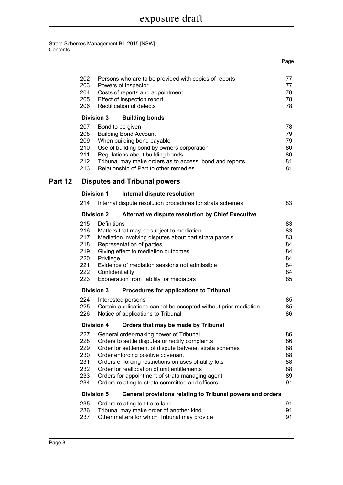|         |                                                             |                                             |                                                                                                                                                                                                                                                                                                                                                                                                         | Page                                               |
|---------|-------------------------------------------------------------|---------------------------------------------|---------------------------------------------------------------------------------------------------------------------------------------------------------------------------------------------------------------------------------------------------------------------------------------------------------------------------------------------------------------------------------------------------------|----------------------------------------------------|
|         | 202<br>203<br>204<br>205<br>206                             |                                             | Persons who are to be provided with copies of reports<br>Powers of inspector<br>Costs of reports and appointment<br>Effect of inspection report<br>Rectification of defects                                                                                                                                                                                                                             | 77<br>77<br>78<br>78<br>78                         |
|         |                                                             | <b>Division 3</b>                           | <b>Building bonds</b>                                                                                                                                                                                                                                                                                                                                                                                   |                                                    |
|         | 207<br>208<br>209<br>210<br>211<br>212<br>213               | Bond to be given                            | <b>Building Bond Account</b><br>When building bond payable<br>Use of building bond by owners corporation<br>Regulations about building bonds<br>Tribunal may make orders as to access, bond and reports<br>Relationship of Part to other remedies                                                                                                                                                       | 78<br>79<br>79<br>80<br>80<br>81<br>81             |
| Part 12 |                                                             |                                             | <b>Disputes and Tribunal powers</b>                                                                                                                                                                                                                                                                                                                                                                     |                                                    |
|         |                                                             | <b>Division 1</b>                           | Internal dispute resolution                                                                                                                                                                                                                                                                                                                                                                             |                                                    |
|         | 214                                                         |                                             | Internal dispute resolution procedures for strata schemes                                                                                                                                                                                                                                                                                                                                               | 83                                                 |
|         |                                                             | <b>Division 2</b>                           | Alternative dispute resolution by Chief Executive                                                                                                                                                                                                                                                                                                                                                       |                                                    |
|         | 215<br>216<br>217<br>218<br>219<br>220<br>221<br>222<br>223 | Definitions<br>Privilege<br>Confidentiality | Matters that may be subject to mediation<br>Mediation involving disputes about part strata parcels<br>Representation of parties<br>Giving effect to mediation outcomes<br>Evidence of mediation sessions not admissible<br>Exoneration from liability for mediators                                                                                                                                     | 83<br>83<br>83<br>84<br>84<br>84<br>84<br>84<br>85 |
|         |                                                             | <b>Division 3</b>                           | Procedures for applications to Tribunal                                                                                                                                                                                                                                                                                                                                                                 |                                                    |
|         | 224<br>225<br>226                                           |                                             | Interested persons<br>Certain applications cannot be accepted without prior mediation<br>Notice of applications to Tribunal                                                                                                                                                                                                                                                                             | 85<br>85<br>86                                     |
|         |                                                             | <b>Division 4</b>                           | Orders that may be made by Tribunal                                                                                                                                                                                                                                                                                                                                                                     |                                                    |
|         | 227<br>228<br>229<br>230<br>231<br>232<br>233<br>234        |                                             | General order-making power of Tribunal<br>Orders to settle disputes or rectify complaints<br>Order for settlement of dispute between strata schemes<br>Order enforcing positive covenant<br>Orders enforcing restrictions on uses of utility lots<br>Order for reallocation of unit entitlements<br>Orders for appointment of strata managing agent<br>Orders relating to strata committee and officers | 86<br>86<br>88<br>88<br>88<br>88<br>89<br>91       |
|         |                                                             | <b>Division 5</b>                           | General provisions relating to Tribunal powers and orders                                                                                                                                                                                                                                                                                                                                               |                                                    |
|         | 235<br>236<br>237                                           |                                             | Orders relating to title to land<br>Tribunal may make order of another kind<br>Other matters for which Tribunal may provide                                                                                                                                                                                                                                                                             | 91<br>91<br>91                                     |
|         |                                                             |                                             |                                                                                                                                                                                                                                                                                                                                                                                                         |                                                    |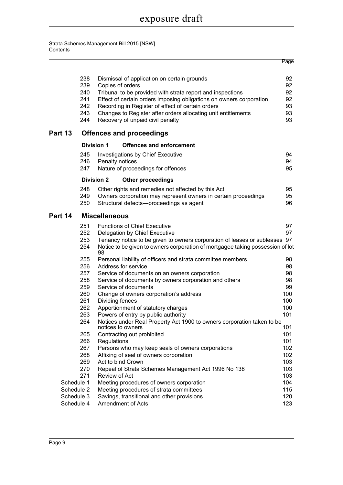|            |                   |                                                                                                                               | Page           |  |
|------------|-------------------|-------------------------------------------------------------------------------------------------------------------------------|----------------|--|
|            | 238<br>239<br>240 | Dismissal of application on certain grounds<br>Copies of orders<br>Tribunal to be provided with strata report and inspections | 92<br>92<br>92 |  |
|            | 241               | Effect of certain orders imposing obligations on owners corporation                                                           | 92             |  |
|            | 242               | Recording in Register of effect of certain orders                                                                             | 93             |  |
|            | 243               | Changes to Register after orders allocating unit entitlements                                                                 | 93             |  |
|            | 244               | Recovery of unpaid civil penalty                                                                                              | 93             |  |
| Part 13    |                   | <b>Offences and proceedings</b>                                                                                               |                |  |
|            |                   | <b>Division 1</b><br><b>Offences and enforcement</b>                                                                          |                |  |
|            | 245               | <b>Investigations by Chief Executive</b>                                                                                      | 94             |  |
|            | 246               | Penalty notices                                                                                                               | 94             |  |
|            | 247               | Nature of proceedings for offences                                                                                            | 95             |  |
|            |                   | <b>Division 2</b><br><b>Other proceedings</b>                                                                                 |                |  |
|            | 248               | Other rights and remedies not affected by this Act                                                                            | 95             |  |
|            | 249               | Owners corporation may represent owners in certain proceedings                                                                | 95             |  |
|            | 250               | Structural defects-proceedings as agent                                                                                       | 96             |  |
| Part 14    |                   | <b>Miscellaneous</b>                                                                                                          |                |  |
|            | 251               | <b>Functions of Chief Executive</b>                                                                                           | 97             |  |
|            | 252               | Delegation by Chief Executive                                                                                                 | 97             |  |
|            | 253               | Tenancy notice to be given to owners corporation of leases or subleases 97                                                    |                |  |
|            | 254               | Notice to be given to owners corporation of mortgagee taking possession of lot<br>98                                          |                |  |
|            | 255               | Personal liability of officers and strata committee members                                                                   | 98             |  |
|            | 256               | Address for service                                                                                                           | 98             |  |
|            | 257               | Service of documents on an owners corporation                                                                                 | 98             |  |
|            | 258               | Service of documents by owners corporation and others                                                                         | 98             |  |
|            | 259               | Service of documents                                                                                                          | 99             |  |
|            | 260               | Change of owners corporation's address                                                                                        | 100            |  |
|            | 261               | Dividing fences                                                                                                               | 100            |  |
|            | 262               | Apportionment of statutory charges                                                                                            | 100            |  |
|            | 263               | Powers of entry by public authority                                                                                           | 101            |  |
|            | 264               | Notices under Real Property Act 1900 to owners corporation taken to be<br>notices to owners                                   | 101            |  |
|            | 265               | Contracting out prohibited                                                                                                    | 101            |  |
|            | 266               | Regulations                                                                                                                   | 101            |  |
|            | 267               | Persons who may keep seals of owners corporations                                                                             | 102            |  |
|            | 268               | Affixing of seal of owners corporation                                                                                        | 102            |  |
|            | 269               | Act to bind Crown                                                                                                             | 103            |  |
|            | 270               | Repeal of Strata Schemes Management Act 1996 No 138                                                                           | 103            |  |
|            | 271               | Review of Act                                                                                                                 | 103            |  |
| Schedule 1 |                   | Meeting procedures of owners corporation                                                                                      | 104            |  |
| Schedule 2 |                   | Meeting procedures of strata committees                                                                                       | 115            |  |
| Schedule 3 |                   | Savings, transitional and other provisions                                                                                    | 120            |  |
| Schedule 4 |                   | Amendment of Acts<br>123                                                                                                      |                |  |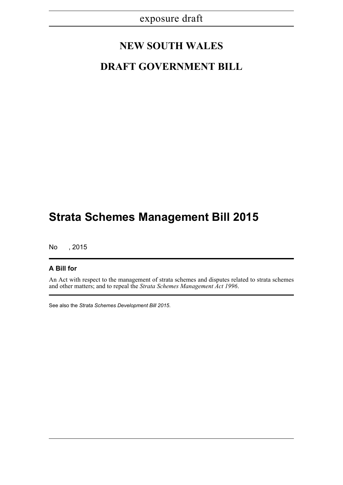## **NEW SOUTH WALES**

## **DRAFT GOVERNMENT BILL**

# **Strata Schemes Management Bill 2015**

No , 2015

#### **A Bill for**

An Act with respect to the management of strata schemes and disputes related to strata schemes and other matters; and to repeal the *Strata Schemes Management Act 1996*.

See also the *Strata Schemes Development Bill 2015*.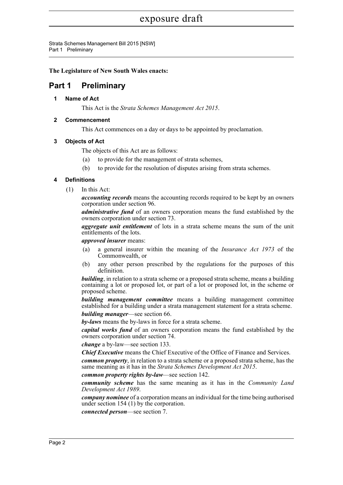Strata Schemes Management Bill 2015 [NSW] Part 1 Preliminary

**The Legislature of New South Wales enacts:**

## <span id="page-18-1"></span><span id="page-18-0"></span>**Part 1 Preliminary**

**1 Name of Act**

This Act is the *Strata Schemes Management Act 2015*.

#### <span id="page-18-2"></span>**2 Commencement**

This Act commences on a day or days to be appointed by proclamation.

#### <span id="page-18-3"></span>**3 Objects of Act**

The objects of this Act are as follows:

- (a) to provide for the management of strata schemes,
- (b) to provide for the resolution of disputes arising from strata schemes.

#### <span id="page-18-4"></span>**4 Definitions**

(1) In this Act:

*accounting records* means the accounting records required to be kept by an owners corporation under section 96.

*administrative fund* of an owners corporation means the fund established by the owners corporation under section 73.

*aggregate unit entitlement* of lots in a strata scheme means the sum of the unit entitlements of the lots.

*approved insurer* means:

- (a) a general insurer within the meaning of the *Insurance Act 1973* of the Commonwealth, or
- (b) any other person prescribed by the regulations for the purposes of this definition.

*building*, in relation to a strata scheme or a proposed strata scheme, means a building containing a lot or proposed lot, or part of a lot or proposed lot, in the scheme or proposed scheme.

*building management committee* means a building management committee established for a building under a strata management statement for a strata scheme. *building manager*—see section 66.

*by-laws* means the by-laws in force for a strata scheme.

*capital works fund* of an owners corporation means the fund established by the owners corporation under section 74.

*change* a by-law—see section 133.

*Chief Executive* means the Chief Executive of the Office of Finance and Services.

*common property*, in relation to a strata scheme or a proposed strata scheme, has the same meaning as it has in the *Strata Schemes Development Act 2015*.

*common property rights by-law*—see section 142.

*community scheme* has the same meaning as it has in the *Community Land Development Act 1989*.

*company nominee* of a corporation means an individual for the time being authorised under section 154 (1) by the corporation.

*connected person*—see section 7.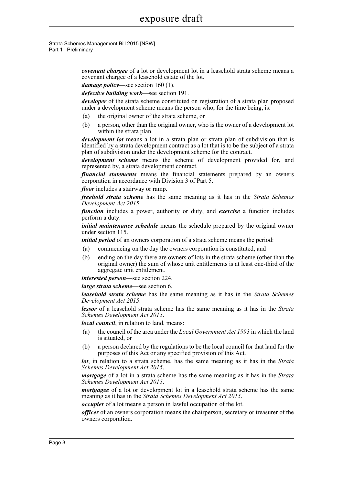Strata Schemes Management Bill 2015 [NSW] Part 1 Preliminary

> *covenant chargee* of a lot or development lot in a leasehold strata scheme means a covenant chargee of a leasehold estate of the lot.

*damage policy*—see section 160 (1).

*defective building work*—see section 191.

*developer* of the strata scheme constituted on registration of a strata plan proposed under a development scheme means the person who, for the time being, is:

- (a) the original owner of the strata scheme, or
- (b) a person, other than the original owner, who is the owner of a development lot within the strata plan.

*development lot* means a lot in a strata plan or strata plan of subdivision that is identified by a strata development contract as a lot that is to be the subject of a strata plan of subdivision under the development scheme for the contract.

*development scheme* means the scheme of development provided for, and represented by, a strata development contract.

*financial statements* means the financial statements prepared by an owners corporation in accordance with Division 3 of Part 5.

*floor* includes a stairway or ramp.

*freehold strata scheme* has the same meaning as it has in the *Strata Schemes Development Act 2015*.

*function* includes a power, authority or duty, and *exercise* a function includes perform a duty.

*initial maintenance schedule* means the schedule prepared by the original owner under section 115.

*initial period* of an owners corporation of a strata scheme means the period:

- (a) commencing on the day the owners corporation is constituted, and
- (b) ending on the day there are owners of lots in the strata scheme (other than the original owner) the sum of whose unit entitlements is at least one-third of the aggregate unit entitlement.

*interested person*—see section 224.

*large strata scheme*—see section 6.

*leasehold strata scheme* has the same meaning as it has in the *Strata Schemes Development Act 2015*.

*lessor* of a leasehold strata scheme has the same meaning as it has in the *Strata Schemes Development Act 2015*.

*local council*, in relation to land, means:

- (a) the council of the area under the *Local Government Act 1993* in which the land is situated, or
- (b) a person declared by the regulations to be the local council for that land for the purposes of this Act or any specified provision of this Act.

*lot*, in relation to a strata scheme, has the same meaning as it has in the *Strata Schemes Development Act 2015*.

*mortgage* of a lot in a strata scheme has the same meaning as it has in the *Strata Schemes Development Act 2015*.

*mortgagee* of a lot or development lot in a leasehold strata scheme has the same meaning as it has in the *Strata Schemes Development Act 2015*.

*occupier* of a lot means a person in lawful occupation of the lot.

*officer* of an owners corporation means the chairperson, secretary or treasurer of the owners corporation.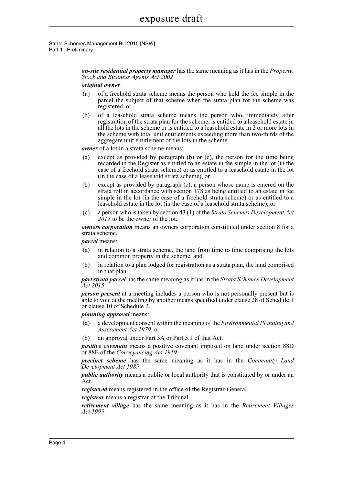Strata Schemes Management Bill 2015 [NSW] Part 1 Preliminary

> *on-site residential property manager* has the same meaning as it has in the *Property, Stock and Business Agents Act 2002*.

#### *original owner*:

- (a) of a freehold strata scheme means the person who held the fee simple in the parcel the subject of that scheme when the strata plan for the scheme was registered, or
- (b) of a leasehold strata scheme means the person who, immediately after registration of the strata plan for the scheme, is entitled to a leasehold estate in all the lots in the scheme or is entitled to a leasehold estate in 2 or more lots in the scheme with total unit entitlements exceeding more than two-thirds of the aggregate unit entitlement of the lots in the scheme.

*owner* of a lot in a strata scheme means:

- (a) except as provided by paragraph (b) or (c), the person for the time being recorded in the Register as entitled to an estate in fee simple in the lot (in the case of a freehold strata scheme) or as entitled to a leasehold estate in the lot (in the case of a leasehold strata scheme), or
- (b) except as provided by paragraph (c), a person whose name is entered on the strata roll in accordance with section 178 as being entitled to an estate in fee simple in the lot (in the case of a freehold strata scheme) or as entitled to a leasehold estate in the lot (in the case of a leasehold strata scheme), or
- (c) a person who is taken by section 43 (1) of the *Strata Schemes Development Act 2015* to be the owner of the lot.

*owners corporation* means an owners corporation constituted under section 8 for a strata scheme.

*parcel* means:

- (a) in relation to a strata scheme, the land from time to time comprising the lots and common property in the scheme, and
- (b) in relation to a plan lodged for registration as a strata plan, the land comprised in that plan.

*part strata parcel* has the same meaning as it has in the *Strata Schemes Development Act 2015*.

*person present* at a meeting includes a person who is not personally present but is able to vote at the meeting by another means specified under clause 28 of Schedule 1 or clause 10 of Schedule 2.

*planning approval* means:

- (a) a development consent within the meaning of the *Environmental Planning and Assessment Act 1979*, or
- (b) an approval under Part 3A or Part 5.1 of that Act.

*positive covenant* means a positive covenant imposed on land under section 88D or 88E of the *Conveyancing Act 1919*.

*precinct scheme* has the same meaning as it has in the *Community Land Development Act 1989*.

*public authority* means a public or local authority that is constituted by or under an Act.

*registered* means registered in the office of the Registrar-General.

*registrar* means a registrar of the Tribunal.

*retirement village* has the same meaning as it has in the *Retirement Villages Act 1999*.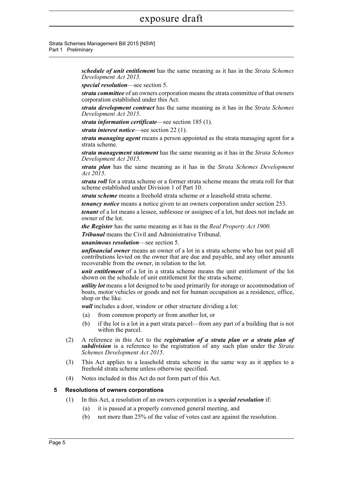Strata Schemes Management Bill 2015 [NSW] Part 1 Preliminary

> *schedule of unit entitlement* has the same meaning as it has in the *Strata Schemes Development Act 2015*.

*special resolution*—see section 5.

*strata committee* of an owners corporation means the strata committee of that owners corporation established under this Act.

*strata development contract* has the same meaning as it has in the *Strata Schemes Development Act 2015*.

*strata information certificate*—see section 185 (1).

*strata interest notice*—see section 22 (1).

*strata managing agent* means a person appointed as the strata managing agent for a strata scheme.

*strata management statement* has the same meaning as it has in the *Strata Schemes Development Act 2015*.

*strata plan* has the same meaning as it has in the *Strata Schemes Development Act 2015*.

*strata roll* for a strata scheme or a former strata scheme means the strata roll for that scheme established under Division 1 of Part 10.

*strata scheme* means a freehold strata scheme or a leasehold strata scheme.

*tenancy notice* means a notice given to an owners corporation under section 253.

*tenant* of a lot means a lessee, sublessee or assignee of a lot, but does not include an owner of the lot.

*the Register* has the same meaning as it has in the *Real Property Act 1900*.

*Tribunal* means the Civil and Administrative Tribunal.

*unanimous resolution*—see section 5.

*unfinancial owner* means an owner of a lot in a strata scheme who has not paid all contributions levied on the owner that are due and payable, and any other amounts recoverable from the owner, in relation to the lot.

*unit entitlement* of a lot in a strata scheme means the unit entitlement of the lot shown on the schedule of unit entitlement for the strata scheme.

*utility lot* means a lot designed to be used primarily for storage or accommodation of boats, motor vehicles or goods and not for human occupation as a residence, office, shop or the like.

*wall* includes a door, window or other structure dividing a lot:

- (a) from common property or from another lot, or
- (b) if the lot is a lot in a part strata parcel—from any part of a building that is not within the parcel.
- (2) A reference in this Act to the *registration of a strata plan or a strata plan of subdivision* is a reference to the registration of any such plan under the *Strata Schemes Development Act 2015*.
- (3) This Act applies to a leasehold strata scheme in the same way as it applies to a freehold strata scheme unless otherwise specified.
- (4) Notes included in this Act do not form part of this Act.

#### <span id="page-21-0"></span>**5 Resolutions of owners corporations**

- (1) In this Act, a resolution of an owners corporation is a *special resolution* if:
	- (a) it is passed at a properly convened general meeting, and
	- (b) not more than 25% of the value of votes cast are against the resolution.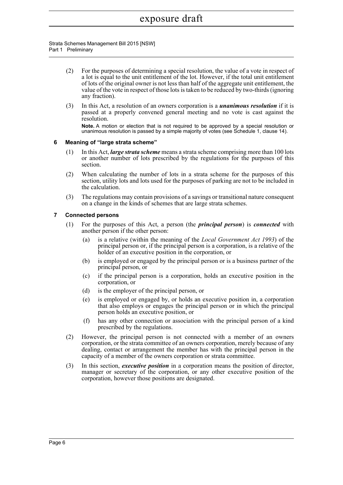#### Strata Schemes Management Bill 2015 [NSW] Part 1 Preliminary

- (2) For the purposes of determining a special resolution, the value of a vote in respect of a lot is equal to the unit entitlement of the lot. However, if the total unit entitlement of lots of the original owner is not less than half of the aggregate unit entitlement, the value of the vote in respect of those lots is taken to be reduced by two-thirds (ignoring any fraction).
- (3) In this Act, a resolution of an owners corporation is a *unanimous resolution* if it is passed at a properly convened general meeting and no vote is cast against the **resolution**

**Note.** A motion or election that is not required to be approved by a special resolution or unanimous resolution is passed by a simple majority of votes (see Schedule 1, clause 14).

#### <span id="page-22-0"></span>**6 Meaning of "large strata scheme"**

- (1) In this Act, *large strata scheme* means a strata scheme comprising more than 100 lots or another number of lots prescribed by the regulations for the purposes of this section.
- (2) When calculating the number of lots in a strata scheme for the purposes of this section, utility lots and lots used for the purposes of parking are not to be included in the calculation.
- (3) The regulations may contain provisions of a savings or transitional nature consequent on a change in the kinds of schemes that are large strata schemes.

#### <span id="page-22-1"></span>**7 Connected persons**

- (1) For the purposes of this Act, a person (the *principal person*) is *connected* with another person if the other person:
	- (a) is a relative (within the meaning of the *Local Government Act 1993*) of the principal person or, if the principal person is a corporation, is a relative of the holder of an executive position in the corporation, or
	- (b) is employed or engaged by the principal person or is a business partner of the principal person, or
	- (c) if the principal person is a corporation, holds an executive position in the corporation, or
	- (d) is the employer of the principal person, or
	- (e) is employed or engaged by, or holds an executive position in, a corporation that also employs or engages the principal person or in which the principal person holds an executive position, or
	- (f) has any other connection or association with the principal person of a kind prescribed by the regulations.
- (2) However, the principal person is not connected with a member of an owners corporation, or the strata committee of an owners corporation, merely because of any dealing, contact or arrangement the member has with the principal person in the capacity of a member of the owners corporation or strata committee.
- (3) In this section, *executive position* in a corporation means the position of director, manager or secretary of the corporation, or any other executive position of the corporation, however those positions are designated.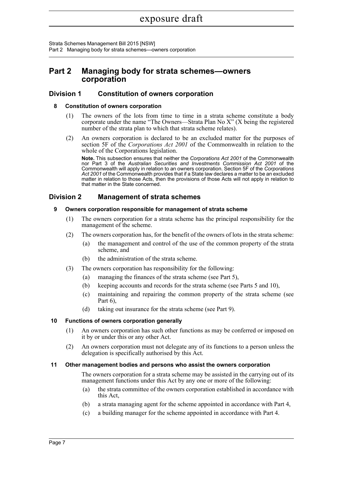Strata Schemes Management Bill 2015 [NSW] Part 2 Managing body for strata schemes—owners corporation

### <span id="page-23-0"></span>**Part 2 Managing body for strata schemes—owners corporation**

#### <span id="page-23-2"></span><span id="page-23-1"></span>**Division 1 Constitution of owners corporation**

#### **8 Constitution of owners corporation**

- (1) The owners of the lots from time to time in a strata scheme constitute a body corporate under the name "The Owners—Strata Plan No X" (X being the registered number of the strata plan to which that strata scheme relates).
- (2) An owners corporation is declared to be an excluded matter for the purposes of section 5F of the *Corporations Act 2001* of the Commonwealth in relation to the whole of the Corporations legislation.

**Note.** This subsection ensures that neither the *Corporations Act 2001* of the Commonwealth nor Part 3 of the *Australian Securities and Investments Commission Act 2001* of the Commonwealth will apply in relation to an owners corporation. Section 5F of the *Corporations Act 2001* of the Commonwealth provides that if a State law declares a matter to be an excluded matter in relation to those Acts, then the provisions of those Acts will not apply in relation to that matter in the State concerned.

#### <span id="page-23-4"></span><span id="page-23-3"></span>**Division 2 Management of strata schemes**

#### **9 Owners corporation responsible for management of strata scheme**

- (1) The owners corporation for a strata scheme has the principal responsibility for the management of the scheme.
- (2) The owners corporation has, for the benefit of the owners of lots in the strata scheme:
	- (a) the management and control of the use of the common property of the strata scheme, and
	- (b) the administration of the strata scheme.
- (3) The owners corporation has responsibility for the following:
	- (a) managing the finances of the strata scheme (see Part 5),
	- (b) keeping accounts and records for the strata scheme (see Parts 5 and 10),
	- (c) maintaining and repairing the common property of the strata scheme (see Part 6),
	- (d) taking out insurance for the strata scheme (see Part 9).

#### <span id="page-23-5"></span>**10 Functions of owners corporation generally**

- (1) An owners corporation has such other functions as may be conferred or imposed on it by or under this or any other Act.
- (2) An owners corporation must not delegate any of its functions to a person unless the delegation is specifically authorised by this Act.

#### <span id="page-23-6"></span>**11 Other management bodies and persons who assist the owners corporation**

The owners corporation for a strata scheme may be assisted in the carrying out of its management functions under this Act by any one or more of the following:

- (a) the strata committee of the owners corporation established in accordance with this Act,
- (b) a strata managing agent for the scheme appointed in accordance with Part 4,
- (c) a building manager for the scheme appointed in accordance with Part 4.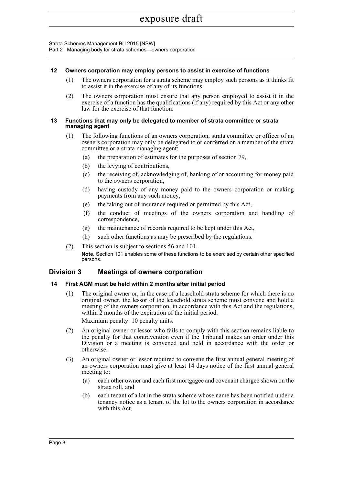Part 2 Managing body for strata schemes—owners corporation

#### <span id="page-24-0"></span>**12 Owners corporation may employ persons to assist in exercise of functions**

- (1) The owners corporation for a strata scheme may employ such persons as it thinks fit to assist it in the exercise of any of its functions.
- (2) The owners corporation must ensure that any person employed to assist it in the exercise of a function has the qualifications (if any) required by this Act or any other law for the exercise of that function.

#### <span id="page-24-1"></span>**13 Functions that may only be delegated to member of strata committee or strata managing agent**

- (1) The following functions of an owners corporation, strata committee or officer of an owners corporation may only be delegated to or conferred on a member of the strata committee or a strata managing agent:
	- (a) the preparation of estimates for the purposes of section 79,
	- (b) the levying of contributions,
	- (c) the receiving of, acknowledging of, banking of or accounting for money paid to the owners corporation,
	- (d) having custody of any money paid to the owners corporation or making payments from any such money,
	- (e) the taking out of insurance required or permitted by this Act,
	- (f) the conduct of meetings of the owners corporation and handling of correspondence,
	- (g) the maintenance of records required to be kept under this Act,
	- (h) such other functions as may be prescribed by the regulations.
- (2) This section is subject to sections 56 and 101. **Note.** Section 101 enables some of these functions to be exercised by certain other specified persons.

#### <span id="page-24-2"></span>**Division 3 Meetings of owners corporation**

#### <span id="page-24-3"></span>**14 First AGM must be held within 2 months after initial period**

(1) The original owner or, in the case of a leasehold strata scheme for which there is no original owner, the lessor of the leasehold strata scheme must convene and hold a meeting of the owners corporation, in accordance with this Act and the regulations, within 2 months of the expiration of the initial period.

Maximum penalty: 10 penalty units.

- (2) An original owner or lessor who fails to comply with this section remains liable to the penalty for that contravention even if the Tribunal makes an order under this Division or a meeting is convened and held in accordance with the order or otherwise.
- (3) An original owner or lessor required to convene the first annual general meeting of an owners corporation must give at least 14 days notice of the first annual general meeting to:
	- (a) each other owner and each first mortgagee and covenant chargee shown on the strata roll, and
	- (b) each tenant of a lot in the strata scheme whose name has been notified under a tenancy notice as a tenant of the lot to the owners corporation in accordance with this Act.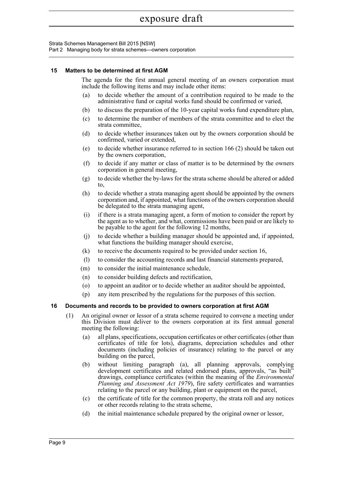Strata Schemes Management Bill 2015 [NSW]

Part 2 Managing body for strata schemes—owners corporation

#### <span id="page-25-0"></span>**15 Matters to be determined at first AGM**

The agenda for the first annual general meeting of an owners corporation must include the following items and may include other items:

- (a) to decide whether the amount of a contribution required to be made to the administrative fund or capital works fund should be confirmed or varied,
- (b) to discuss the preparation of the 10-year capital works fund expenditure plan,
- (c) to determine the number of members of the strata committee and to elect the strata committee,
- (d) to decide whether insurances taken out by the owners corporation should be confirmed, varied or extended,
- (e) to decide whether insurance referred to in section 166 (2) should be taken out by the owners corporation,
- (f) to decide if any matter or class of matter is to be determined by the owners corporation in general meeting,
- (g) to decide whether the by-laws for the strata scheme should be altered or added to,
- (h) to decide whether a strata managing agent should be appointed by the owners corporation and, if appointed, what functions of the owners corporation should be delegated to the strata managing agent,
- (i) if there is a strata managing agent, a form of motion to consider the report by the agent as to whether, and what, commissions have been paid or are likely to be payable to the agent for the following 12 months,
- (j) to decide whether a building manager should be appointed and, if appointed, what functions the building manager should exercise,
- (k) to receive the documents required to be provided under section 16,
- (l) to consider the accounting records and last financial statements prepared,
- (m) to consider the initial maintenance schedule,
- (n) to consider building defects and rectification,
- (o) to appoint an auditor or to decide whether an auditor should be appointed,
- (p) any item prescribed by the regulations for the purposes of this section.

#### <span id="page-25-1"></span>**16 Documents and records to be provided to owners corporation at first AGM**

- (1) An original owner or lessor of a strata scheme required to convene a meeting under this Division must deliver to the owners corporation at its first annual general meeting the following:
	- (a) all plans, specifications, occupation certificates or other certificates (other than certificates of title for lots), diagrams, depreciation schedules and other documents (including policies of insurance) relating to the parcel or any building on the parcel,
	- (b) without limiting paragraph (a), all planning approvals, complying development certificates and related endorsed plans, approvals, "as built" drawings, compliance certificates (within the meaning of the *Environmental Planning and Assessment Act 1979*), fire safety certificates and warranties relating to the parcel or any building, plant or equipment on the parcel,
	- (c) the certificate of title for the common property, the strata roll and any notices or other records relating to the strata scheme,
	- (d) the initial maintenance schedule prepared by the original owner or lessor,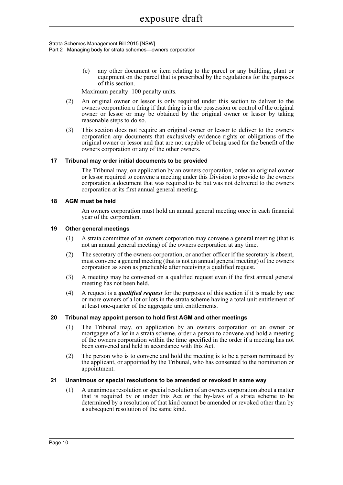#### Strata Schemes Management Bill 2015 [NSW] Part 2 Managing body for strata schemes—owners corporation

(e) any other document or item relating to the parcel or any building, plant or equipment on the parcel that is prescribed by the regulations for the purposes of this section.

Maximum penalty: 100 penalty units.

- (2) An original owner or lessor is only required under this section to deliver to the owners corporation a thing if that thing is in the possession or control of the original owner or lessor or may be obtained by the original owner or lessor by taking reasonable steps to do so.
- (3) This section does not require an original owner or lessor to deliver to the owners corporation any documents that exclusively evidence rights or obligations of the original owner or lessor and that are not capable of being used for the benefit of the owners corporation or any of the other owners.

#### <span id="page-26-0"></span>**17 Tribunal may order initial documents to be provided**

The Tribunal may, on application by an owners corporation, order an original owner or lessor required to convene a meeting under this Division to provide to the owners corporation a document that was required to be but was not delivered to the owners corporation at its first annual general meeting.

#### <span id="page-26-1"></span>**18 AGM must be held**

An owners corporation must hold an annual general meeting once in each financial year of the corporation.

#### <span id="page-26-2"></span>**19 Other general meetings**

- (1) A strata committee of an owners corporation may convene a general meeting (that is not an annual general meeting) of the owners corporation at any time.
- (2) The secretary of the owners corporation, or another officer if the secretary is absent, must convene a general meeting (that is not an annual general meeting) of the owners corporation as soon as practicable after receiving a qualified request.
- (3) A meeting may be convened on a qualified request even if the first annual general meeting has not been held.
- (4) A request is a *qualified request* for the purposes of this section if it is made by one or more owners of a lot or lots in the strata scheme having a total unit entitlement of at least one-quarter of the aggregate unit entitlements.

#### <span id="page-26-3"></span>**20 Tribunal may appoint person to hold first AGM and other meetings**

- (1) The Tribunal may, on application by an owners corporation or an owner or mortgagee of a lot in a strata scheme, order a person to convene and hold a meeting of the owners corporation within the time specified in the order if a meeting has not been convened and held in accordance with this Act.
- (2) The person who is to convene and hold the meeting is to be a person nominated by the applicant, or appointed by the Tribunal, who has consented to the nomination or appointment.

#### <span id="page-26-4"></span>**21 Unanimous or special resolutions to be amended or revoked in same way**

(1) A unanimous resolution or special resolution of an owners corporation about a matter that is required by or under this Act or the by-laws of a strata scheme to be determined by a resolution of that kind cannot be amended or revoked other than by a subsequent resolution of the same kind.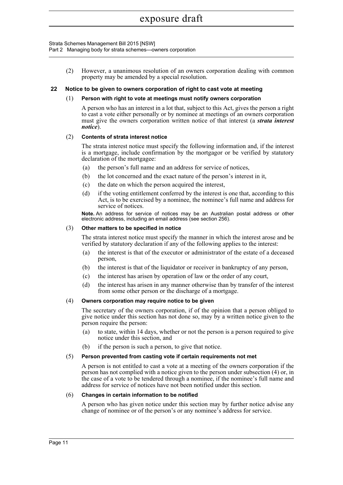Part 2 Managing body for strata schemes—owners corporation

(2) However, a unanimous resolution of an owners corporation dealing with common property may be amended by a special resolution.

#### <span id="page-27-0"></span>**22 Notice to be given to owners corporation of right to cast vote at meeting**

#### (1) **Person with right to vote at meetings must notify owners corporation**

A person who has an interest in a lot that, subject to this Act, gives the person a right to cast a vote either personally or by nominee at meetings of an owners corporation must give the owners corporation written notice of that interest (a *strata interest notice*).

#### (2) **Contents of strata interest notice**

The strata interest notice must specify the following information and, if the interest is a mortgage, include confirmation by the mortgagor or be verified by statutory declaration of the mortgagee:

- (a) the person's full name and an address for service of notices,
- (b) the lot concerned and the exact nature of the person's interest in it,
- (c) the date on which the person acquired the interest,
- (d) if the voting entitlement conferred by the interest is one that, according to this Act, is to be exercised by a nominee, the nominee's full name and address for service of notices.

**Note.** An address for service of notices may be an Australian postal address or other electronic address, including an email address (see section 256).

#### (3) **Other matters to be specified in notice**

The strata interest notice must specify the manner in which the interest arose and be verified by statutory declaration if any of the following applies to the interest:

- (a) the interest is that of the executor or administrator of the estate of a deceased person,
- (b) the interest is that of the liquidator or receiver in bankruptcy of any person,
- (c) the interest has arisen by operation of law or the order of any court,
- (d) the interest has arisen in any manner otherwise than by transfer of the interest from some other person or the discharge of a mortgage.

#### (4) **Owners corporation may require notice to be given**

The secretary of the owners corporation, if of the opinion that a person obliged to give notice under this section has not done so, may by a written notice given to the person require the person:

- (a) to state, within 14 days, whether or not the person is a person required to give notice under this section, and
- (b) if the person is such a person, to give that notice.

#### (5) **Person prevented from casting vote if certain requirements not met**

A person is not entitled to cast a vote at a meeting of the owners corporation if the person has not complied with a notice given to the person under subsection (4) or, in the case of a vote to be tendered through a nominee, if the nominee's full name and address for service of notices have not been notified under this section.

#### (6) **Changes in certain information to be notified**

A person who has given notice under this section may by further notice advise any change of nominee or of the person's or any nominee's address for service.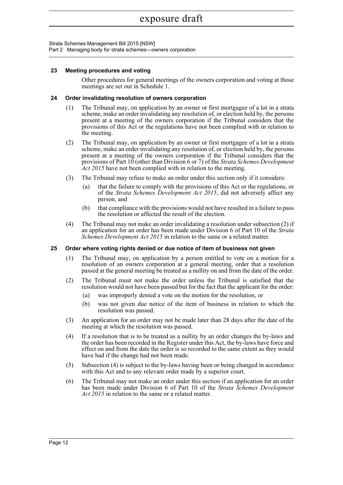Part 2 Managing body for strata schemes—owners corporation

#### <span id="page-28-0"></span>**23 Meeting procedures and voting**

Other procedures for general meetings of the owners corporation and voting at those meetings are set out in Schedule 1.

#### <span id="page-28-1"></span>**24 Order invalidating resolution of owners corporation**

- (1) The Tribunal may, on application by an owner or first mortgagee of a lot in a strata scheme, make an order invalidating any resolution of, or election held by, the persons present at a meeting of the owners corporation if the Tribunal considers that the provisions of this Act or the regulations have not been complied with in relation to the meeting.
- (2) The Tribunal may, on application by an owner or first mortgagee of a lot in a strata scheme, make an order invalidating any resolution of, or election held by, the persons present at a meeting of the owners corporation if the Tribunal considers that the provisions of Part 10 (other than Division 6 or 7) of the *Strata Schemes Development Act 2015* have not been complied with in relation to the meeting.
- (3) The Tribunal may refuse to make an order under this section only if it considers:
	- (a) that the failure to comply with the provisions of this Act or the regulations, or of the *Strata Schemes Development Act 2015*, did not adversely affect any person, and
	- (b) that compliance with the provisions would not have resulted in a failure to pass the resolution or affected the result of the election.
- (4) The Tribunal may not make an order invalidating a resolution under subsection (2) if an application for an order has been made under Division 6 of Part 10 of the *Strata Schemes Development Act 2015* in relation to the same or a related matter.

#### <span id="page-28-2"></span>**25 Order where voting rights denied or due notice of item of business not given**

- (1) The Tribunal may, on application by a person entitled to vote on a motion for a resolution of an owners corporation at a general meeting, order that a resolution passed at the general meeting be treated as a nullity on and from the date of the order.
- (2) The Tribunal must not make the order unless the Tribunal is satisfied that the resolution would not have been passed but for the fact that the applicant for the order:
	- (a) was improperly denied a vote on the motion for the resolution, or
	- (b) was not given due notice of the item of business in relation to which the resolution was passed.
- (3) An application for an order may not be made later than 28 days after the date of the meeting at which the resolution was passed.
- (4) If a resolution that is to be treated as a nullity by an order changes the by-laws and the order has been recorded in the Register under this Act, the by-laws have force and effect on and from the date the order is so recorded to the same extent as they would have had if the change had not been made.
- (5) Subsection (4) is subject to the by-laws having been or being changed in accordance with this Act and to any relevant order made by a superior court.
- (6) The Tribunal may not make an order under this section if an application for an order has been made under Division 6 of Part 10 of the *Strata Schemes Development Act 2015* in relation to the same or a related matter.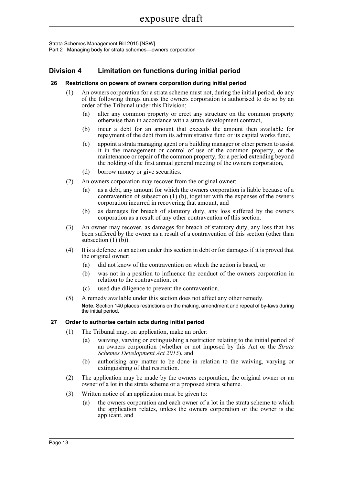Strata Schemes Management Bill 2015 [NSW] Part 2 Managing body for strata schemes—owners corporation

### <span id="page-29-0"></span>**Division 4 Limitation on functions during initial period**

#### <span id="page-29-1"></span>**26 Restrictions on powers of owners corporation during initial period**

- (1) An owners corporation for a strata scheme must not, during the initial period, do any of the following things unless the owners corporation is authorised to do so by an order of the Tribunal under this Division:
	- (a) alter any common property or erect any structure on the common property otherwise than in accordance with a strata development contract,
	- (b) incur a debt for an amount that exceeds the amount then available for repayment of the debt from its administrative fund or its capital works fund,
	- (c) appoint a strata managing agent or a building manager or other person to assist it in the management or control of use of the common property, or the maintenance or repair of the common property, for a period extending beyond the holding of the first annual general meeting of the owners corporation,
	- (d) borrow money or give securities.
- (2) An owners corporation may recover from the original owner:
	- (a) as a debt, any amount for which the owners corporation is liable because of a contravention of subsection (1) (b), together with the expenses of the owners corporation incurred in recovering that amount, and
	- (b) as damages for breach of statutory duty, any loss suffered by the owners corporation as a result of any other contravention of this section.
- (3) An owner may recover, as damages for breach of statutory duty, any loss that has been suffered by the owner as a result of a contravention of this section (other than subsection  $(1)$   $(b)$ ).
- (4) It is a defence to an action under this section in debt or for damages if it is proved that the original owner:
	- (a) did not know of the contravention on which the action is based, or
	- (b) was not in a position to influence the conduct of the owners corporation in relation to the contravention, or
	- (c) used due diligence to prevent the contravention.
- (5) A remedy available under this section does not affect any other remedy. **Note.** Section 140 places restrictions on the making, amendment and repeal of by-laws during the initial period.

#### <span id="page-29-2"></span>**27 Order to authorise certain acts during initial period**

- (1) The Tribunal may, on application, make an order:
	- (a) waiving, varying or extinguishing a restriction relating to the initial period of an owners corporation (whether or not imposed by this Act or the *Strata Schemes Development Act 2015*), and
	- (b) authorising any matter to be done in relation to the waiving, varying or extinguishing of that restriction.
- (2) The application may be made by the owners corporation, the original owner or an owner of a lot in the strata scheme or a proposed strata scheme.
- (3) Written notice of an application must be given to:
	- (a) the owners corporation and each owner of a lot in the strata scheme to which the application relates, unless the owners corporation or the owner is the applicant, and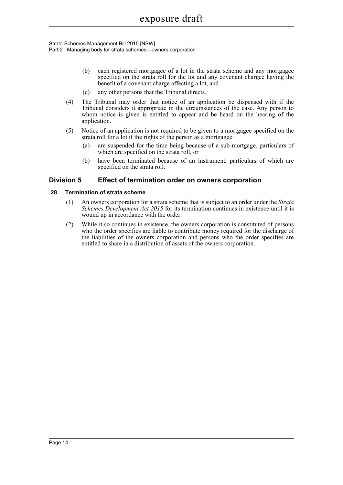Strata Schemes Management Bill 2015 [NSW] Part 2 Managing body for strata schemes—owners corporation

- (b) each registered mortgagee of a lot in the strata scheme and any mortgagee specified on the strata roll for the lot and any covenant chargee having the benefit of a covenant charge affecting a lot, and
- (c) any other persons that the Tribunal directs.
- (4) The Tribunal may order that notice of an application be dispensed with if the Tribunal considers it appropriate in the circumstances of the case. Any person to whom notice is given is entitled to appear and be heard on the hearing of the application.
- (5) Notice of an application is not required to be given to a mortgagee specified on the strata roll for a lot if the rights of the person as a mortgagee:
	- (a) are suspended for the time being because of a sub-mortgage, particulars of which are specified on the strata roll, or
	- (b) have been terminated because of an instrument, particulars of which are specified on the strata roll.

#### <span id="page-30-0"></span>**Division 5 Effect of termination order on owners corporation**

#### <span id="page-30-1"></span>**28 Termination of strata scheme**

- (1) An owners corporation for a strata scheme that is subject to an order under the *Strata Schemes Development Act 2015* for its termination continues in existence until it is wound up in accordance with the order.
- (2) While it so continues in existence, the owners corporation is constituted of persons who the order specifies are liable to contribute money required for the discharge of the liabilities of the owners corporation and persons who the order specifies are entitled to share in a distribution of assets of the owners corporation.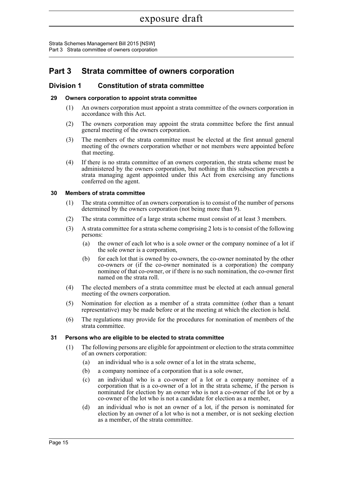Strata Schemes Management Bill 2015 [NSW] Part 3 Strata committee of owners corporation

### <span id="page-31-0"></span>**Part 3 Strata committee of owners corporation**

#### <span id="page-31-1"></span>**Division 1 Constitution of strata committee**

#### <span id="page-31-2"></span>**29 Owners corporation to appoint strata committee**

- (1) An owners corporation must appoint a strata committee of the owners corporation in accordance with this Act.
- (2) The owners corporation may appoint the strata committee before the first annual general meeting of the owners corporation.
- (3) The members of the strata committee must be elected at the first annual general meeting of the owners corporation whether or not members were appointed before that meeting.
- (4) If there is no strata committee of an owners corporation, the strata scheme must be administered by the owners corporation, but nothing in this subsection prevents a strata managing agent appointed under this Act from exercising any functions conferred on the agent.

#### <span id="page-31-3"></span>**30 Members of strata committee**

- (1) The strata committee of an owners corporation is to consist of the number of persons determined by the owners corporation (not being more than 9).
- (2) The strata committee of a large strata scheme must consist of at least 3 members.
- (3) A strata committee for a strata scheme comprising 2 lots is to consist of the following persons:
	- (a) the owner of each lot who is a sole owner or the company nominee of a lot if the sole owner is a corporation,
	- (b) for each lot that is owned by co-owners, the co-owner nominated by the other co-owners or (if the co-owner nominated is a corporation) the company nominee of that co-owner, or if there is no such nomination, the co-owner first named on the strata roll.
- (4) The elected members of a strata committee must be elected at each annual general meeting of the owners corporation.
- (5) Nomination for election as a member of a strata committee (other than a tenant representative) may be made before or at the meeting at which the election is held.
- (6) The regulations may provide for the procedures for nomination of members of the strata committee.

#### <span id="page-31-4"></span>**31 Persons who are eligible to be elected to strata committee**

- (1) The following persons are eligible for appointment or election to the strata committee of an owners corporation:
	- (a) an individual who is a sole owner of a lot in the strata scheme,
	- (b) a company nominee of a corporation that is a sole owner,
	- (c) an individual who is a co-owner of a lot or a company nominee of a corporation that is a co-owner of a lot in the strata scheme, if the person is nominated for election by an owner who is not a co-owner of the lot or by a co-owner of the lot who is not a candidate for election as a member,
	- (d) an individual who is not an owner of a lot, if the person is nominated for election by an owner of a lot who is not a member, or is not seeking election as a member, of the strata committee.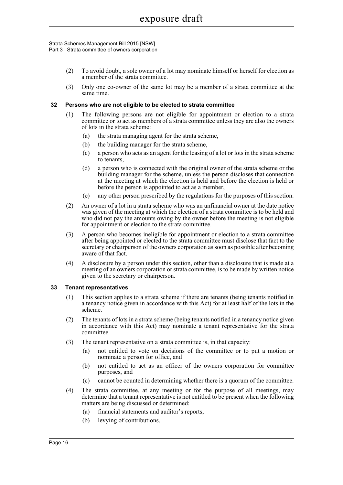#### Strata Schemes Management Bill 2015 [NSW] Part 3 Strata committee of owners corporation

- (2) To avoid doubt, a sole owner of a lot may nominate himself or herself for election as a member of the strata committee.
- (3) Only one co-owner of the same lot may be a member of a strata committee at the same time.

#### <span id="page-32-0"></span>**32 Persons who are not eligible to be elected to strata committee**

- (1) The following persons are not eligible for appointment or election to a strata committee or to act as members of a strata committee unless they are also the owners of lots in the strata scheme:
	- (a) the strata managing agent for the strata scheme,
	- (b) the building manager for the strata scheme,
	- (c) a person who acts as an agent for the leasing of a lot or lots in the strata scheme to tenants,
	- (d) a person who is connected with the original owner of the strata scheme or the building manager for the scheme, unless the person discloses that connection at the meeting at which the election is held and before the election is held or before the person is appointed to act as a member,
	- (e) any other person prescribed by the regulations for the purposes of this section.
- (2) An owner of a lot in a strata scheme who was an unfinancial owner at the date notice was given of the meeting at which the election of a strata committee is to be held and who did not pay the amounts owing by the owner before the meeting is not eligible for appointment or election to the strata committee.
- (3) A person who becomes ineligible for appointment or election to a strata committee after being appointed or elected to the strata committee must disclose that fact to the secretary or chairperson of the owners corporation as soon as possible after becoming aware of that fact.
- (4) A disclosure by a person under this section, other than a disclosure that is made at a meeting of an owners corporation or strata committee, is to be made by written notice given to the secretary or chairperson.

#### <span id="page-32-1"></span>**33 Tenant representatives**

- (1) This section applies to a strata scheme if there are tenants (being tenants notified in a tenancy notice given in accordance with this Act) for at least half of the lots in the scheme.
- (2) The tenants of lots in a strata scheme (being tenants notified in a tenancy notice given in accordance with this Act) may nominate a tenant representative for the strata committee.
- (3) The tenant representative on a strata committee is, in that capacity:
	- (a) not entitled to vote on decisions of the committee or to put a motion or nominate a person for office, and
	- (b) not entitled to act as an officer of the owners corporation for committee purposes, and
	- (c) cannot be counted in determining whether there is a quorum of the committee.
- (4) The strata committee, at any meeting or for the purpose of all meetings, may determine that a tenant representative is not entitled to be present when the following matters are being discussed or determined:
	- (a) financial statements and auditor's reports,
	- (b) levying of contributions,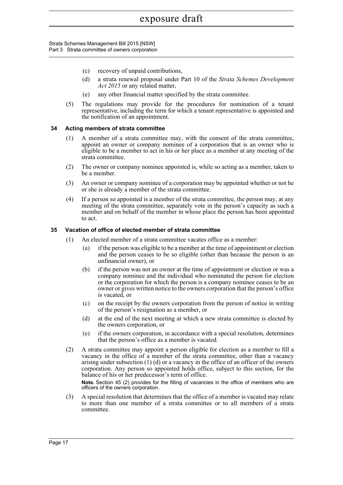Strata Schemes Management Bill 2015 [NSW] Part 3 Strata committee of owners corporation

- (c) recovery of unpaid contributions,
- (d) a strata renewal proposal under Part 10 of the *Strata Schemes Development Act 2015* or any related matter,
- (e) any other financial matter specified by the strata committee.
- (5) The regulations may provide for the procedures for nomination of a tenant representative, including the term for which a tenant representative is appointed and the notification of an appointment.

#### <span id="page-33-0"></span>**34 Acting members of strata committee**

- (1) A member of a strata committee may, with the consent of the strata committee, appoint an owner or company nominee of a corporation that is an owner who is eligible to be a member to act in his or her place as a member at any meeting of the strata committee.
- (2) The owner or company nominee appointed is, while so acting as a member, taken to be a member.
- (3) An owner or company nominee of a corporation may be appointed whether or not he or she is already a member of the strata committee.
- (4) If a person so appointed is a member of the strata committee, the person may, at any meeting of the strata committee, separately vote in the person's capacity as such a member and on behalf of the member in whose place the person has been appointed to act.

#### <span id="page-33-1"></span>**35 Vacation of office of elected member of strata committee**

- (1) An elected member of a strata committee vacates office as a member:
	- (a) if the person was eligible to be a member at the time of appointment or election and the person ceases to be so eligible (other than because the person is an unfinancial owner), or
	- (b) if the person was not an owner at the time of appointment or election or was a company nominee and the individual who nominated the person for election or the corporation for which the person is a company nominee ceases to be an owner or gives written notice to the owners corporation that the person's office is vacated, or
	- (c) on the receipt by the owners corporation from the person of notice in writing of the person's resignation as a member, or
	- (d) at the end of the next meeting at which a new strata committee is elected by the owners corporation, or
	- (e) if the owners corporation, in accordance with a special resolution, determines that the person's office as a member is vacated.
- (2) A strata committee may appoint a person eligible for election as a member to fill a vacancy in the office of a member of the strata committee, other than a vacancy arising under subsection (1) (d) or a vacancy in the office of an officer of the owners corporation. Any person so appointed holds office, subject to this section, for the balance of his or her predecessor's term of office.

**Note.** Section 45 (2) provides for the filling of vacancies in the office of members who are officers of the owners corporation.

(3) A special resolution that determines that the office of a member is vacated may relate to more than one member of a strata committee or to all members of a strata committee.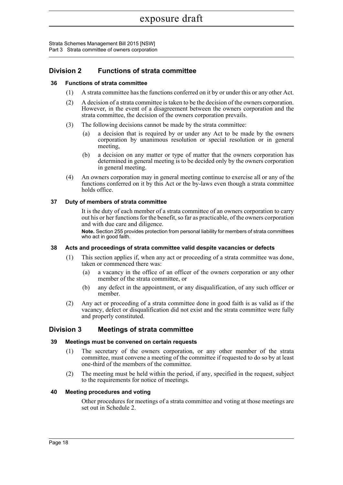Strata Schemes Management Bill 2015 [NSW] Part 3 Strata committee of owners corporation

### <span id="page-34-0"></span>**Division 2 Functions of strata committee**

#### <span id="page-34-1"></span>**36 Functions of strata committee**

- (1) A strata committee has the functions conferred on it by or under this or any other Act.
- (2) A decision of a strata committee is taken to be the decision of the owners corporation. However, in the event of a disagreement between the owners corporation and the strata committee, the decision of the owners corporation prevails.
- (3) The following decisions cannot be made by the strata committee:
	- (a) a decision that is required by or under any Act to be made by the owners corporation by unanimous resolution or special resolution or in general meeting,
	- (b) a decision on any matter or type of matter that the owners corporation has determined in general meeting is to be decided only by the owners corporation in general meeting.
- (4) An owners corporation may in general meeting continue to exercise all or any of the functions conferred on it by this Act or the by-laws even though a strata committee holds office.

#### <span id="page-34-2"></span>**37 Duty of members of strata committee**

It is the duty of each member of a strata committee of an owners corporation to carry out his or her functions for the benefit, so far as practicable, of the owners corporation and with due care and diligence.

**Note.** Section 255 provides protection from personal liability for members of strata committees who act in good faith.

#### <span id="page-34-3"></span>**38 Acts and proceedings of strata committee valid despite vacancies or defects**

- (1) This section applies if, when any act or proceeding of a strata committee was done, taken or commenced there was:
	- (a) a vacancy in the office of an officer of the owners corporation or any other member of the strata committee, or
	- (b) any defect in the appointment, or any disqualification, of any such officer or member.
- (2) Any act or proceeding of a strata committee done in good faith is as valid as if the vacancy, defect or disqualification did not exist and the strata committee were fully and properly constituted.

#### <span id="page-34-4"></span>**Division 3 Meetings of strata committee**

#### <span id="page-34-5"></span>**39 Meetings must be convened on certain requests**

- (1) The secretary of the owners corporation, or any other member of the strata committee, must convene a meeting of the committee if requested to do so by at least one-third of the members of the committee.
- (2) The meeting must be held within the period, if any, specified in the request, subject to the requirements for notice of meetings.

#### <span id="page-34-6"></span>**40 Meeting procedures and voting**

Other procedures for meetings of a strata committee and voting at those meetings are set out in Schedule 2.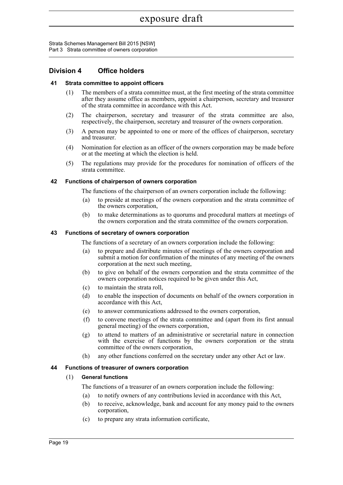Strata Schemes Management Bill 2015 [NSW] Part 3 Strata committee of owners corporation

#### <span id="page-35-0"></span>**Division 4 Office holders**

#### <span id="page-35-1"></span>**41 Strata committee to appoint officers**

- (1) The members of a strata committee must, at the first meeting of the strata committee after they assume office as members, appoint a chairperson, secretary and treasurer of the strata committee in accordance with this Act.
- (2) The chairperson, secretary and treasurer of the strata committee are also, respectively, the chairperson, secretary and treasurer of the owners corporation.
- (3) A person may be appointed to one or more of the offices of chairperson, secretary and treasurer.
- (4) Nomination for election as an officer of the owners corporation may be made before or at the meeting at which the election is held.
- (5) The regulations may provide for the procedures for nomination of officers of the strata committee.

#### <span id="page-35-2"></span>**42 Functions of chairperson of owners corporation**

The functions of the chairperson of an owners corporation include the following:

- (a) to preside at meetings of the owners corporation and the strata committee of the owners corporation,
- (b) to make determinations as to quorums and procedural matters at meetings of the owners corporation and the strata committee of the owners corporation.

#### <span id="page-35-3"></span>**43 Functions of secretary of owners corporation**

The functions of a secretary of an owners corporation include the following:

- (a) to prepare and distribute minutes of meetings of the owners corporation and submit a motion for confirmation of the minutes of any meeting of the owners corporation at the next such meeting,
- (b) to give on behalf of the owners corporation and the strata committee of the owners corporation notices required to be given under this Act,
- (c) to maintain the strata roll,
- (d) to enable the inspection of documents on behalf of the owners corporation in accordance with this Act,
- (e) to answer communications addressed to the owners corporation,
- (f) to convene meetings of the strata committee and (apart from its first annual general meeting) of the owners corporation,
- (g) to attend to matters of an administrative or secretarial nature in connection with the exercise of functions by the owners corporation or the strata committee of the owners corporation,
- (h) any other functions conferred on the secretary under any other Act or law.

#### <span id="page-35-4"></span>**44 Functions of treasurer of owners corporation**

#### (1) **General functions**

The functions of a treasurer of an owners corporation include the following:

- (a) to notify owners of any contributions levied in accordance with this Act,
- (b) to receive, acknowledge, bank and account for any money paid to the owners corporation,
- (c) to prepare any strata information certificate,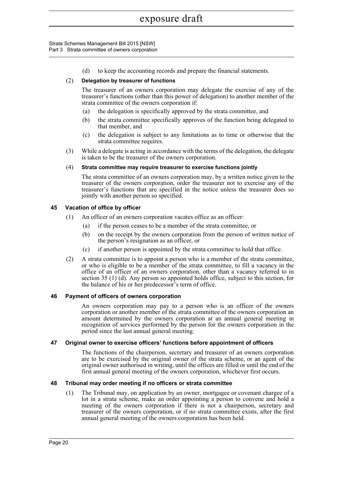#### Strata Schemes Management Bill 2015 [NSW] Part 3 Strata committee of owners corporation

(d) to keep the accounting records and prepare the financial statements.

## (2) **Delegation by treasurer of functions**

The treasurer of an owners corporation may delegate the exercise of any of the treasurer's functions (other than this power of delegation) to another member of the strata committee of the owners corporation if:

- (a) the delegation is specifically approved by the strata committee, and
- (b) the strata committee specifically approves of the function being delegated to that member, and
- (c) the delegation is subject to any limitations as to time or otherwise that the strata committee requires.
- (3) While a delegate is acting in accordance with the terms of the delegation, the delegate is taken to be the treasurer of the owners corporation.

#### (4) **Strata committee may require treasurer to exercise functions jointly**

The strata committee of an owners corporation may, by a written notice given to the treasurer of the owners corporation, order the treasurer not to exercise any of the treasurer's functions that are specified in the notice unless the treasurer does so jointly with another person so specified.

## **45 Vacation of office by officer**

- (1) An officer of an owners corporation vacates office as an officer:
	- (a) if the person ceases to be a member of the strata committee, or
	- (b) on the receipt by the owners corporation from the person of written notice of the person's resignation as an officer, or
	- (c) if another person is appointed by the strata committee to hold that office.
- (2) A strata committee is to appoint a person who is a member of the strata committee, or who is eligible to be a member of the strata committee, to fill a vacancy in the office of an officer of an owners corporation, other than a vacancy referred to in section 35 (1) (d). Any person so appointed holds office, subject to this section, for the balance of his or her predecessor's term of office.

#### **46 Payment of officers of owners corporation**

An owners corporation may pay to a person who is an officer of the owners corporation or another member of the strata committee of the owners corporation an amount determined by the owners corporation at an annual general meeting in recognition of services performed by the person for the owners corporation in the period since the last annual general meeting.

#### **47 Original owner to exercise officers' functions before appointment of officers**

The functions of the chairperson, secretary and treasurer of an owners corporation are to be exercised by the original owner of the strata scheme, or an agent of the original owner authorised in writing, until the offices are filled or until the end of the first annual general meeting of the owners corporation, whichever first occurs.

#### **48 Tribunal may order meeting if no officers or strata committee**

(1) The Tribunal may, on application by an owner, mortgagee or covenant chargee of a lot in a strata scheme, make an order appointing a person to convene and hold a meeting of the owners corporation if there is not a chairperson, secretary and treasurer of the owners corporation, or if no strata committee exists, after the first annual general meeting of the owners corporation has been held.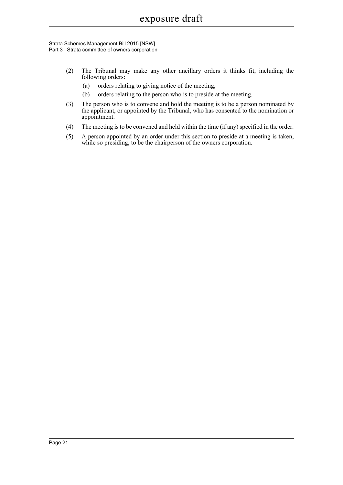#### Strata Schemes Management Bill 2015 [NSW] Part 3 Strata committee of owners corporation

- (2) The Tribunal may make any other ancillary orders it thinks fit, including the following orders:
	- (a) orders relating to giving notice of the meeting,
	- (b) orders relating to the person who is to preside at the meeting.
- (3) The person who is to convene and hold the meeting is to be a person nominated by the applicant, or appointed by the Tribunal, who has consented to the nomination or appointment.
- (4) The meeting is to be convened and held within the time (if any) specified in the order.
- (5) A person appointed by an order under this section to preside at a meeting is taken, while so presiding, to be the chairperson of the owners corporation.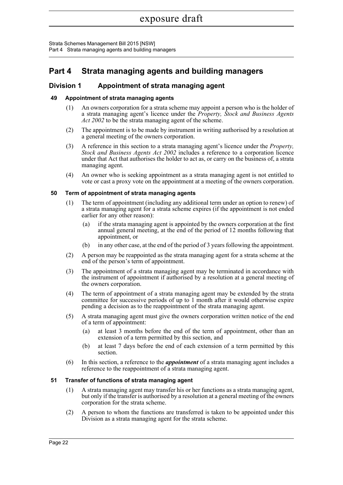Strata Schemes Management Bill 2015 [NSW] Part 4 Strata managing agents and building managers

# **Part 4 Strata managing agents and building managers**

# **Division 1 Appointment of strata managing agent**

# **49 Appointment of strata managing agents**

- (1) An owners corporation for a strata scheme may appoint a person who is the holder of a strata managing agent's licence under the *Property, Stock and Business Agents Act 2002* to be the strata managing agent of the scheme.
- (2) The appointment is to be made by instrument in writing authorised by a resolution at a general meeting of the owners corporation.
- (3) A reference in this section to a strata managing agent's licence under the *Property, Stock and Business Agents Act 2002* includes a reference to a corporation licence under that Act that authorises the holder to act as, or carry on the business of, a strata managing agent.
- (4) An owner who is seeking appointment as a strata managing agent is not entitled to vote or cast a proxy vote on the appointment at a meeting of the owners corporation.

## **50 Term of appointment of strata managing agents**

- (1) The term of appointment (including any additional term under an option to renew) of a strata managing agent for a strata scheme expires (if the appointment is not ended earlier for any other reason):
	- (a) if the strata managing agent is appointed by the owners corporation at the first annual general meeting, at the end of the period of 12 months following that appointment, or
	- (b) in any other case, at the end of the period of 3 years following the appointment.
- (2) A person may be reappointed as the strata managing agent for a strata scheme at the end of the person's term of appointment.
- (3) The appointment of a strata managing agent may be terminated in accordance with the instrument of appointment if authorised by a resolution at a general meeting of the owners corporation.
- (4) The term of appointment of a strata managing agent may be extended by the strata committee for successive periods of up to  $1 \text{ month}$  after it would otherwise expire pending a decision as to the reappointment of the strata managing agent.
- (5) A strata managing agent must give the owners corporation written notice of the end of a term of appointment:
	- (a) at least 3 months before the end of the term of appointment, other than an extension of a term permitted by this section, and
	- (b) at least 7 days before the end of each extension of a term permitted by this section.
- (6) In this section, a reference to the *appointment* of a strata managing agent includes a reference to the reappointment of a strata managing agent.

# **51 Transfer of functions of strata managing agent**

- (1) A strata managing agent may transfer his or her functions as a strata managing agent, but only if the transfer is authorised by a resolution at a general meeting of the owners corporation for the strata scheme.
- (2) A person to whom the functions are transferred is taken to be appointed under this Division as a strata managing agent for the strata scheme.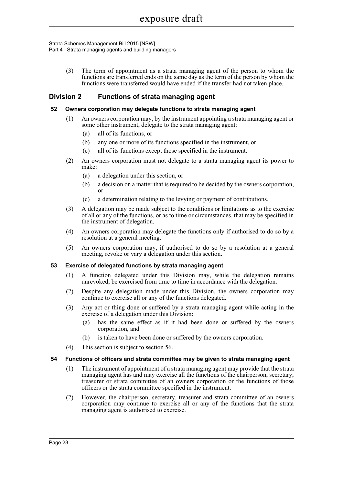#### Strata Schemes Management Bill 2015 [NSW] Part 4 Strata managing agents and building managers

(3) The term of appointment as a strata managing agent of the person to whom the functions are transferred ends on the same day as the term of the person by whom the functions were transferred would have ended if the transfer had not taken place.

# **Division 2 Functions of strata managing agent**

# **52 Owners corporation may delegate functions to strata managing agent**

- (1) An owners corporation may, by the instrument appointing a strata managing agent or some other instrument, delegate to the strata managing agent:
	- (a) all of its functions, or
	- (b) any one or more of its functions specified in the instrument, or
	- (c) all of its functions except those specified in the instrument.
- (2) An owners corporation must not delegate to a strata managing agent its power to make:
	- (a) a delegation under this section, or
	- (b) a decision on a matter that is required to be decided by the owners corporation, or
	- (c) a determination relating to the levying or payment of contributions.
- (3) A delegation may be made subject to the conditions or limitations as to the exercise of all or any of the functions, or as to time or circumstances, that may be specified in the instrument of delegation.
- (4) An owners corporation may delegate the functions only if authorised to do so by a resolution at a general meeting.
- (5) An owners corporation may, if authorised to do so by a resolution at a general meeting, revoke or vary a delegation under this section.

# **53 Exercise of delegated functions by strata managing agent**

- (1) A function delegated under this Division may, while the delegation remains unrevoked, be exercised from time to time in accordance with the delegation.
- (2) Despite any delegation made under this Division, the owners corporation may continue to exercise all or any of the functions delegated.
- (3) Any act or thing done or suffered by a strata managing agent while acting in the exercise of a delegation under this Division:
	- (a) has the same effect as if it had been done or suffered by the owners corporation, and
	- (b) is taken to have been done or suffered by the owners corporation.
- (4) This section is subject to section 56.

#### **54 Functions of officers and strata committee may be given to strata managing agent**

- (1) The instrument of appointment of a strata managing agent may provide that the strata managing agent has and may exercise all the functions of the chairperson, secretary, treasurer or strata committee of an owners corporation or the functions of those officers or the strata committee specified in the instrument.
- (2) However, the chairperson, secretary, treasurer and strata committee of an owners corporation may continue to exercise all or any of the functions that the strata managing agent is authorised to exercise.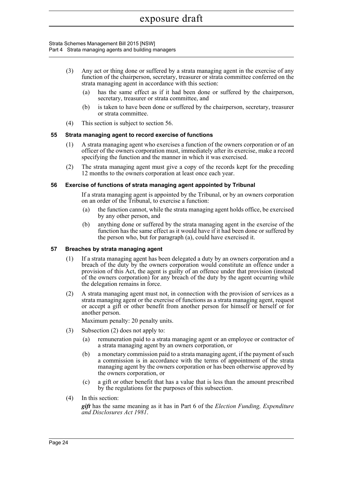#### Strata Schemes Management Bill 2015 [NSW] Part 4 Strata managing agents and building managers

- (3) Any act or thing done or suffered by a strata managing agent in the exercise of any function of the chairperson, secretary, treasurer or strata committee conferred on the strata managing agent in accordance with this section:
	- (a) has the same effect as if it had been done or suffered by the chairperson, secretary, treasurer or strata committee, and
	- (b) is taken to have been done or suffered by the chairperson, secretary, treasurer or strata committee.
- (4) This section is subject to section 56.

# **55 Strata managing agent to record exercise of functions**

- (1) A strata managing agent who exercises a function of the owners corporation or of an officer of the owners corporation must, immediately after its exercise, make a record specifying the function and the manner in which it was exercised.
- (2) The strata managing agent must give a copy of the records kept for the preceding 12 months to the owners corporation at least once each year.

## **56 Exercise of functions of strata managing agent appointed by Tribunal**

If a strata managing agent is appointed by the Tribunal, or by an owners corporation on an order of the Tribunal, to exercise a function:

- (a) the function cannot, while the strata managing agent holds office, be exercised by any other person, and
- (b) anything done or suffered by the strata managing agent in the exercise of the function has the same effect as it would have if it had been done or suffered by the person who, but for paragraph (a), could have exercised it.

# **57 Breaches by strata managing agent**

- (1) If a strata managing agent has been delegated a duty by an owners corporation and a breach of the duty by the owners corporation would constitute an offence under a provision of this Act, the agent is guilty of an offence under that provision (instead of the owners corporation) for any breach of the duty by the agent occurring while the delegation remains in force.
- (2) A strata managing agent must not, in connection with the provision of services as a strata managing agent or the exercise of functions as a strata managing agent, request or accept a gift or other benefit from another person for himself or herself or for another person.

Maximum penalty: 20 penalty units.

- (3) Subsection (2) does not apply to:
	- (a) remuneration paid to a strata managing agent or an employee or contractor of a strata managing agent by an owners corporation, or
	- (b) a monetary commission paid to a strata managing agent, if the payment of such a commission is in accordance with the terms of appointment of the strata managing agent by the owners corporation or has been otherwise approved by the owners corporation, or
	- (c) a gift or other benefit that has a value that is less than the amount prescribed by the regulations for the purposes of this subsection.
- (4) In this section:

*gift* has the same meaning as it has in Part 6 of the *Election Funding, Expenditure and Disclosures Act 1981*.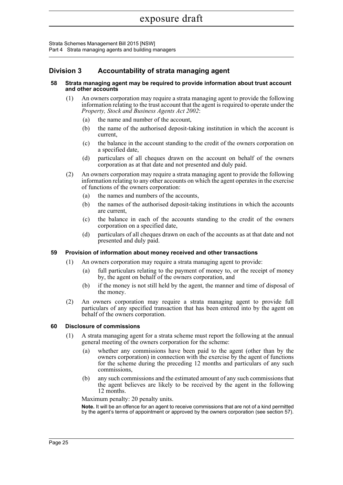Strata Schemes Management Bill 2015 [NSW] Part 4 Strata managing agents and building managers

# **Division 3 Accountability of strata managing agent**

#### **58 Strata managing agent may be required to provide information about trust account and other accounts**

- (1) An owners corporation may require a strata managing agent to provide the following information relating to the trust account that the agent is required to operate under the *Property, Stock and Business Agents Act 2002*:
	- (a) the name and number of the account,
	- (b) the name of the authorised deposit-taking institution in which the account is current,
	- (c) the balance in the account standing to the credit of the owners corporation on a specified date,
	- (d) particulars of all cheques drawn on the account on behalf of the owners corporation as at that date and not presented and duly paid.
- (2) An owners corporation may require a strata managing agent to provide the following information relating to any other accounts on which the agent operates in the exercise of functions of the owners corporation:
	- (a) the names and numbers of the accounts,
	- (b) the names of the authorised deposit-taking institutions in which the accounts are current,
	- (c) the balance in each of the accounts standing to the credit of the owners corporation on a specified date,
	- (d) particulars of all cheques drawn on each of the accounts as at that date and not presented and duly paid.

# **59 Provision of information about money received and other transactions**

- (1) An owners corporation may require a strata managing agent to provide:
	- (a) full particulars relating to the payment of money to, or the receipt of money by, the agent on behalf of the owners corporation, and
	- (b) if the money is not still held by the agent, the manner and time of disposal of the money.
- (2) An owners corporation may require a strata managing agent to provide full particulars of any specified transaction that has been entered into by the agent on behalf of the owners corporation.

# **60 Disclosure of commissions**

- (1) A strata managing agent for a strata scheme must report the following at the annual general meeting of the owners corporation for the scheme:
	- (a) whether any commissions have been paid to the agent (other than by the owners corporation) in connection with the exercise by the agent of functions for the scheme during the preceding 12 months and particulars of any such commissions,
	- (b) any such commissions and the estimated amount of any such commissions that the agent believes are likely to be received by the agent in the following 12 months.

Maximum penalty: 20 penalty units.

**Note.** It will be an offence for an agent to receive commissions that are not of a kind permitted by the agent's terms of appointment or approved by the owners corporation (see section 57).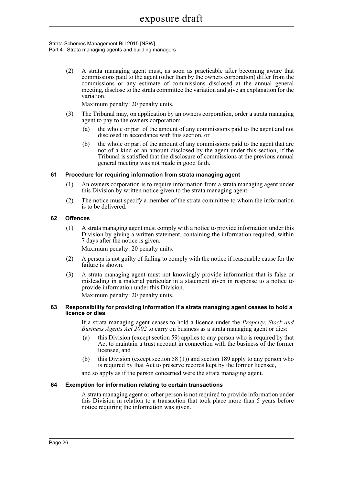#### Strata Schemes Management Bill 2015 [NSW] Part 4 Strata managing agents and building managers

(2) A strata managing agent must, as soon as practicable after becoming aware that commissions paid to the agent (other than by the owners corporation) differ from the commissions or any estimate of commissions disclosed at the annual general meeting, disclose to the strata committee the variation and give an explanation for the variation.

Maximum penalty: 20 penalty units.

- (3) The Tribunal may, on application by an owners corporation, order a strata managing agent to pay to the owners corporation:
	- (a) the whole or part of the amount of any commissions paid to the agent and not disclosed in accordance with this section, or
	- (b) the whole or part of the amount of any commissions paid to the agent that are not of a kind or an amount disclosed by the agent under this section, if the Tribunal is satisfied that the disclosure of commissions at the previous annual general meeting was not made in good faith.

# **61 Procedure for requiring information from strata managing agent**

- (1) An owners corporation is to require information from a strata managing agent under this Division by written notice given to the strata managing agent.
- (2) The notice must specify a member of the strata committee to whom the information is to be delivered.

# **62 Offences**

(1) A strata managing agent must comply with a notice to provide information under this Division by giving a written statement, containing the information required, within 7 days after the notice is given.

Maximum penalty: 20 penalty units.

- (2) A person is not guilty of failing to comply with the notice if reasonable cause for the failure is shown.
- (3) A strata managing agent must not knowingly provide information that is false or misleading in a material particular in a statement given in response to a notice to provide information under this Division.

Maximum penalty: 20 penalty units.

#### **63 Responsibility for providing information if a strata managing agent ceases to hold a licence or dies**

If a strata managing agent ceases to hold a licence under the *Property, Stock and Business Agents Act 2002* to carry on business as a strata managing agent or dies:

- (a) this Division (except section 59) applies to any person who is required by that Act to maintain a trust account in connection with the business of the former licensee, and
- (b) this Division (except section 58 (1)) and section 189 apply to any person who is required by that Act to preserve records kept by the former licensee,

and so apply as if the person concerned were the strata managing agent.

# **64 Exemption for information relating to certain transactions**

A strata managing agent or other person is not required to provide information under this Division in relation to a transaction that took place more than 5 years before notice requiring the information was given.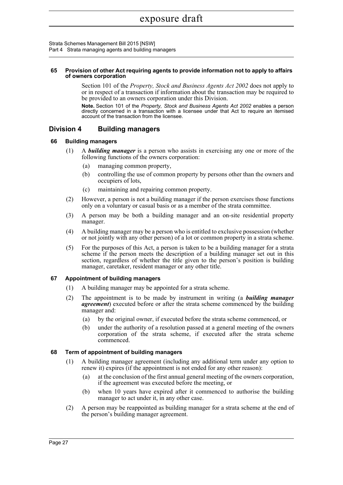Strata Schemes Management Bill 2015 [NSW] Part 4 Strata managing agents and building managers

#### **65 Provision of other Act requiring agents to provide information not to apply to affairs of owners corporation**

Section 101 of the *Property, Stock and Business Agents Act 2002* does not apply to or in respect of a transaction if information about the transaction may be required to be provided to an owners corporation under this Division.

**Note.** Section 101 of the *Property, Stock and Business Agents Act 2002* enables a person directly concerned in a transaction with a licensee under that Act to require an itemised account of the transaction from the licensee.

# **Division 4 Building managers**

# **66 Building managers**

- (1) A *building manager* is a person who assists in exercising any one or more of the following functions of the owners corporation:
	- (a) managing common property,
	- (b) controlling the use of common property by persons other than the owners and occupiers of lots,
	- (c) maintaining and repairing common property.
- (2) However, a person is not a building manager if the person exercises those functions only on a voluntary or casual basis or as a member of the strata committee.
- (3) A person may be both a building manager and an on-site residential property manager.
- (4) A building manager may be a person who is entitled to exclusive possession (whether or not jointly with any other person) of a lot or common property in a strata scheme.
- (5) For the purposes of this Act, a person is taken to be a building manager for a strata scheme if the person meets the description of a building manager set out in this section, regardless of whether the title given to the person's position is building manager, caretaker, resident manager or any other title.

# **67 Appointment of building managers**

- (1) A building manager may be appointed for a strata scheme.
- (2) The appointment is to be made by instrument in writing (a *building manager agreement*) executed before or after the strata scheme commenced by the building manager and:
	- (a) by the original owner, if executed before the strata scheme commenced, or
	- (b) under the authority of a resolution passed at a general meeting of the owners corporation of the strata scheme, if executed after the strata scheme commenced.

# **68 Term of appointment of building managers**

- (1) A building manager agreement (including any additional term under any option to renew it) expires (if the appointment is not ended for any other reason):
	- (a) at the conclusion of the first annual general meeting of the owners corporation, if the agreement was executed before the meeting, or
	- (b) when 10 years have expired after it commenced to authorise the building manager to act under it, in any other case.
- (2) A person may be reappointed as building manager for a strata scheme at the end of the person's building manager agreement.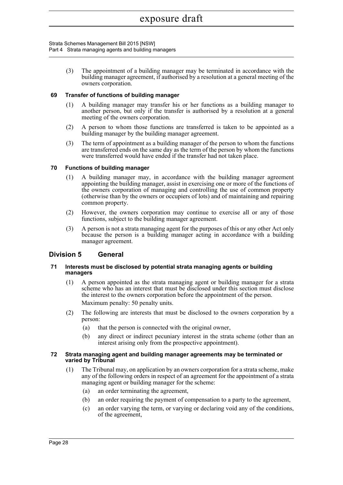Strata Schemes Management Bill 2015 [NSW] Part 4 Strata managing agents and building managers

> (3) The appointment of a building manager may be terminated in accordance with the building manager agreement, if authorised by a resolution at a general meeting of the owners corporation.

# **69 Transfer of functions of building manager**

- (1) A building manager may transfer his or her functions as a building manager to another person, but only if the transfer is authorised by a resolution at a general meeting of the owners corporation.
- (2) A person to whom those functions are transferred is taken to be appointed as a building manager by the building manager agreement.
- (3) The term of appointment as a building manager of the person to whom the functions are transferred ends on the same day as the term of the person by whom the functions were transferred would have ended if the transfer had not taken place.

# **70 Functions of building manager**

- (1) A building manager may, in accordance with the building manager agreement appointing the building manager, assist in exercising one or more of the functions of the owners corporation of managing and controlling the use of common property (otherwise than by the owners or occupiers of lots) and of maintaining and repairing common property.
- (2) However, the owners corporation may continue to exercise all or any of those functions, subject to the building manager agreement.
- (3) A person is not a strata managing agent for the purposes of this or any other Act only because the person is a building manager acting in accordance with a building manager agreement.

# **Division 5 General**

## **71 Interests must be disclosed by potential strata managing agents or building managers**

- (1) A person appointed as the strata managing agent or building manager for a strata scheme who has an interest that must be disclosed under this section must disclose the interest to the owners corporation before the appointment of the person. Maximum penalty: 50 penalty units.
- (2) The following are interests that must be disclosed to the owners corporation by a person:
	- (a) that the person is connected with the original owner,
	- (b) any direct or indirect pecuniary interest in the strata scheme (other than an interest arising only from the prospective appointment).

#### **72 Strata managing agent and building manager agreements may be terminated or varied by Tribunal**

- (1) The Tribunal may, on application by an owners corporation for a strata scheme, make any of the following orders in respect of an agreement for the appointment of a strata managing agent or building manager for the scheme:
	- (a) an order terminating the agreement,
	- (b) an order requiring the payment of compensation to a party to the agreement,
	- (c) an order varying the term, or varying or declaring void any of the conditions, of the agreement,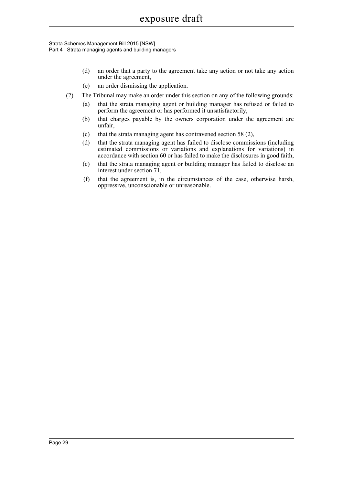Strata Schemes Management Bill 2015 [NSW] Part 4 Strata managing agents and building managers

- (d) an order that a party to the agreement take any action or not take any action under the agreement,
- (e) an order dismissing the application.
- (2) The Tribunal may make an order under this section on any of the following grounds:
	- (a) that the strata managing agent or building manager has refused or failed to perform the agreement or has performed it unsatisfactorily,
	- (b) that charges payable by the owners corporation under the agreement are unfair,
	- (c) that the strata managing agent has contravened section 58 (2),
	- (d) that the strata managing agent has failed to disclose commissions (including estimated commissions or variations and explanations for variations) in accordance with section 60 or has failed to make the disclosures in good faith,
	- (e) that the strata managing agent or building manager has failed to disclose an interest under section 71,
	- (f) that the agreement is, in the circumstances of the case, otherwise harsh, oppressive, unconscionable or unreasonable.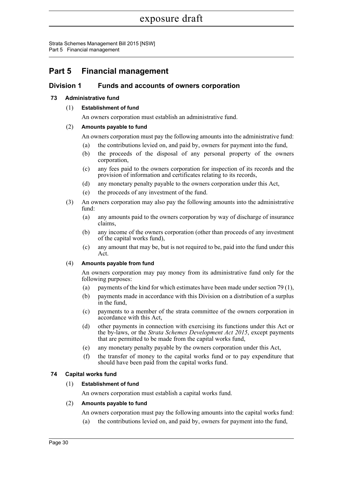Strata Schemes Management Bill 2015 [NSW] Part 5 Financial management

# **Part 5 Financial management**

# **Division 1 Funds and accounts of owners corporation**

# **73 Administrative fund**

(1) **Establishment of fund**

An owners corporation must establish an administrative fund.

# (2) **Amounts payable to fund**

An owners corporation must pay the following amounts into the administrative fund:

- (a) the contributions levied on, and paid by, owners for payment into the fund,
- (b) the proceeds of the disposal of any personal property of the owners corporation,
- (c) any fees paid to the owners corporation for inspection of its records and the provision of information and certificates relating to its records,
- (d) any monetary penalty payable to the owners corporation under this Act,
- (e) the proceeds of any investment of the fund.
- (3) An owners corporation may also pay the following amounts into the administrative fund:
	- (a) any amounts paid to the owners corporation by way of discharge of insurance claims,
	- (b) any income of the owners corporation (other than proceeds of any investment of the capital works fund),
	- (c) any amount that may be, but is not required to be, paid into the fund under this Act.

# (4) **Amounts payable from fund**

An owners corporation may pay money from its administrative fund only for the following purposes:

- (a) payments of the kind for which estimates have been made under section 79 (1),
- (b) payments made in accordance with this Division on a distribution of a surplus in the fund,
- (c) payments to a member of the strata committee of the owners corporation in accordance with this Act,
- (d) other payments in connection with exercising its functions under this Act or the by-laws, or the *Strata Schemes Development Act 2015*, except payments that are permitted to be made from the capital works fund,
- (e) any monetary penalty payable by the owners corporation under this Act,
- (f) the transfer of money to the capital works fund or to pay expenditure that should have been paid from the capital works fund.

# **74 Capital works fund**

# (1) **Establishment of fund**

An owners corporation must establish a capital works fund.

# (2) **Amounts payable to fund**

- An owners corporation must pay the following amounts into the capital works fund:
- (a) the contributions levied on, and paid by, owners for payment into the fund,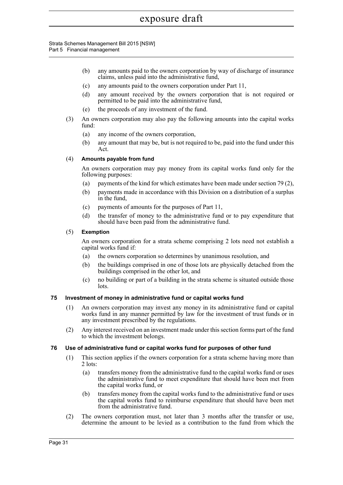#### Strata Schemes Management Bill 2015 [NSW] Part 5 Financial management

- (b) any amounts paid to the owners corporation by way of discharge of insurance claims, unless paid into the administrative fund,
- (c) any amounts paid to the owners corporation under Part 11,
- (d) any amount received by the owners corporation that is not required or permitted to be paid into the administrative fund,
- (e) the proceeds of any investment of the fund.
- (3) An owners corporation may also pay the following amounts into the capital works fund:
	- (a) any income of the owners corporation,
	- (b) any amount that may be, but is not required to be, paid into the fund under this Act.

# (4) **Amounts payable from fund**

An owners corporation may pay money from its capital works fund only for the following purposes:

- (a) payments of the kind for which estimates have been made under section 79 (2),
- (b) payments made in accordance with this Division on a distribution of a surplus in the fund,
- (c) payments of amounts for the purposes of Part 11,
- (d) the transfer of money to the administrative fund or to pay expenditure that should have been paid from the administrative fund.

# (5) **Exemption**

An owners corporation for a strata scheme comprising 2 lots need not establish a capital works fund if:

- (a) the owners corporation so determines by unanimous resolution, and
- (b) the buildings comprised in one of those lots are physically detached from the buildings comprised in the other lot, and
- (c) no building or part of a building in the strata scheme is situated outside those lots.

# **75 Investment of money in administrative fund or capital works fund**

- (1) An owners corporation may invest any money in its administrative fund or capital works fund in any manner permitted by law for the investment of trust funds or in any investment prescribed by the regulations.
- (2) Any interest received on an investment made under this section forms part of the fund to which the investment belongs.

# **76 Use of administrative fund or capital works fund for purposes of other fund**

- (1) This section applies if the owners corporation for a strata scheme having more than 2 lots:
	- (a) transfers money from the administrative fund to the capital works fund or uses the administrative fund to meet expenditure that should have been met from the capital works fund, or
	- (b) transfers money from the capital works fund to the administrative fund or uses the capital works fund to reimburse expenditure that should have been met from the administrative fund.
- (2) The owners corporation must, not later than 3 months after the transfer or use, determine the amount to be levied as a contribution to the fund from which the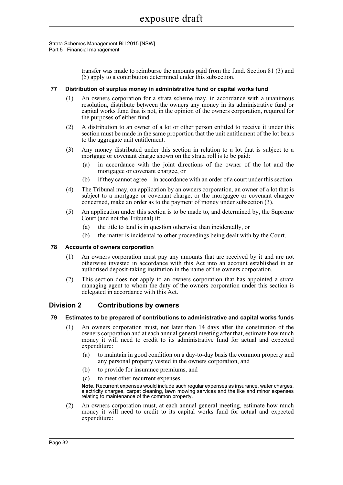Strata Schemes Management Bill 2015 [NSW] Part 5 Financial management

> transfer was made to reimburse the amounts paid from the fund. Section 81 (3) and (5) apply to a contribution determined under this subsection.

#### **77 Distribution of surplus money in administrative fund or capital works fund**

- (1) An owners corporation for a strata scheme may, in accordance with a unanimous resolution, distribute between the owners any money in its administrative fund or capital works fund that is not, in the opinion of the owners corporation, required for the purposes of either fund.
- (2) A distribution to an owner of a lot or other person entitled to receive it under this section must be made in the same proportion that the unit entitlement of the lot bears to the aggregate unit entitlement.
- (3) Any money distributed under this section in relation to a lot that is subject to a mortgage or covenant charge shown on the strata roll is to be paid:
	- (a) in accordance with the joint directions of the owner of the lot and the mortgagee or covenant chargee, or
	- (b) if they cannot agree—in accordance with an order of a court under this section.
- (4) The Tribunal may, on application by an owners corporation, an owner of a lot that is subject to a mortgage or covenant charge, or the mortgagee or covenant chargee concerned, make an order as to the payment of money under subsection (3).
- (5) An application under this section is to be made to, and determined by, the Supreme Court (and not the Tribunal) if:
	- (a) the title to land is in question otherwise than incidentally, or
	- (b) the matter is incidental to other proceedings being dealt with by the Court.

#### **78 Accounts of owners corporation**

- (1) An owners corporation must pay any amounts that are received by it and are not otherwise invested in accordance with this Act into an account established in an authorised deposit-taking institution in the name of the owners corporation.
- (2) This section does not apply to an owners corporation that has appointed a strata managing agent to whom the duty of the owners corporation under this section is delegated in accordance with this Act.

# **Division 2 Contributions by owners**

#### **79 Estimates to be prepared of contributions to administrative and capital works funds**

- (1) An owners corporation must, not later than 14 days after the constitution of the owners corporation and at each annual general meeting after that, estimate how much money it will need to credit to its administrative fund for actual and expected expenditure:
	- (a) to maintain in good condition on a day-to-day basis the common property and any personal property vested in the owners corporation, and
	- (b) to provide for insurance premiums, and
	- (c) to meet other recurrent expenses.

**Note.** Recurrent expenses would include such regular expenses as insurance, water charges, electricity charges, carpet cleaning, lawn mowing services and the like and minor expenses relating to maintenance of the common property.

(2) An owners corporation must, at each annual general meeting, estimate how much money it will need to credit to its capital works fund for actual and expected expenditure: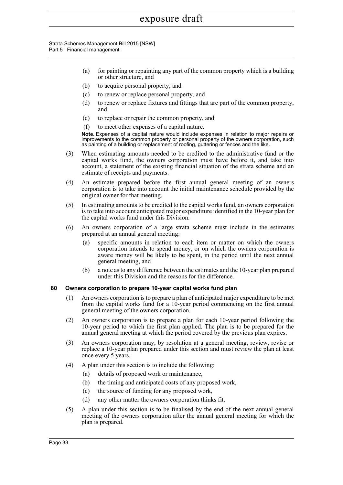Strata Schemes Management Bill 2015 [NSW] Part 5 Financial management

- (a) for painting or repainting any part of the common property which is a building or other structure, and
- (b) to acquire personal property, and
- (c) to renew or replace personal property, and
- (d) to renew or replace fixtures and fittings that are part of the common property, and
- (e) to replace or repair the common property, and
- (f) to meet other expenses of a capital nature.

**Note.** Expenses of a capital nature would include expenses in relation to major repairs or improvements to the common property or personal property of the owners corporation, such as painting of a building or replacement of roofing, guttering or fences and the like.

- (3) When estimating amounts needed to be credited to the administrative fund or the capital works fund, the owners corporation must have before it, and take into account, a statement of the existing financial situation of the strata scheme and an estimate of receipts and payments.
- (4) An estimate prepared before the first annual general meeting of an owners corporation is to take into account the initial maintenance schedule provided by the original owner for that meeting.
- (5) In estimating amounts to be credited to the capital works fund, an owners corporation is to take into account anticipated major expenditure identified in the 10-year plan for the capital works fund under this Division.
- (6) An owners corporation of a large strata scheme must include in the estimates prepared at an annual general meeting:
	- (a) specific amounts in relation to each item or matter on which the owners corporation intends to spend money, or on which the owners corporation is aware money will be likely to be spent, in the period until the next annual general meeting, and
	- (b) a note as to any difference between the estimates and the 10-year plan prepared under this Division and the reasons for the difference.

# **80 Owners corporation to prepare 10-year capital works fund plan**

- (1) An owners corporation is to prepare a plan of anticipated major expenditure to be met from the capital works fund for a 10-year period commencing on the first annual general meeting of the owners corporation.
- (2) An owners corporation is to prepare a plan for each 10-year period following the 10-year period to which the first plan applied. The plan is to be prepared for the annual general meeting at which the period covered by the previous plan expires.
- (3) An owners corporation may, by resolution at a general meeting, review, revise or replace a 10-year plan prepared under this section and must review the plan at least once every 5 years.
- (4) A plan under this section is to include the following:
	- (a) details of proposed work or maintenance,
	- (b) the timing and anticipated costs of any proposed work,
	- (c) the source of funding for any proposed work,
	- (d) any other matter the owners corporation thinks fit.
- (5) A plan under this section is to be finalised by the end of the next annual general meeting of the owners corporation after the annual general meeting for which the plan is prepared.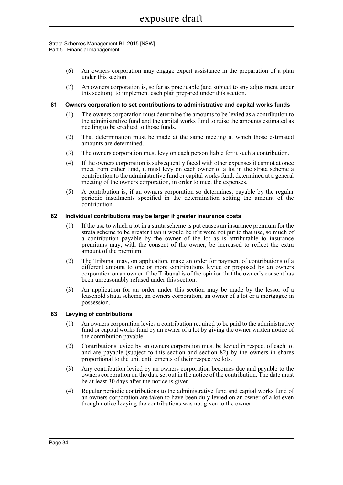#### Strata Schemes Management Bill 2015 [NSW] Part 5 Financial management

- (6) An owners corporation may engage expert assistance in the preparation of a plan under this section.
- (7) An owners corporation is, so far as practicable (and subject to any adjustment under this section), to implement each plan prepared under this section.

#### **81 Owners corporation to set contributions to administrative and capital works funds**

- (1) The owners corporation must determine the amounts to be levied as a contribution to the administrative fund and the capital works fund to raise the amounts estimated as needing to be credited to those funds.
- (2) That determination must be made at the same meeting at which those estimated amounts are determined.
- (3) The owners corporation must levy on each person liable for it such a contribution.
- (4) If the owners corporation is subsequently faced with other expenses it cannot at once meet from either fund, it must levy on each owner of a lot in the strata scheme a contribution to the administrative fund or capital works fund, determined at a general meeting of the owners corporation, in order to meet the expenses.
- (5) A contribution is, if an owners corporation so determines, payable by the regular periodic instalments specified in the determination setting the amount of the contribution.

#### **82 Individual contributions may be larger if greater insurance costs**

- (1) If the use to which a lot in a strata scheme is put causes an insurance premium for the strata scheme to be greater than it would be if it were not put to that use, so much of a contribution payable by the owner of the lot as is attributable to insurance premiums may, with the consent of the owner, be increased to reflect the extra amount of the premium.
- (2) The Tribunal may, on application, make an order for payment of contributions of a different amount to one or more contributions levied or proposed by an owners corporation on an owner if the Tribunal is of the opinion that the owner's consent has been unreasonably refused under this section.
- (3) An application for an order under this section may be made by the lessor of a leasehold strata scheme, an owners corporation, an owner of a lot or a mortgagee in possession.

#### **83 Levying of contributions**

- (1) An owners corporation levies a contribution required to be paid to the administrative fund or capital works fund by an owner of a lot by giving the owner written notice of the contribution payable.
- (2) Contributions levied by an owners corporation must be levied in respect of each lot and are payable (subject to this section and section 82) by the owners in shares proportional to the unit entitlements of their respective lots.
- (3) Any contribution levied by an owners corporation becomes due and payable to the owners corporation on the date set out in the notice of the contribution. The date must be at least 30 days after the notice is given.
- (4) Regular periodic contributions to the administrative fund and capital works fund of an owners corporation are taken to have been duly levied on an owner of a lot even though notice levying the contributions was not given to the owner.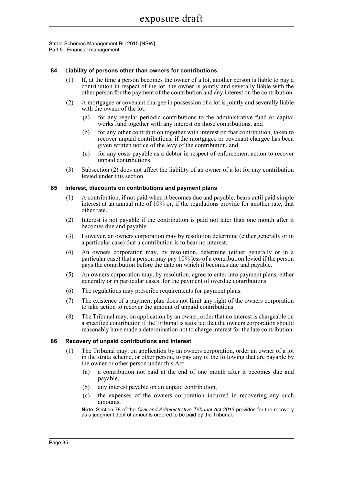Strata Schemes Management Bill 2015 [NSW] Part 5 Financial management

## **84 Liability of persons other than owners for contributions**

- (1) If, at the time a person becomes the owner of a lot, another person is liable to pay a contribution in respect of the lot, the owner is jointly and severally liable with the other person for the payment of the contribution and any interest on the contribution.
- (2) A mortgagee or covenant chargee in possession of a lot is jointly and severally liable with the owner of the lot:
	- (a) for any regular periodic contributions to the administrative fund or capital works fund together with any interest on those contributions, and
	- (b) for any other contribution together with interest on that contribution, taken to recover unpaid contributions, if the mortgagee or covenant chargee has been given written notice of the levy of the contribution, and
	- (c) for any costs payable as a debtor in respect of enforcement action to recover unpaid contributions.
- (3) Subsection (2) does not affect the liability of an owner of a lot for any contribution levied under this section.

#### **85 Interest, discounts on contributions and payment plans**

- (1) A contribution, if not paid when it becomes due and payable, bears until paid simple interest at an annual rate of 10% or, if the regulations provide for another rate, that other rate.
- (2) Interest is not payable if the contribution is paid not later than one month after it becomes due and payable.
- (3) However, an owners corporation may by resolution determine (either generally or in a particular case) that a contribution is to bear no interest.
- (4) An owners corporation may, by resolution, determine (either generally or in a particular case) that a person may pay 10% less of a contribution levied if the person pays the contribution before the date on which it becomes due and payable.
- (5) An owners corporation may, by resolution, agree to enter into payment plans, either generally or in particular cases, for the payment of overdue contributions.
- (6) The regulations may prescribe requirements for payment plans.
- (7) The existence of a payment plan does not limit any right of the owners corporation to take action to recover the amount of unpaid contributions.
- (8) The Tribunal may, on application by an owner, order that no interest is chargeable on a specified contribution if the Tribunal is satisfied that the owners corporation should reasonably have made a determination not to charge interest for the late contribution.

#### **86 Recovery of unpaid contributions and interest**

- (1) The Tribunal may, on application by an owners corporation, order an owner of a lot in the strata scheme, or other person, to pay any of the following that are payable by the owner or other person under this Act:
	- (a) a contribution not paid at the end of one month after it becomes due and payable,
	- (b) any interest payable on an unpaid contribution,
	- (c) the expenses of the owners corporation incurred in recovering any such amounts.

**Note.** Section 78 of the *Civil and Administrative Tribunal Act 2013* provides for the recovery as a judgment debt of amounts ordered to be paid by the Tribunal.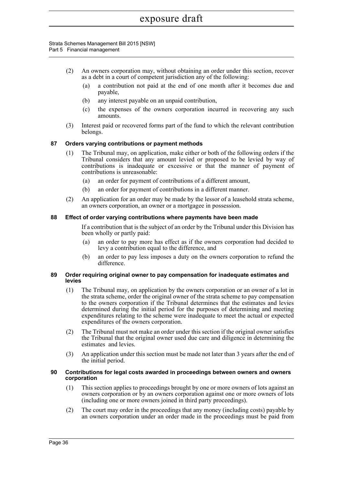Strata Schemes Management Bill 2015 [NSW] Part 5 Financial management

- (2) An owners corporation may, without obtaining an order under this section, recover as a debt in a court of competent jurisdiction any of the following:
	- (a) a contribution not paid at the end of one month after it becomes due and payable,
	- (b) any interest payable on an unpaid contribution,
	- (c) the expenses of the owners corporation incurred in recovering any such amounts.
- (3) Interest paid or recovered forms part of the fund to which the relevant contribution belongs.

## **87 Orders varying contributions or payment methods**

- (1) The Tribunal may, on application, make either or both of the following orders if the Tribunal considers that any amount levied or proposed to be levied by way of contributions is inadequate or excessive or that the manner of payment of contributions is unreasonable:
	- (a) an order for payment of contributions of a different amount,
	- (b) an order for payment of contributions in a different manner.
- (2) An application for an order may be made by the lessor of a leasehold strata scheme, an owners corporation, an owner or a mortgagee in possession.

#### **88 Effect of order varying contributions where payments have been made**

If a contribution that is the subject of an order by the Tribunal under this Division has been wholly or partly paid:

- (a) an order to pay more has effect as if the owners corporation had decided to levy a contribution equal to the difference, and
- (b) an order to pay less imposes a duty on the owners corporation to refund the difference.

#### **89 Order requiring original owner to pay compensation for inadequate estimates and levies**

- (1) The Tribunal may, on application by the owners corporation or an owner of a lot in the strata scheme, order the original owner of the strata scheme to pay compensation to the owners corporation if the Tribunal determines that the estimates and levies determined during the initial period for the purposes of determining and meeting expenditures relating to the scheme were inadequate to meet the actual or expected expenditures of the owners corporation.
- (2) The Tribunal must not make an order under this section if the original owner satisfies the Tribunal that the original owner used due care and diligence in determining the estimates and levies.
- (3) An application under this section must be made not later than 3 years after the end of the initial period.

#### **90 Contributions for legal costs awarded in proceedings between owners and owners corporation**

- (1) This section applies to proceedings brought by one or more owners of lots against an owners corporation or by an owners corporation against one or more owners of lots (including one or more owners joined in third party proceedings).
- (2) The court may order in the proceedings that any money (including costs) payable by an owners corporation under an order made in the proceedings must be paid from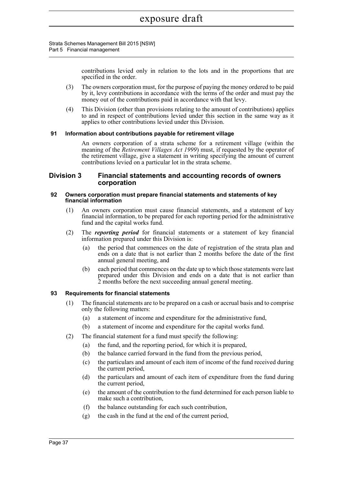Strata Schemes Management Bill 2015 [NSW] Part 5 Financial management

> contributions levied only in relation to the lots and in the proportions that are specified in the order.

- (3) The owners corporation must, for the purpose of paying the money ordered to be paid by it, levy contributions in accordance with the terms of the order and must pay the money out of the contributions paid in accordance with that levy.
- (4) This Division (other than provisions relating to the amount of contributions) applies to and in respect of contributions levied under this section in the same way as it applies to other contributions levied under this Division.

## **91 Information about contributions payable for retirement village**

An owners corporation of a strata scheme for a retirement village (within the meaning of the *Retirement Villages Act 1999*) must, if requested by the operator of the retirement village, give a statement in writing specifying the amount of current contributions levied on a particular lot in the strata scheme.

# **Division 3 Financial statements and accounting records of owners corporation**

#### **92 Owners corporation must prepare financial statements and statements of key financial information**

- (1) An owners corporation must cause financial statements, and a statement of key financial information, to be prepared for each reporting period for the administrative fund and the capital works fund.
- (2) The *reporting period* for financial statements or a statement of key financial information prepared under this Division is:
	- (a) the period that commences on the date of registration of the strata plan and ends on a date that is not earlier than 2 months before the date of the first annual general meeting, and
	- (b) each period that commences on the date up to which those statements were last prepared under this Division and ends on a date that is not earlier than 2 months before the next succeeding annual general meeting.

#### **93 Requirements for financial statements**

- (1) The financial statements are to be prepared on a cash or accrual basis and to comprise only the following matters:
	- (a) a statement of income and expenditure for the administrative fund,
	- (b) a statement of income and expenditure for the capital works fund.
- (2) The financial statement for a fund must specify the following:
	- (a) the fund, and the reporting period, for which it is prepared,
	- (b) the balance carried forward in the fund from the previous period,
	- (c) the particulars and amount of each item of income of the fund received during the current period,
	- (d) the particulars and amount of each item of expenditure from the fund during the current period,
	- (e) the amount of the contribution to the fund determined for each person liable to make such a contribution,
	- (f) the balance outstanding for each such contribution,
	- (g) the cash in the fund at the end of the current period,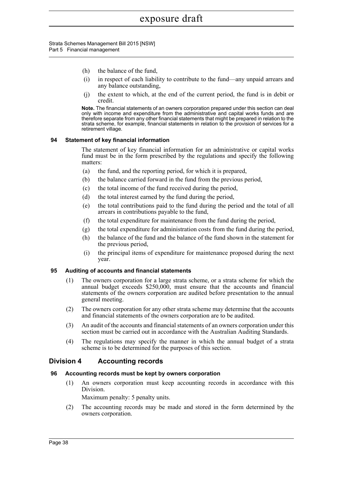Strata Schemes Management Bill 2015 [NSW] Part 5 Financial management

- (h) the balance of the fund,
- (i) in respect of each liability to contribute to the fund—any unpaid arrears and any balance outstanding,
- (j) the extent to which, at the end of the current period, the fund is in debit or credit.

**Note.** The financial statements of an owners corporation prepared under this section can deal only with income and expenditure from the administrative and capital works funds and are therefore separate from any other financial statements that might be prepared in relation to the strata scheme, for example, financial statements in relation to the provision of services for a retirement village.

## **94 Statement of key financial information**

The statement of key financial information for an administrative or capital works fund must be in the form prescribed by the regulations and specify the following matters:

- (a) the fund, and the reporting period, for which it is prepared,
- (b) the balance carried forward in the fund from the previous period,
- (c) the total income of the fund received during the period,
- (d) the total interest earned by the fund during the period,
- (e) the total contributions paid to the fund during the period and the total of all arrears in contributions payable to the fund,
- (f) the total expenditure for maintenance from the fund during the period,
- (g) the total expenditure for administration costs from the fund during the period,
- (h) the balance of the fund and the balance of the fund shown in the statement for the previous period,
- (i) the principal items of expenditure for maintenance proposed during the next year.

# **95 Auditing of accounts and financial statements**

- (1) The owners corporation for a large strata scheme, or a strata scheme for which the annual budget exceeds \$250,000, must ensure that the accounts and financial statements of the owners corporation are audited before presentation to the annual general meeting.
- (2) The owners corporation for any other strata scheme may determine that the accounts and financial statements of the owners corporation are to be audited.
- (3) An audit of the accounts and financial statements of an owners corporation under this section must be carried out in accordance with the Australian Auditing Standards.
- (4) The regulations may specify the manner in which the annual budget of a strata scheme is to be determined for the purposes of this section.

# **Division 4 Accounting records**

# **96 Accounting records must be kept by owners corporation**

(1) An owners corporation must keep accounting records in accordance with this Division.

Maximum penalty: 5 penalty units.

(2) The accounting records may be made and stored in the form determined by the owners corporation.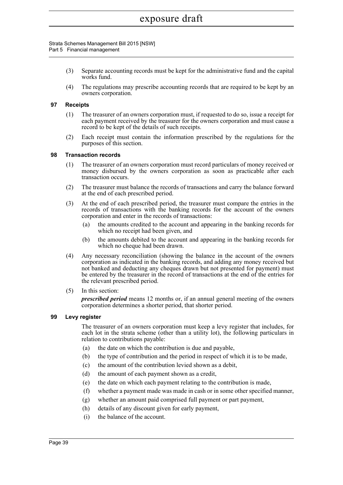Strata Schemes Management Bill 2015 [NSW] Part 5 Financial management

- (3) Separate accounting records must be kept for the administrative fund and the capital works fund.
- (4) The regulations may prescribe accounting records that are required to be kept by an owners corporation.

## **97 Receipts**

- (1) The treasurer of an owners corporation must, if requested to do so, issue a receipt for each payment received by the treasurer for the owners corporation and must cause a record to be kept of the details of such receipts.
- (2) Each receipt must contain the information prescribed by the regulations for the purposes of this section.

## **98 Transaction records**

- (1) The treasurer of an owners corporation must record particulars of money received or money disbursed by the owners corporation as soon as practicable after each transaction occurs.
- (2) The treasurer must balance the records of transactions and carry the balance forward at the end of each prescribed period.
- (3) At the end of each prescribed period, the treasurer must compare the entries in the records of transactions with the banking records for the account of the owners corporation and enter in the records of transactions:
	- (a) the amounts credited to the account and appearing in the banking records for which no receipt had been given, and
	- (b) the amounts debited to the account and appearing in the banking records for which no cheque had been drawn.
- (4) Any necessary reconciliation (showing the balance in the account of the owners corporation as indicated in the banking records, and adding any money received but not banked and deducting any cheques drawn but not presented for payment) must be entered by the treasurer in the record of transactions at the end of the entries for the relevant prescribed period.
- (5) In this section:

*prescribed period* means 12 months or, if an annual general meeting of the owners corporation determines a shorter period, that shorter period.

#### **99 Levy register**

The treasurer of an owners corporation must keep a levy register that includes, for each lot in the strata scheme (other than a utility lot), the following particulars in relation to contributions payable:

- (a) the date on which the contribution is due and payable,
- (b) the type of contribution and the period in respect of which it is to be made,
- (c) the amount of the contribution levied shown as a debit,
- (d) the amount of each payment shown as a credit,
- (e) the date on which each payment relating to the contribution is made,
- (f) whether a payment made was made in cash or in some other specified manner,
- (g) whether an amount paid comprised full payment or part payment,
- (h) details of any discount given for early payment,
- (i) the balance of the account.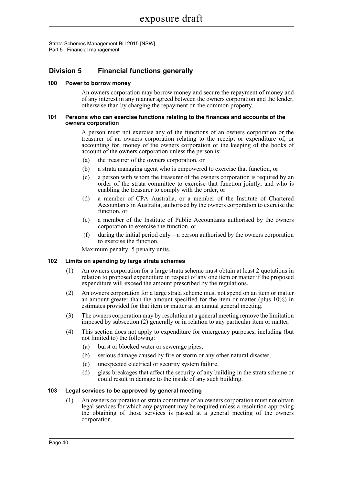Strata Schemes Management Bill 2015 [NSW] Part 5 Financial management

# **Division 5 Financial functions generally**

## **100 Power to borrow money**

An owners corporation may borrow money and secure the repayment of money and of any interest in any manner agreed between the owners corporation and the lender, otherwise than by charging the repayment on the common property.

#### **101 Persons who can exercise functions relating to the finances and accounts of the owners corporation**

A person must not exercise any of the functions of an owners corporation or the treasurer of an owners corporation relating to the receipt or expenditure of, or accounting for, money of the owners corporation or the keeping of the books of account of the owners corporation unless the person is:

- (a) the treasurer of the owners corporation, or
- (b) a strata managing agent who is empowered to exercise that function, or
- (c) a person with whom the treasurer of the owners corporation is required by an order of the strata committee to exercise that function jointly, and who is enabling the treasurer to comply with the order, or
- (d) a member of CPA Australia, or a member of the Institute of Chartered Accountants in Australia, authorised by the owners corporation to exercise the function, or
- (e) a member of the Institute of Public Accountants authorised by the owners corporation to exercise the function, or
- (f) during the initial period only—a person authorised by the owners corporation to exercise the function.

Maximum penalty: 5 penalty units.

## **102 Limits on spending by large strata schemes**

- (1) An owners corporation for a large strata scheme must obtain at least 2 quotations in relation to proposed expenditure in respect of any one item or matter if the proposed expenditure will exceed the amount prescribed by the regulations.
- (2) An owners corporation for a large strata scheme must not spend on an item or matter an amount greater than the amount specified for the item or matter (plus 10%) in estimates provided for that item or matter at an annual general meeting.
- (3) The owners corporation may by resolution at a general meeting remove the limitation imposed by subsection (2) generally or in relation to any particular item or matter.
- (4) This section does not apply to expenditure for emergency purposes, including (but not limited to) the following:
	- (a) burst or blocked water or sewerage pipes,
	- (b) serious damage caused by fire or storm or any other natural disaster,
	- (c) unexpected electrical or security system failure,
	- (d) glass breakages that affect the security of any building in the strata scheme or could result in damage to the inside of any such building.

## **103 Legal services to be approved by general meeting**

(1) An owners corporation or strata committee of an owners corporation must not obtain legal services for which any payment may be required unless a resolution approving the obtaining of those services is passed at a general meeting of the owners corporation.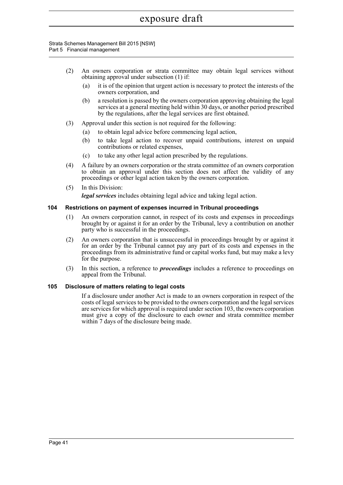#### Strata Schemes Management Bill 2015 [NSW] Part 5 Financial management

- (2) An owners corporation or strata committee may obtain legal services without obtaining approval under subsection (1) if:
	- (a) it is of the opinion that urgent action is necessary to protect the interests of the owners corporation, and
	- (b) a resolution is passed by the owners corporation approving obtaining the legal services at a general meeting held within 30 days, or another period prescribed by the regulations, after the legal services are first obtained.
- (3) Approval under this section is not required for the following:
	- (a) to obtain legal advice before commencing legal action,
	- (b) to take legal action to recover unpaid contributions, interest on unpaid contributions or related expenses,
	- (c) to take any other legal action prescribed by the regulations.
- (4) A failure by an owners corporation or the strata committee of an owners corporation to obtain an approval under this section does not affect the validity of any proceedings or other legal action taken by the owners corporation.
- (5) In this Division:

*legal services* includes obtaining legal advice and taking legal action.

## **104 Restrictions on payment of expenses incurred in Tribunal proceedings**

- (1) An owners corporation cannot, in respect of its costs and expenses in proceedings brought by or against it for an order by the Tribunal, levy a contribution on another party who is successful in the proceedings.
- (2) An owners corporation that is unsuccessful in proceedings brought by or against it for an order by the Tribunal cannot pay any part of its costs and expenses in the proceedings from its administrative fund or capital works fund, but may make a levy for the purpose.
- (3) In this section, a reference to *proceedings* includes a reference to proceedings on appeal from the Tribunal.

#### **105 Disclosure of matters relating to legal costs**

If a disclosure under another Act is made to an owners corporation in respect of the costs of legal services to be provided to the owners corporation and the legal services are services for which approval is required under section 103, the owners corporation must give a copy of the disclosure to each owner and strata committee member within 7 days of the disclosure being made.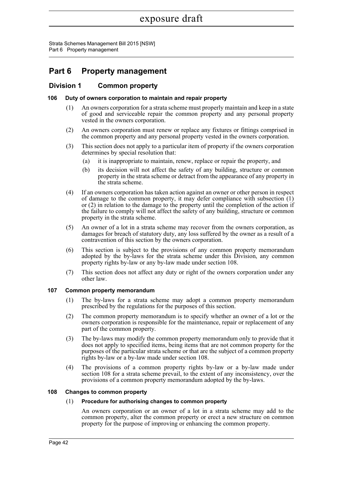Strata Schemes Management Bill 2015 [NSW] Part 6 Property management

# **Part 6 Property management**

# **Division 1 Common property**

# **106 Duty of owners corporation to maintain and repair property**

- (1) An owners corporation for a strata scheme must properly maintain and keep in a state of good and serviceable repair the common property and any personal property vested in the owners corporation.
- (2) An owners corporation must renew or replace any fixtures or fittings comprised in the common property and any personal property vested in the owners corporation.
- (3) This section does not apply to a particular item of property if the owners corporation determines by special resolution that:
	- (a) it is inappropriate to maintain, renew, replace or repair the property, and
	- (b) its decision will not affect the safety of any building, structure or common property in the strata scheme or detract from the appearance of any property in the strata scheme.
- (4) If an owners corporation has taken action against an owner or other person in respect of damage to the common property, it may defer compliance with subsection (1) or (2) in relation to the damage to the property until the completion of the action if the failure to comply will not affect the safety of any building, structure or common property in the strata scheme.
- (5) An owner of a lot in a strata scheme may recover from the owners corporation, as damages for breach of statutory duty, any loss suffered by the owner as a result of a contravention of this section by the owners corporation.
- (6) This section is subject to the provisions of any common property memorandum adopted by the by-laws for the strata scheme under this Division, any common property rights by-law or any by-law made under section 108.
- (7) This section does not affect any duty or right of the owners corporation under any other law.

# **107 Common property memorandum**

- (1) The by-laws for a strata scheme may adopt a common property memorandum prescribed by the regulations for the purposes of this section.
- (2) The common property memorandum is to specify whether an owner of a lot or the owners corporation is responsible for the maintenance, repair or replacement of any part of the common property.
- (3) The by-laws may modify the common property memorandum only to provide that it does not apply to specified items, being items that are not common property for the purposes of the particular strata scheme or that are the subject of a common property rights by-law or a by-law made under section 108.
- (4) The provisions of a common property rights by-law or a by-law made under section 108 for a strata scheme prevail, to the extent of any inconsistency, over the provisions of a common property memorandum adopted by the by-laws.

# **108 Changes to common property**

#### (1) **Procedure for authorising changes to common property**

An owners corporation or an owner of a lot in a strata scheme may add to the common property, alter the common property or erect a new structure on common property for the purpose of improving or enhancing the common property.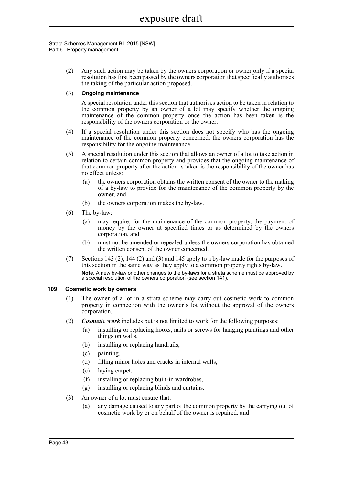#### Strata Schemes Management Bill 2015 [NSW] Part 6 Property management

(2) Any such action may be taken by the owners corporation or owner only if a special resolution has first been passed by the owners corporation that specifically authorises the taking of the particular action proposed.

# (3) **Ongoing maintenance**

A special resolution under this section that authorises action to be taken in relation to the common property by an owner of a lot may specify whether the ongoing maintenance of the common property once the action has been taken is the responsibility of the owners corporation or the owner.

- (4) If a special resolution under this section does not specify who has the ongoing maintenance of the common property concerned, the owners corporation has the responsibility for the ongoing maintenance.
- (5) A special resolution under this section that allows an owner of a lot to take action in relation to certain common property and provides that the ongoing maintenance of that common property after the action is taken is the responsibility of the owner has no effect unless:
	- (a) the owners corporation obtains the written consent of the owner to the making of a by-law to provide for the maintenance of the common property by the owner, and
	- (b) the owners corporation makes the by-law.
- (6) The by-law:
	- (a) may require, for the maintenance of the common property, the payment of money by the owner at specified times or as determined by the owners corporation, and
	- (b) must not be amended or repealed unless the owners corporation has obtained the written consent of the owner concerned.
- (7) Sections 143 (2), 144 (2) and (3) and 145 apply to a by-law made for the purposes of this section in the same way as they apply to a common property rights by-law. **Note.** A new by-law or other changes to the by-laws for a strata scheme must be approved by a special resolution of the owners corporation (see section 141).

# **109 Cosmetic work by owners**

- (1) The owner of a lot in a strata scheme may carry out cosmetic work to common property in connection with the owner's lot without the approval of the owners corporation.
- (2) *Cosmetic work* includes but is not limited to work for the following purposes:
	- (a) installing or replacing hooks, nails or screws for hanging paintings and other things on walls,
	- (b) installing or replacing handrails,
	- (c) painting,
	- (d) filling minor holes and cracks in internal walls,
	- (e) laying carpet,
	- (f) installing or replacing built-in wardrobes,
	- (g) installing or replacing blinds and curtains.
- (3) An owner of a lot must ensure that:
	- (a) any damage caused to any part of the common property by the carrying out of cosmetic work by or on behalf of the owner is repaired, and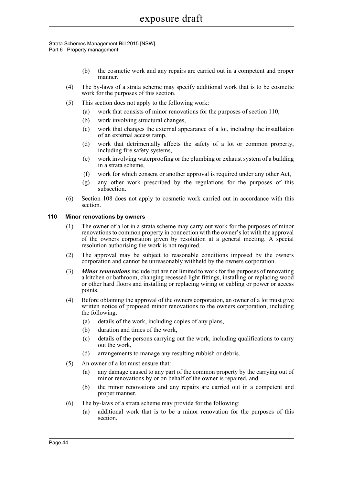#### Strata Schemes Management Bill 2015 [NSW] Part 6 Property management

- (b) the cosmetic work and any repairs are carried out in a competent and proper manner.
- (4) The by-laws of a strata scheme may specify additional work that is to be cosmetic work for the purposes of this section.
- (5) This section does not apply to the following work:
	- (a) work that consists of minor renovations for the purposes of section 110,
	- (b) work involving structural changes,
	- (c) work that changes the external appearance of a lot, including the installation of an external access ramp,
	- (d) work that detrimentally affects the safety of a lot or common property, including fire safety systems,
	- (e) work involving waterproofing or the plumbing or exhaust system of a building in a strata scheme,
	- (f) work for which consent or another approval is required under any other Act,
	- (g) any other work prescribed by the regulations for the purposes of this subsection.
- (6) Section 108 does not apply to cosmetic work carried out in accordance with this section.

# **110 Minor renovations by owners**

- (1) The owner of a lot in a strata scheme may carry out work for the purposes of minor renovations to common property in connection with the owner's lot with the approval of the owners corporation given by resolution at a general meeting. A special resolution authorising the work is not required.
- (2) The approval may be subject to reasonable conditions imposed by the owners corporation and cannot be unreasonably withheld by the owners corporation.
- (3) *Minor renovations* include but are not limited to work for the purposes of renovating a kitchen or bathroom, changing recessed light fittings, installing or replacing wood or other hard floors and installing or replacing wiring or cabling or power or access points.
- (4) Before obtaining the approval of the owners corporation, an owner of a lot must give written notice of proposed minor renovations to the owners corporation, including the following:
	- (a) details of the work, including copies of any plans,
	- (b) duration and times of the work,
	- (c) details of the persons carrying out the work, including qualifications to carry out the work,
	- (d) arrangements to manage any resulting rubbish or debris.
- (5) An owner of a lot must ensure that:
	- (a) any damage caused to any part of the common property by the carrying out of minor renovations by or on behalf of the owner is repaired, and
	- (b) the minor renovations and any repairs are carried out in a competent and proper manner.
- (6) The by-laws of a strata scheme may provide for the following:
	- (a) additional work that is to be a minor renovation for the purposes of this section,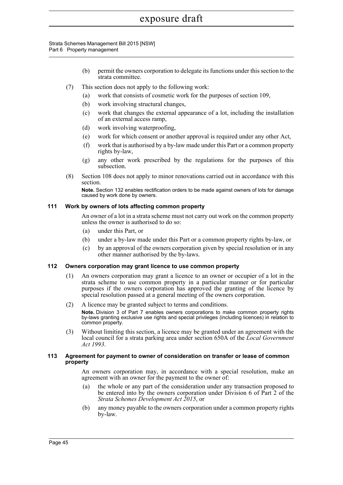#### Strata Schemes Management Bill 2015 [NSW] Part 6 Property management

- (b) permit the owners corporation to delegate its functions under this section to the strata committee.
- (7) This section does not apply to the following work:
	- (a) work that consists of cosmetic work for the purposes of section 109,
	- (b) work involving structural changes,
	- (c) work that changes the external appearance of a lot, including the installation of an external access ramp,
	- (d) work involving waterproofing,
	- (e) work for which consent or another approval is required under any other Act,
	- (f) work that is authorised by a by-law made under this Part or a common property rights by-law,
	- (g) any other work prescribed by the regulations for the purposes of this subsection.
- (8) Section 108 does not apply to minor renovations carried out in accordance with this section.

**Note.** Section 132 enables rectification orders to be made against owners of lots for damage caused by work done by owners.

## **111 Work by owners of lots affecting common property**

An owner of a lot in a strata scheme must not carry out work on the common property unless the owner is authorised to do so:

- (a) under this Part, or
- (b) under a by-law made under this Part or a common property rights by-law, or
- (c) by an approval of the owners corporation given by special resolution or in any other manner authorised by the by-laws.

# **112 Owners corporation may grant licence to use common property**

- (1) An owners corporation may grant a licence to an owner or occupier of a lot in the strata scheme to use common property in a particular manner or for particular purposes if the owners corporation has approved the granting of the licence by special resolution passed at a general meeting of the owners corporation.
- (2) A licence may be granted subject to terms and conditions. **Note.** Division 3 of Part 7 enables owners corporations to make common property rights by-laws granting exclusive use rights and special privileges (including licences) in relation to common property.
- (3) Without limiting this section, a licence may be granted under an agreement with the local council for a strata parking area under section 650A of the *Local Government Act 1993*.

#### **113 Agreement for payment to owner of consideration on transfer or lease of common property**

An owners corporation may, in accordance with a special resolution, make an agreement with an owner for the payment to the owner of:

- (a) the whole or any part of the consideration under any transaction proposed to be entered into by the owners corporation under Division 6 of Part 2 of the *Strata Schemes Development Act 2015*, or
- (b) any money payable to the owners corporation under a common property rights by-law.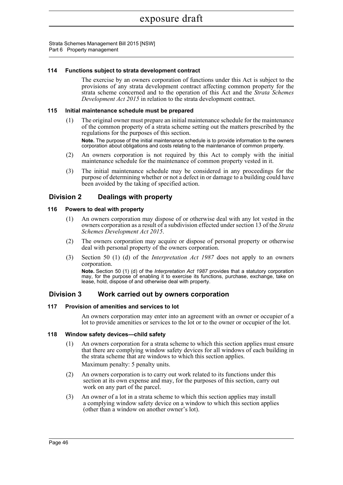Strata Schemes Management Bill 2015 [NSW] Part 6 Property management

## **114 Functions subject to strata development contract**

The exercise by an owners corporation of functions under this Act is subject to the provisions of any strata development contract affecting common property for the strata scheme concerned and to the operation of this Act and the *Strata Schemes Development Act 2015* in relation to the strata development contract.

## **115 Initial maintenance schedule must be prepared**

- (1) The original owner must prepare an initial maintenance schedule for the maintenance of the common property of a strata scheme setting out the matters prescribed by the regulations for the purposes of this section. **Note.** The purpose of the initial maintenance schedule is to provide information to the owners corporation about obligations and costs relating to the maintenance of common property.
- (2) An owners corporation is not required by this Act to comply with the initial maintenance schedule for the maintenance of common property vested in it.
- (3) The initial maintenance schedule may be considered in any proceedings for the purpose of determining whether or not a defect in or damage to a building could have been avoided by the taking of specified action.

# **Division 2 Dealings with property**

## **116 Powers to deal with property**

- (1) An owners corporation may dispose of or otherwise deal with any lot vested in the owners corporation as a result of a subdivision effected under section 13 of the *Strata Schemes Development Act 2015*.
- (2) The owners corporation may acquire or dispose of personal property or otherwise deal with personal property of the owners corporation.
- (3) Section 50 (1) (d) of the *Interpretation Act 1987* does not apply to an owners corporation.

**Note.** Section 50 (1) (d) of the *Interpretation Act 1987* provides that a statutory corporation may, for the purpose of enabling it to exercise its functions, purchase, exchange, take on lease, hold, dispose of and otherwise deal with property.

# **Division 3 Work carried out by owners corporation**

#### **117 Provision of amenities and services to lot**

An owners corporation may enter into an agreement with an owner or occupier of a lot to provide amenities or services to the lot or to the owner or occupier of the lot.

#### **118 Window safety devices—child safety**

(1) An owners corporation for a strata scheme to which this section applies must ensure that there are complying window safety devices for all windows of each building in the strata scheme that are windows to which this section applies.

Maximum penalty: 5 penalty units.

- (2) An owners corporation is to carry out work related to its functions under this section at its own expense and may, for the purposes of this section, carry out work on any part of the parcel.
- (3) An owner of a lot in a strata scheme to which this section applies may install a complying window safety device on a window to which this section applies (other than a window on another owner's lot).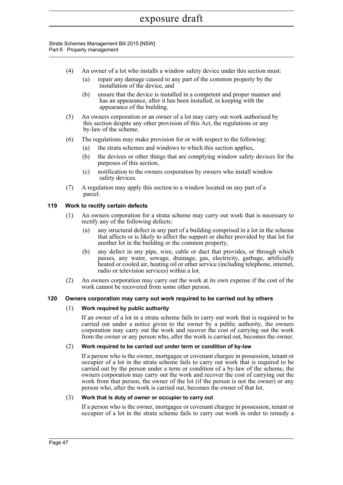Strata Schemes Management Bill 2015 [NSW] Part 6 Property management

- (4) An owner of a lot who installs a window safety device under this section must:
	- (a) repair any damage caused to any part of the common property by the installation of the device, and
	- (b) ensure that the device is installed in a competent and proper manner and has an appearance, after it has been installed, in keeping with the appearance of the building.
- (5) An owners corporation or an owner of a lot may carry out work authorised by this section despite any other provision of this Act, the regulations or any by-law of the scheme.
- (6) The regulations may make provision for or with respect to the following:
	- (a) the strata schemes and windows to which this section applies,
	- (b) the devices or other things that are complying window safety devices for the purposes of this section,
	- (c) notification to the owners corporation by owners who install window safety devices.
- (7) A regulation may apply this section to a window located on any part of a parcel.

# **119 Work to rectify certain defects**

- (1) An owners corporation for a strata scheme may carry out work that is necessary to rectify any of the following defects:
	- (a) any structural defect in any part of a building comprised in a lot in the scheme that affects or is likely to affect the support or shelter provided by that lot for another lot in the building or the common property,
	- (b) any defect in any pipe, wire, cable or duct that provides, or through which passes, any water, sewage, drainage, gas, electricity, garbage, artificially heated or cooled air, heating oil or other service (including telephone, internet, radio or television services) within a lot.
- (2) An owners corporation may carry out the work at its own expense if the cost of the work cannot be recovered from some other person.

# **120 Owners corporation may carry out work required to be carried out by others**

# (1) **Work required by public authority**

If an owner of a lot in a strata scheme fails to carry out work that is required to be carried out under a notice given to the owner by a public authority, the owners corporation may carry out the work and recover the cost of carrying out the work from the owner or any person who, after the work is carried out, becomes the owner.

# (2) **Work required to be carried out under term or condition of by-law**

If a person who is the owner, mortgagee or covenant chargee in possession, tenant or occupier of a lot in the strata scheme fails to carry out work that is required to be carried out by the person under a term or condition of a by-law of the scheme, the owners corporation may carry out the work and recover the cost of carrying out the work from that person, the owner of the lot (if the person is not the owner) or any person who, after the work is carried out, becomes the owner of that lot.

# (3) **Work that is duty of owner or occupier to carry out**

If a person who is the owner, mortgagee or covenant chargee in possession, tenant or occupier of a lot in the strata scheme fails to carry out work in order to remedy a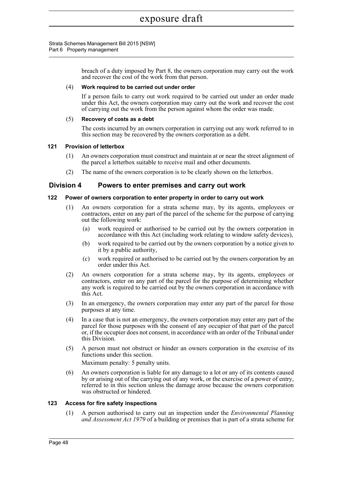Strata Schemes Management Bill 2015 [NSW] Part 6 Property management

> breach of a duty imposed by Part 8, the owners corporation may carry out the work and recover the cost of the work from that person.

## (4) **Work required to be carried out under order**

If a person fails to carry out work required to be carried out under an order made under this Act, the owners corporation may carry out the work and recover the cost of carrying out the work from the person against whom the order was made.

## (5) **Recovery of costs as a debt**

The costs incurred by an owners corporation in carrying out any work referred to in this section may be recovered by the owners corporation as a debt.

## **121 Provision of letterbox**

- (1) An owners corporation must construct and maintain at or near the street alignment of the parcel a letterbox suitable to receive mail and other documents.
- (2) The name of the owners corporation is to be clearly shown on the letterbox.

# **Division 4 Powers to enter premises and carry out work**

## **122 Power of owners corporation to enter property in order to carry out work**

- (1) An owners corporation for a strata scheme may, by its agents, employees or contractors, enter on any part of the parcel of the scheme for the purpose of carrying out the following work:
	- (a) work required or authorised to be carried out by the owners corporation in accordance with this Act (including work relating to window safety devices),
	- (b) work required to be carried out by the owners corporation by a notice given to it by a public authority,
	- (c) work required or authorised to be carried out by the owners corporation by an order under this Act.
- (2) An owners corporation for a strata scheme may, by its agents, employees or contractors, enter on any part of the parcel for the purpose of determining whether any work is required to be carried out by the owners corporation in accordance with this Act.
- (3) In an emergency, the owners corporation may enter any part of the parcel for those purposes at any time.
- (4) In a case that is not an emergency, the owners corporation may enter any part of the parcel for those purposes with the consent of any occupier of that part of the parcel or, if the occupier does not consent, in accordance with an order of the Tribunal under this Division.
- (5) A person must not obstruct or hinder an owners corporation in the exercise of its functions under this section.

Maximum penalty: 5 penalty units.

(6) An owners corporation is liable for any damage to a lot or any of its contents caused by or arising out of the carrying out of any work, or the exercise of a power of entry, referred to in this section unless the damage arose because the owners corporation was obstructed or hindered.

#### **123 Access for fire safety inspections**

(1) A person authorised to carry out an inspection under the *Environmental Planning and Assessment Act 1979* of a building or premises that is part of a strata scheme for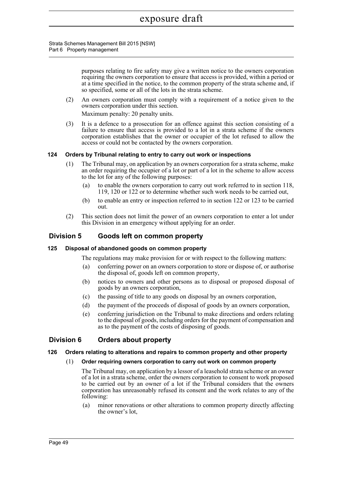Strata Schemes Management Bill 2015 [NSW] Part 6 Property management

> purposes relating to fire safety may give a written notice to the owners corporation requiring the owners corporation to ensure that access is provided, within a period or at a time specified in the notice, to the common property of the strata scheme and, if so specified, some or all of the lots in the strata scheme.

(2) An owners corporation must comply with a requirement of a notice given to the owners corporation under this section.

Maximum penalty: 20 penalty units.

(3) It is a defence to a prosecution for an offence against this section consisting of a failure to ensure that access is provided to a lot in a strata scheme if the owners corporation establishes that the owner or occupier of the lot refused to allow the access or could not be contacted by the owners corporation.

# **124 Orders by Tribunal relating to entry to carry out work or inspections**

- (1) The Tribunal may, on application by an owners corporation for a strata scheme, make an order requiring the occupier of a lot or part of a lot in the scheme to allow access to the lot for any of the following purposes:
	- (a) to enable the owners corporation to carry out work referred to in section 118, 119, 120 or 122 or to determine whether such work needs to be carried out,
	- (b) to enable an entry or inspection referred to in section 122 or 123 to be carried out.
- (2) This section does not limit the power of an owners corporation to enter a lot under this Division in an emergency without applying for an order.

# **Division 5 Goods left on common property**

# **125 Disposal of abandoned goods on common property**

The regulations may make provision for or with respect to the following matters:

- (a) conferring power on an owners corporation to store or dispose of, or authorise the disposal of, goods left on common property,
- (b) notices to owners and other persons as to disposal or proposed disposal of goods by an owners corporation,
- (c) the passing of title to any goods on disposal by an owners corporation,
- (d) the payment of the proceeds of disposal of goods by an owners corporation,
- (e) conferring jurisdiction on the Tribunal to make directions and orders relating to the disposal of goods, including orders for the payment of compensation and as to the payment of the costs of disposing of goods.

# **Division 6 Orders about property**

#### **126 Orders relating to alterations and repairs to common property and other property**

#### (1) **Order requiring owners corporation to carry out work on common property**

The Tribunal may, on application by a lessor of a leasehold strata scheme or an owner of a lot in a strata scheme, order the owners corporation to consent to work proposed to be carried out by an owner of a lot if the Tribunal considers that the owners corporation has unreasonably refused its consent and the work relates to any of the following:

(a) minor renovations or other alterations to common property directly affecting the owner's lot,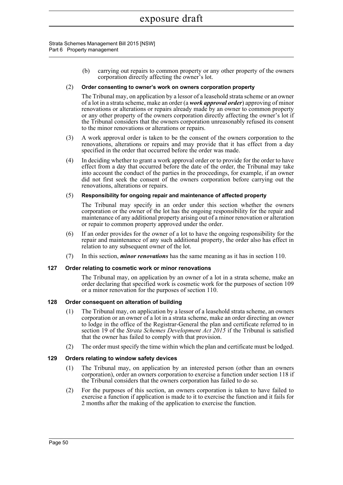#### Strata Schemes Management Bill 2015 [NSW] Part 6 Property management

(b) carrying out repairs to common property or any other property of the owners corporation directly affecting the owner's lot.

#### (2) **Order consenting to owner's work on owners corporation property**

The Tribunal may, on application by a lessor of a leasehold strata scheme or an owner of a lot in a strata scheme, make an order (a *work approval order*) approving of minor renovations or alterations or repairs already made by an owner to common property or any other property of the owners corporation directly affecting the owner's lot if the Tribunal considers that the owners corporation unreasonably refused its consent to the minor renovations or alterations or repairs.

- (3) A work approval order is taken to be the consent of the owners corporation to the renovations, alterations or repairs and may provide that it has effect from a day specified in the order that occurred before the order was made.
- (4) In deciding whether to grant a work approval order or to provide for the order to have effect from a day that occurred before the date of the order, the Tribunal may take into account the conduct of the parties in the proceedings, for example, if an owner did not first seek the consent of the owners corporation before carrying out the renovations, alterations or repairs.

## (5) **Responsibility for ongoing repair and maintenance of affected property**

The Tribunal may specify in an order under this section whether the owners corporation or the owner of the lot has the ongoing responsibility for the repair and maintenance of any additional property arising out of a minor renovation or alteration or repair to common property approved under the order.

- (6) If an order provides for the owner of a lot to have the ongoing responsibility for the repair and maintenance of any such additional property, the order also has effect in relation to any subsequent owner of the lot.
- (7) In this section, *minor renovations* has the same meaning as it has in section 110.

# **127 Order relating to cosmetic work or minor renovations**

The Tribunal may, on application by an owner of a lot in a strata scheme, make an order declaring that specified work is cosmetic work for the purposes of section 109 or a minor renovation for the purposes of section 110.

# **128 Order consequent on alteration of building**

- (1) The Tribunal may, on application by a lessor of a leasehold strata scheme, an owners corporation or an owner of a lot in a strata scheme, make an order directing an owner to lodge in the office of the Registrar-General the plan and certificate referred to in section 19 of the *Strata Schemes Development Act 2015* if the Tribunal is satisfied that the owner has failed to comply with that provision.
- (2) The order must specify the time within which the plan and certificate must be lodged.

# **129 Orders relating to window safety devices**

- (1) The Tribunal may, on application by an interested person (other than an owners corporation), order an owners corporation to exercise a function under section 118 if the Tribunal considers that the owners corporation has failed to do so.
- (2) For the purposes of this section, an owners corporation is taken to have failed to exercise a function if application is made to it to exercise the function and it fails for 2 months after the making of the application to exercise the function.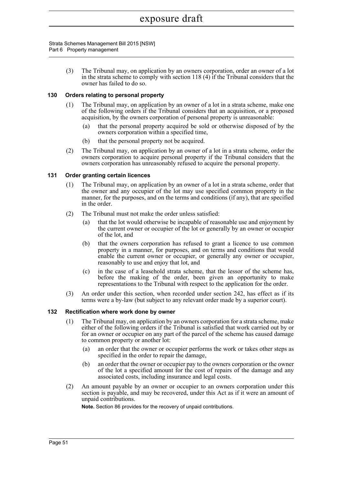Strata Schemes Management Bill 2015 [NSW] Part 6 Property management

> (3) The Tribunal may, on application by an owners corporation, order an owner of a lot in the strata scheme to comply with section 118 (4) if the Tribunal considers that the owner has failed to do so.

## **130 Orders relating to personal property**

- (1) The Tribunal may, on application by an owner of a lot in a strata scheme, make one of the following orders if the Tribunal considers that an acquisition, or a proposed acquisition, by the owners corporation of personal property is unreasonable:
	- (a) that the personal property acquired be sold or otherwise disposed of by the owners corporation within a specified time,
	- (b) that the personal property not be acquired.
- (2) The Tribunal may, on application by an owner of a lot in a strata scheme, order the owners corporation to acquire personal property if the Tribunal considers that the owners corporation has unreasonably refused to acquire the personal property.

## **131 Order granting certain licences**

- (1) The Tribunal may, on application by an owner of a lot in a strata scheme, order that the owner and any occupier of the lot may use specified common property in the manner, for the purposes, and on the terms and conditions (if any), that are specified in the order.
- (2) The Tribunal must not make the order unless satisfied:
	- (a) that the lot would otherwise be incapable of reasonable use and enjoyment by the current owner or occupier of the lot or generally by an owner or occupier of the lot, and
	- (b) that the owners corporation has refused to grant a licence to use common property in a manner, for purposes, and on terms and conditions that would enable the current owner or occupier, or generally any owner or occupier, reasonably to use and enjoy that lot, and
	- (c) in the case of a leasehold strata scheme, that the lessor of the scheme has, before the making of the order, been given an opportunity to make representations to the Tribunal with respect to the application for the order.
- (3) An order under this section, when recorded under section 242, has effect as if its terms were a by-law (but subject to any relevant order made by a superior court).

# **132 Rectification where work done by owner**

- (1) The Tribunal may, on application by an owners corporation for a strata scheme, make either of the following orders if the Tribunal is satisfied that work carried out by or for an owner or occupier on any part of the parcel of the scheme has caused damage to common property or another lot:
	- (a) an order that the owner or occupier performs the work or takes other steps as specified in the order to repair the damage,
	- (b) an order that the owner or occupier pay to the owners corporation or the owner of the lot a specified amount for the cost of repairs of the damage and any associated costs, including insurance and legal costs.
- (2) An amount payable by an owner or occupier to an owners corporation under this section is payable, and may be recovered, under this Act as if it were an amount of unpaid contributions.

**Note.** Section 86 provides for the recovery of unpaid contributions.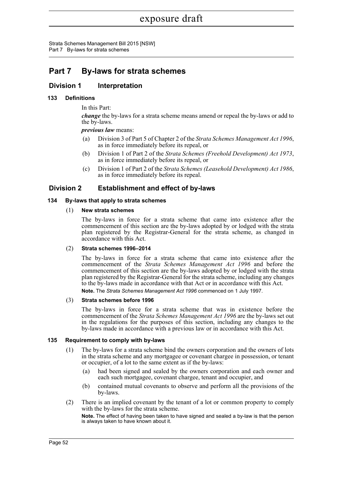Strata Schemes Management Bill 2015 [NSW] Part 7 By-laws for strata schemes

# **Part 7 By-laws for strata schemes**

# **Division 1 Interpretation**

# **133 Definitions**

In this Part:

*change* the by-laws for a strata scheme means amend or repeal the by-laws or add to the by-laws.

*previous law* means:

- (a) Division 3 of Part 5 of Chapter 2 of the *Strata Schemes Management Act 1996*, as in force immediately before its repeal, or
- (b) Division 1 of Part 2 of the *Strata Schemes (Freehold Development) Act 1973*, as in force immediately before its repeal, or
- (c) Division 1 of Part 2 of the *Strata Schemes (Leasehold Development) Act 1986*, as in force immediately before its repeal.

# **Division 2 Establishment and effect of by-laws**

# **134 By-laws that apply to strata schemes**

# (1) **New strata schemes**

The by-laws in force for a strata scheme that came into existence after the commencement of this section are the by-laws adopted by or lodged with the strata plan registered by the Registrar-General for the strata scheme, as changed in accordance with this Act.

# (2) **Strata schemes 1996–2014**

The by-laws in force for a strata scheme that came into existence after the commencement of the *Strata Schemes Management Act 1996* and before the commencement of this section are the by-laws adopted by or lodged with the strata plan registered by the Registrar-General for the strata scheme, including any changes to the by-laws made in accordance with that Act or in accordance with this Act. **Note.** The *Strata Schemes Management Act 1996* commenced on 1 July 1997.

#### (3) **Strata schemes before 1996**

The by-laws in force for a strata scheme that was in existence before the commencement of the *Strata Schemes Management Act 1996* are the by-laws set out in the regulations for the purposes of this section, including any changes to the by-laws made in accordance with a previous law or in accordance with this Act.

# **135 Requirement to comply with by-laws**

- (1) The by-laws for a strata scheme bind the owners corporation and the owners of lots in the strata scheme and any mortgagee or covenant chargee in possession, or tenant or occupier, of a lot to the same extent as if the by-laws:
	- (a) had been signed and sealed by the owners corporation and each owner and each such mortgagee, covenant chargee, tenant and occupier, and
	- (b) contained mutual covenants to observe and perform all the provisions of the by-laws.
- (2) There is an implied covenant by the tenant of a lot or common property to comply with the by-laws for the strata scheme.

**Note.** The effect of having been taken to have signed and sealed a by-law is that the person is always taken to have known about it.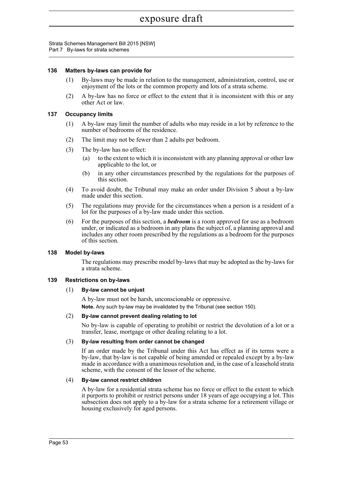Strata Schemes Management Bill 2015 [NSW] Part 7 By-laws for strata schemes

#### **136 Matters by-laws can provide for**

- (1) By-laws may be made in relation to the management, administration, control, use or enjoyment of the lots or the common property and lots of a strata scheme.
- (2) A by-law has no force or effect to the extent that it is inconsistent with this or any other Act or law.

#### **137 Occupancy limits**

- (1) A by-law may limit the number of adults who may reside in a lot by reference to the number of bedrooms of the residence.
- (2) The limit may not be fewer than 2 adults per bedroom.
- (3) The by-law has no effect:
	- (a) to the extent to which it is inconsistent with any planning approval or other law applicable to the lot, or
	- (b) in any other circumstances prescribed by the regulations for the purposes of this section.
- (4) To avoid doubt, the Tribunal may make an order under Division 5 about a by-law made under this section.
- (5) The regulations may provide for the circumstances when a person is a resident of a lot for the purposes of a by-law made under this section.
- (6) For the purposes of this section, a *bedroom* is a room approved for use as a bedroom under, or indicated as a bedroom in any plans the subject of, a planning approval and includes any other room prescribed by the regulations as a bedroom for the purposes of this section.

### **138 Model by-laws**

The regulations may prescribe model by-laws that may be adopted as the by-laws for a strata scheme.

#### **139 Restrictions on by-laws**

#### (1) **By-law cannot be unjust**

A by-law must not be harsh, unconscionable or oppressive. **Note.** Any such by-law may be invalidated by the Tribunal (see section 150).

#### (2) **By-law cannot prevent dealing relating to lot**

No by-law is capable of operating to prohibit or restrict the devolution of a lot or a transfer, lease, mortgage or other dealing relating to a lot.

#### (3) **By-law resulting from order cannot be changed**

If an order made by the Tribunal under this Act has effect as if its terms were a by-law, that by-law is not capable of being amended or repealed except by a by-law made in accordance with a unanimous resolution and, in the case of a leasehold strata scheme, with the consent of the lessor of the scheme.

#### (4) **By-law cannot restrict children**

A by-law for a residential strata scheme has no force or effect to the extent to which it purports to prohibit or restrict persons under 18 years of age occupying a lot. This subsection does not apply to a by-law for a strata scheme for a retirement village or housing exclusively for aged persons.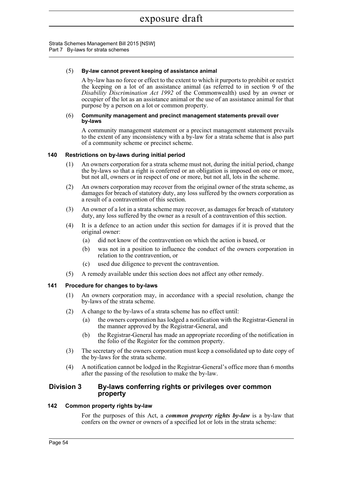Strata Schemes Management Bill 2015 [NSW] Part 7 By-laws for strata schemes

## (5) **By-law cannot prevent keeping of assistance animal**

A by-law has no force or effect to the extent to which it purports to prohibit or restrict the keeping on a lot of an assistance animal (as referred to in section 9 of the *Disability Discrimination Act 1992* of the Commonwealth) used by an owner or occupier of the lot as an assistance animal or the use of an assistance animal for that purpose by a person on a lot or common property.

#### (6) **Community management and precinct management statements prevail over by-laws**

A community management statement or a precinct management statement prevails to the extent of any inconsistency with a by-law for a strata scheme that is also part of a community scheme or precinct scheme.

## **140 Restrictions on by-laws during initial period**

- (1) An owners corporation for a strata scheme must not, during the initial period, change the by-laws so that a right is conferred or an obligation is imposed on one or more, but not all, owners or in respect of one or more, but not all, lots in the scheme.
- (2) An owners corporation may recover from the original owner of the strata scheme, as damages for breach of statutory duty, any loss suffered by the owners corporation as a result of a contravention of this section.
- (3) An owner of a lot in a strata scheme may recover, as damages for breach of statutory duty, any loss suffered by the owner as a result of a contravention of this section.
- (4) It is a defence to an action under this section for damages if it is proved that the original owner:
	- (a) did not know of the contravention on which the action is based, or
	- (b) was not in a position to influence the conduct of the owners corporation in relation to the contravention, or
	- (c) used due diligence to prevent the contravention.
- (5) A remedy available under this section does not affect any other remedy.

#### **141 Procedure for changes to by-laws**

- (1) An owners corporation may, in accordance with a special resolution, change the by-laws of the strata scheme.
- (2) A change to the by-laws of a strata scheme has no effect until:
	- (a) the owners corporation has lodged a notification with the Registrar-General in the manner approved by the Registrar-General, and
	- (b) the Registrar-General has made an appropriate recording of the notification in the folio of the Register for the common property.
- (3) The secretary of the owners corporation must keep a consolidated up to date copy of the by-laws for the strata scheme.
- (4) A notification cannot be lodged in the Registrar-General's office more than 6 months after the passing of the resolution to make the by-law.

# **Division 3 By-laws conferring rights or privileges over common property**

#### **142 Common property rights by-law**

For the purposes of this Act, a *common property rights by-law* is a by-law that confers on the owner or owners of a specified lot or lots in the strata scheme: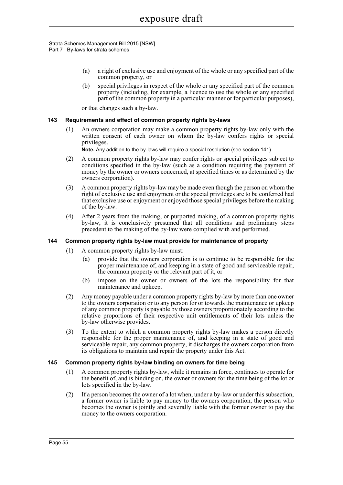Strata Schemes Management Bill 2015 [NSW] Part 7 By-laws for strata schemes

- (a) a right of exclusive use and enjoyment of the whole or any specified part of the common property, or
- (b) special privileges in respect of the whole or any specified part of the common property (including, for example, a licence to use the whole or any specified part of the common property in a particular manner or for particular purposes),

or that changes such a by-law.

## **143 Requirements and effect of common property rights by-laws**

(1) An owners corporation may make a common property rights by-law only with the written consent of each owner on whom the by-law confers rights or special privileges.

**Note.** Any addition to the by-laws will require a special resolution (see section 141).

- (2) A common property rights by-law may confer rights or special privileges subject to conditions specified in the by-law (such as a condition requiring the payment of money by the owner or owners concerned, at specified times or as determined by the owners corporation).
- (3) A common property rights by-law may be made even though the person on whom the right of exclusive use and enjoyment or the special privileges are to be conferred had that exclusive use or enjoyment or enjoyed those special privileges before the making of the by-law.
- (4) After 2 years from the making, or purported making, of a common property rights by-law, it is conclusively presumed that all conditions and preliminary steps precedent to the making of the by-law were complied with and performed.

#### **144 Common property rights by-law must provide for maintenance of property**

- (1) A common property rights by-law must:
	- (a) provide that the owners corporation is to continue to be responsible for the proper maintenance of, and keeping in a state of good and serviceable repair, the common property or the relevant part of it, or
	- (b) impose on the owner or owners of the lots the responsibility for that maintenance and upkeep.
- (2) Any money payable under a common property rights by-law by more than one owner to the owners corporation or to any person for or towards the maintenance or upkeep of any common property is payable by those owners proportionately according to the relative proportions of their respective unit entitlements of their lots unless the by-law otherwise provides.
- (3) To the extent to which a common property rights by-law makes a person directly responsible for the proper maintenance of, and keeping in a state of good and serviceable repair, any common property, it discharges the owners corporation from its obligations to maintain and repair the property under this Act.

#### **145 Common property rights by-law binding on owners for time being**

- (1) A common property rights by-law, while it remains in force, continues to operate for the benefit of, and is binding on, the owner or owners for the time being of the lot or lots specified in the by-law.
- (2) If a person becomes the owner of a lot when, under a by-law or under this subsection, a former owner is liable to pay money to the owners corporation, the person who becomes the owner is jointly and severally liable with the former owner to pay the money to the owners corporation.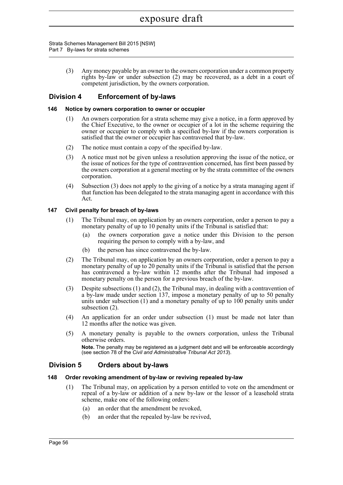Strata Schemes Management Bill 2015 [NSW] Part 7 By-laws for strata schemes

> (3) Any money payable by an owner to the owners corporation under a common property rights by-law or under subsection (2) may be recovered, as a debt in a court of competent jurisdiction, by the owners corporation.

## **Division 4 Enforcement of by-laws**

#### **146 Notice by owners corporation to owner or occupier**

- (1) An owners corporation for a strata scheme may give a notice, in a form approved by the Chief Executive, to the owner or occupier of a lot in the scheme requiring the owner or occupier to comply with a specified by-law if the owners corporation is satisfied that the owner or occupier has contravened that by-law.
- (2) The notice must contain a copy of the specified by-law.
- (3) A notice must not be given unless a resolution approving the issue of the notice, or the issue of notices for the type of contravention concerned, has first been passed by the owners corporation at a general meeting or by the strata committee of the owners corporation.
- (4) Subsection (3) does not apply to the giving of a notice by a strata managing agent if that function has been delegated to the strata managing agent in accordance with this Act.

### **147 Civil penalty for breach of by-laws**

- (1) The Tribunal may, on application by an owners corporation, order a person to pay a monetary penalty of up to 10 penalty units if the Tribunal is satisfied that:
	- (a) the owners corporation gave a notice under this Division to the person requiring the person to comply with a by-law, and
	- (b) the person has since contravened the by-law.
- (2) The Tribunal may, on application by an owners corporation, order a person to pay a monetary penalty of up to 20 penalty units if the Tribunal is satisfied that the person has contravened a by-law within 12 months after the Tribunal had imposed a monetary penalty on the person for a previous breach of the by-law.
- (3) Despite subsections (1) and (2), the Tribunal may, in dealing with a contravention of a by-law made under section 137, impose a monetary penalty of up to 50 penalty units under subsection (1) and a monetary penalty of up to 100 penalty units under subsection (2).
- (4) An application for an order under subsection (1) must be made not later than 12 months after the notice was given.
- (5) A monetary penalty is payable to the owners corporation, unless the Tribunal otherwise orders.

**Note.** The penalty may be registered as a judgment debt and will be enforceable accordingly (see section 78 of the *Civil and Administrative Tribunal Act 2013*).

## **Division 5 Orders about by-laws**

#### **148 Order revoking amendment of by-law or reviving repealed by-law**

- (1) The Tribunal may, on application by a person entitled to vote on the amendment or repeal of a by-law or addition of a new by-law or the lessor of a leasehold strata scheme, make one of the following orders:
	- (a) an order that the amendment be revoked,
	- (b) an order that the repealed by-law be revived,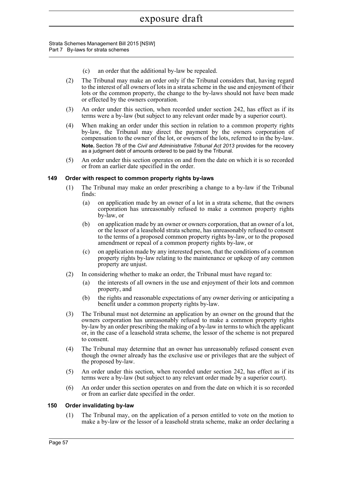Strata Schemes Management Bill 2015 [NSW] Part 7 By-laws for strata schemes

- (c) an order that the additional by-law be repealed.
- (2) The Tribunal may make an order only if the Tribunal considers that, having regard to the interest of all owners of lots in a strata scheme in the use and enjoyment of their lots or the common property, the change to the by-laws should not have been made or effected by the owners corporation.
- (3) An order under this section, when recorded under section 242, has effect as if its terms were a by-law (but subject to any relevant order made by a superior court).
- (4) When making an order under this section in relation to a common property rights by-law, the Tribunal may direct the payment by the owners corporation of compensation to the owner of the lot, or owners of the lots, referred to in the by-law. **Note.** Section 78 of the *Civil and Administrative Tribunal Act 2013* provides for the recovery as a judgment debt of amounts ordered to be paid by the Tribunal.
- (5) An order under this section operates on and from the date on which it is so recorded or from an earlier date specified in the order.

### **149 Order with respect to common property rights by-laws**

- (1) The Tribunal may make an order prescribing a change to a by-law if the Tribunal finds:
	- (a) on application made by an owner of a lot in a strata scheme, that the owners corporation has unreasonably refused to make a common property rights by-law, or
	- (b) on application made by an owner or owners corporation, that an owner of a lot, or the lessor of a leasehold strata scheme, has unreasonably refused to consent to the terms of a proposed common property rights by-law, or to the proposed amendment or repeal of a common property rights by-law, or
	- (c) on application made by any interested person, that the conditions of a common property rights by-law relating to the maintenance or upkeep of any common property are unjust.
- (2) In considering whether to make an order, the Tribunal must have regard to:
	- (a) the interests of all owners in the use and enjoyment of their lots and common property, and
	- (b) the rights and reasonable expectations of any owner deriving or anticipating a benefit under a common property rights by-law.
- (3) The Tribunal must not determine an application by an owner on the ground that the owners corporation has unreasonably refused to make a common property rights by-law by an order prescribing the making of a by-law in terms to which the applicant or, in the case of a leasehold strata scheme, the lessor of the scheme is not prepared to consent.
- (4) The Tribunal may determine that an owner has unreasonably refused consent even though the owner already has the exclusive use or privileges that are the subject of the proposed by-law.
- (5) An order under this section, when recorded under section 242, has effect as if its terms were a by-law (but subject to any relevant order made by a superior court).
- (6) An order under this section operates on and from the date on which it is so recorded or from an earlier date specified in the order.

### **150 Order invalidating by-law**

(1) The Tribunal may, on the application of a person entitled to vote on the motion to make a by-law or the lessor of a leasehold strata scheme, make an order declaring a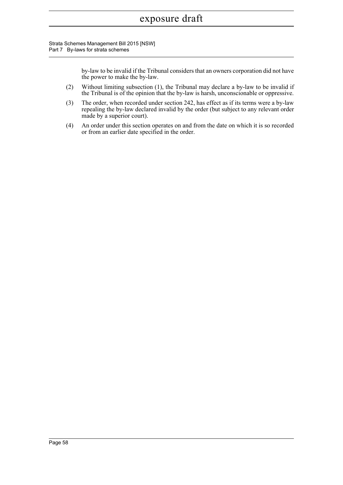Strata Schemes Management Bill 2015 [NSW] Part 7 By-laws for strata schemes

> by-law to be invalid if the Tribunal considers that an owners corporation did not have the power to make the by-law.

- (2) Without limiting subsection (1), the Tribunal may declare a by-law to be invalid if the Tribunal is of the opinion that the by-law is harsh, unconscionable or oppressive.
- (3) The order, when recorded under section 242, has effect as if its terms were a by-law repealing the by-law declared invalid by the order (but subject to any relevant order made by a superior court).
- (4) An order under this section operates on and from the date on which it is so recorded or from an earlier date specified in the order.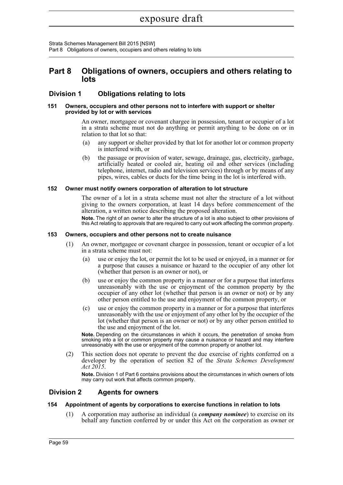Strata Schemes Management Bill 2015 [NSW] Part 8 Obligations of owners, occupiers and others relating to lots

## **Part 8 Obligations of owners, occupiers and others relating to lots**

## **Division 1 Obligations relating to lots**

#### **151 Owners, occupiers and other persons not to interfere with support or shelter provided by lot or with services**

An owner, mortgagee or covenant chargee in possession, tenant or occupier of a lot in a strata scheme must not do anything or permit anything to be done on or in relation to that lot so that:

- (a) any support or shelter provided by that lot for another lot or common property is interfered with, or
- (b) the passage or provision of water, sewage, drainage, gas, electricity, garbage, artificially heated or cooled air, heating oil and other services (including telephone, internet, radio and television services) through or by means of any pipes, wires, cables or ducts for the time being in the lot is interfered with.

### **152 Owner must notify owners corporation of alteration to lot structure**

The owner of a lot in a strata scheme must not alter the structure of a lot without giving to the owners corporation, at least 14 days before commencement of the alteration, a written notice describing the proposed alteration.

**Note.** The right of an owner to alter the structure of a lot is also subject to other provisions of this Act relating to approvals that are required to carry out work affecting the common property.

#### **153 Owners, occupiers and other persons not to create nuisance**

- (1) An owner, mortgagee or covenant chargee in possession, tenant or occupier of a lot in a strata scheme must not:
	- (a) use or enjoy the lot, or permit the lot to be used or enjoyed, in a manner or for a purpose that causes a nuisance or hazard to the occupier of any other lot (whether that person is an owner or not), or
	- (b) use or enjoy the common property in a manner or for a purpose that interferes unreasonably with the use or enjoyment of the common property by the occupier of any other lot (whether that person is an owner or not) or by any other person entitled to the use and enjoyment of the common property, or
	- (c) use or enjoy the common property in a manner or for a purpose that interferes unreasonably with the use or enjoyment of any other lot by the occupier of the lot (whether that person is an owner or not) or by any other person entitled to the use and enjoyment of the lot.

**Note.** Depending on the circumstances in which it occurs, the penetration of smoke from smoking into a lot or common property may cause a nuisance or hazard and may interfere unreasonably with the use or enjoyment of the common property or another lot.

(2) This section does not operate to prevent the due exercise of rights conferred on a developer by the operation of section 82 of the *Strata Schemes Development Act 2015*.

**Note.** Division 1 of Part 6 contains provisions about the circumstances in which owners of lots may carry out work that affects common property.

## **Division 2 Agents for owners**

#### **154 Appointment of agents by corporations to exercise functions in relation to lots**

(1) A corporation may authorise an individual (a *company nominee*) to exercise on its behalf any function conferred by or under this Act on the corporation as owner or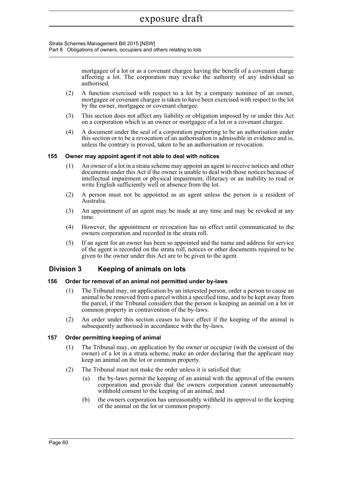Strata Schemes Management Bill 2015 [NSW] Part 8 Obligations of owners, occupiers and others relating to lots

> mortgagee of a lot or as a covenant chargee having the benefit of a covenant charge affecting a lot. The corporation may revoke the authority of any individual so authorised.

- (2) A function exercised with respect to a lot by a company nominee of an owner, mortgagee or covenant chargee is taken to have been exercised with respect to the lot by the owner, mortgagee or covenant chargee.
- (3) This section does not affect any liability or obligation imposed by or under this Act on a corporation which is an owner or mortgagee of a lot or a covenant chargee.
- (4) A document under the seal of a corporation purporting to be an authorisation under this section or to be a revocation of an authorisation is admissible in evidence and is, unless the contrary is proved, taken to be an authorisation or revocation.

### **155 Owner may appoint agent if not able to deal with notices**

- (1) An owner of a lot in a strata scheme may appoint an agent to receive notices and other documents under this Act if the owner is unable to deal with those notices because of intellectual impairment or physical impairment, illiteracy or an inability to read or write English sufficiently well or absence from the lot.
- (2) A person must not be appointed as an agent unless the person is a resident of Australia.
- (3) An appointment of an agent may be made at any time and may be revoked at any time.
- (4) However, the appointment or revocation has no effect until communicated to the owners corporation and recorded in the strata roll.
- (5) If an agent for an owner has been so appointed and the name and address for service of the agent is recorded on the strata roll, notices or other documents required to be given to the owner under this Act are to be given to the agent.

## **Division 3 Keeping of animals on lots**

#### **156 Order for removal of an animal not permitted under by-laws**

- (1) The Tribunal may, on application by an interested person, order a person to cause an animal to be removed from a parcel within a specified time, and to be kept away from the parcel, if the Tribunal considers that the person is keeping an animal on a lot or common property in contravention of the by-laws.
- (2) An order under this section ceases to have effect if the keeping of the animal is subsequently authorised in accordance with the by-laws.

## **157 Order permitting keeping of animal**

- (1) The Tribunal may, on application by the owner or occupier (with the consent of the owner) of a lot in a strata scheme, make an order declaring that the applicant may keep an animal on the lot or common property.
- (2) The Tribunal must not make the order unless it is satisfied that:
	- (a) the by-laws permit the keeping of an animal with the approval of the owners corporation and provide that the owners corporation cannot unreasonably withhold consent to the keeping of an animal, and
	- (b) the owners corporation has unreasonably withheld its approval to the keeping of the animal on the lot or common property.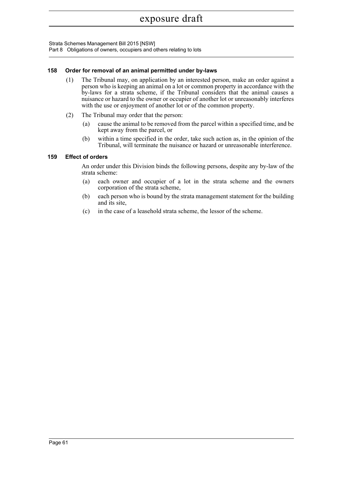Strata Schemes Management Bill 2015 [NSW] Part 8 Obligations of owners, occupiers and others relating to lots

## **158 Order for removal of an animal permitted under by-laws**

- (1) The Tribunal may, on application by an interested person, make an order against a person who is keeping an animal on a lot or common property in accordance with the by-laws for a strata scheme, if the Tribunal considers that the animal causes a nuisance or hazard to the owner or occupier of another lot or unreasonably interferes with the use or enjoyment of another lot or of the common property.
- (2) The Tribunal may order that the person:
	- (a) cause the animal to be removed from the parcel within a specified time, and be kept away from the parcel, or
	- (b) within a time specified in the order, take such action as, in the opinion of the Tribunal, will terminate the nuisance or hazard or unreasonable interference.

## **159 Effect of orders**

An order under this Division binds the following persons, despite any by-law of the strata scheme:

- (a) each owner and occupier of a lot in the strata scheme and the owners corporation of the strata scheme,
- (b) each person who is bound by the strata management statement for the building and its site,
- (c) in the case of a leasehold strata scheme, the lessor of the scheme.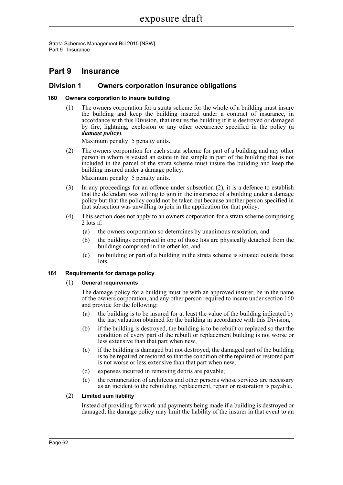Strata Schemes Management Bill 2015 [NSW] Part 9 Insurance

## **Part 9 Insurance**

## **Division 1 Owners corporation insurance obligations**

## **160 Owners corporation to insure building**

(1) The owners corporation for a strata scheme for the whole of a building must insure the building and keep the building insured under a contract of insurance, in accordance with this Division, that insures the building if it is destroyed or damaged by fire, lightning, explosion or any other occurrence specified in the policy (a *damage policy*).

Maximum penalty: 5 penalty units.

(2) The owners corporation for each strata scheme for part of a building and any other person in whom is vested an estate in fee simple in part of the building that is not included in the parcel of the strata scheme must insure the building and keep the building insured under a damage policy.

Maximum penalty: 5 penalty units.

- (3) In any proceedings for an offence under subsection (2), it is a defence to establish that the defendant was willing to join in the insurance of a building under a damage policy but that the policy could not be taken out because another person specified in that subsection was unwilling to join in the application for that policy.
- (4) This section does not apply to an owners corporation for a strata scheme comprising 2 lots if:
	- (a) the owners corporation so determines by unanimous resolution, and
	- (b) the buildings comprised in one of those lots are physically detached from the buildings comprised in the other lot, and
	- (c) no building or part of a building in the strata scheme is situated outside those lots.

## **161 Requirements for damage policy**

## (1) **General requirements**

The damage policy for a building must be with an approved insurer, be in the name of the owners corporation, and any other person required to insure under section 160 and provide for the following:

- (a) the building is to be insured for at least the value of the building indicated by the last valuation obtained for the building in accordance with this Division,
- (b) if the building is destroyed, the building is to be rebuilt or replaced so that the condition of every part of the rebuilt or replacement building is not worse or less extensive than that part when new,
- (c) if the building is damaged but not destroyed, the damaged part of the building is to be repaired or restored so that the condition of the repaired or restored part is not worse or less extensive than that part when new,
- (d) expenses incurred in removing debris are payable,
- (e) the remuneration of architects and other persons whose services are necessary as an incident to the rebuilding, replacement, repair or restoration is payable.

## (2) **Limited sum liability**

Instead of providing for work and payments being made if a building is destroyed or damaged, the damage policy may limit the liability of the insurer in that event to an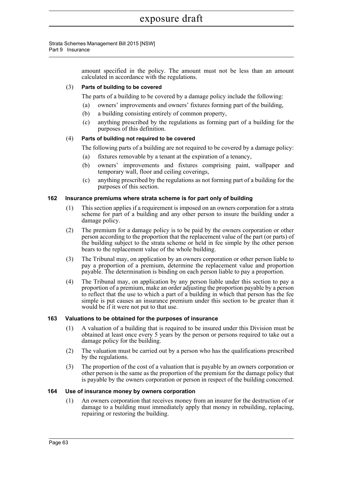> amount specified in the policy. The amount must not be less than an amount calculated in accordance with the regulations.

## (3) **Parts of building to be covered**

The parts of a building to be covered by a damage policy include the following:

- (a) owners' improvements and owners' fixtures forming part of the building,
- (b) a building consisting entirely of common property,
- (c) anything prescribed by the regulations as forming part of a building for the purposes of this definition.

#### (4) **Parts of building not required to be covered**

The following parts of a building are not required to be covered by a damage policy:

- (a) fixtures removable by a tenant at the expiration of a tenancy,
- (b) owners' improvements and fixtures comprising paint, wallpaper and temporary wall, floor and ceiling coverings,
- (c) anything prescribed by the regulations as not forming part of a building for the purposes of this section.

#### **162 Insurance premiums where strata scheme is for part only of building**

- (1) This section applies if a requirement is imposed on an owners corporation for a strata scheme for part of a building and any other person to insure the building under a damage policy.
- (2) The premium for a damage policy is to be paid by the owners corporation or other person according to the proportion that the replacement value of the part (or parts) of the building subject to the strata scheme or held in fee simple by the other person bears to the replacement value of the whole building.
- (3) The Tribunal may, on application by an owners corporation or other person liable to pay a proportion of a premium, determine the replacement value and proportion payable. The determination is binding on each person liable to pay a proportion.
- (4) The Tribunal may, on application by any person liable under this section to pay a proportion of a premium, make an order adjusting the proportion payable by a person to reflect that the use to which a part of a building in which that person has the fee simple is put causes an insurance premium under this section to be greater than it would be if it were not put to that use.

#### **163 Valuations to be obtained for the purposes of insurance**

- (1) A valuation of a building that is required to be insured under this Division must be obtained at least once every 5 years by the person or persons required to take out a damage policy for the building.
- (2) The valuation must be carried out by a person who has the qualifications prescribed by the regulations.
- (3) The proportion of the cost of a valuation that is payable by an owners corporation or other person is the same as the proportion of the premium for the damage policy that is payable by the owners corporation or person in respect of the building concerned.

#### **164 Use of insurance money by owners corporation**

(1) An owners corporation that receives money from an insurer for the destruction of or damage to a building must immediately apply that money in rebuilding, replacing, repairing or restoring the building.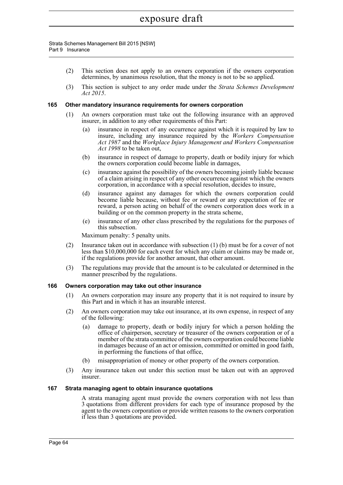- (2) This section does not apply to an owners corporation if the owners corporation determines, by unanimous resolution, that the money is not to be so applied.
- (3) This section is subject to any order made under the *Strata Schemes Development Act 2015*.

#### **165 Other mandatory insurance requirements for owners corporation**

- (1) An owners corporation must take out the following insurance with an approved insurer, in addition to any other requirements of this Part:
	- (a) insurance in respect of any occurrence against which it is required by law to insure, including any insurance required by the *Workers Compensation Act 1987* and the *Workplace Injury Management and Workers Compensation Act 1998* to be taken out,
	- (b) insurance in respect of damage to property, death or bodily injury for which the owners corporation could become liable in damages,
	- (c) insurance against the possibility of the owners becoming jointly liable because of a claim arising in respect of any other occurrence against which the owners corporation, in accordance with a special resolution, decides to insure,
	- (d) insurance against any damages for which the owners corporation could become liable because, without fee or reward or any expectation of fee or reward, a person acting on behalf of the owners corporation does work in a building or on the common property in the strata scheme,
	- (e) insurance of any other class prescribed by the regulations for the purposes of this subsection.

Maximum penalty: 5 penalty units.

- (2) Insurance taken out in accordance with subsection (1) (b) must be for a cover of not less than \$10,000,000 for each event for which any claim or claims may be made or, if the regulations provide for another amount, that other amount.
- (3) The regulations may provide that the amount is to be calculated or determined in the manner prescribed by the regulations.

#### **166 Owners corporation may take out other insurance**

- (1) An owners corporation may insure any property that it is not required to insure by this Part and in which it has an insurable interest.
- (2) An owners corporation may take out insurance, at its own expense, in respect of any of the following:
	- (a) damage to property, death or bodily injury for which a person holding the office of chairperson, secretary or treasurer of the owners corporation or of a member of the strata committee of the owners corporation could become liable in damages because of an act or omission, committed or omitted in good faith, in performing the functions of that office,
	- (b) misappropriation of money or other property of the owners corporation.
- (3) Any insurance taken out under this section must be taken out with an approved insurer.

#### **167 Strata managing agent to obtain insurance quotations**

A strata managing agent must provide the owners corporation with not less than 3 quotations from different providers for each type of insurance proposed by the agent to the owners corporation or provide written reasons to the owners corporation if less than 3 quotations are provided.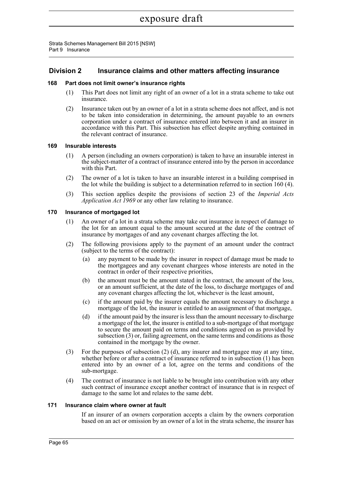## **Division 2 Insurance claims and other matters affecting insurance**

### **168 Part does not limit owner's insurance rights**

- (1) This Part does not limit any right of an owner of a lot in a strata scheme to take out insurance.
- (2) Insurance taken out by an owner of a lot in a strata scheme does not affect, and is not to be taken into consideration in determining, the amount payable to an owners corporation under a contract of insurance entered into between it and an insurer in accordance with this Part. This subsection has effect despite anything contained in the relevant contract of insurance.

### **169 Insurable interests**

- (1) A person (including an owners corporation) is taken to have an insurable interest in the subject-matter of a contract of insurance entered into by the person in accordance with this Part.
- (2) The owner of a lot is taken to have an insurable interest in a building comprised in the lot while the building is subject to a determination referred to in section 160 (4).
- (3) This section applies despite the provisions of section 23 of the *Imperial Acts Application Act 1969* or any other law relating to insurance.

#### **170 Insurance of mortgaged lot**

- (1) An owner of a lot in a strata scheme may take out insurance in respect of damage to the lot for an amount equal to the amount secured at the date of the contract of insurance by mortgages of and any covenant charges affecting the lot.
- (2) The following provisions apply to the payment of an amount under the contract (subject to the terms of the contract):
	- (a) any payment to be made by the insurer in respect of damage must be made to the mortgagees and any covenant chargees whose interests are noted in the contract in order of their respective priorities,
	- (b) the amount must be the amount stated in the contract, the amount of the loss, or an amount sufficient, at the date of the loss, to discharge mortgages of and any covenant charges affecting the lot, whichever is the least amount,
	- (c) if the amount paid by the insurer equals the amount necessary to discharge a mortgage of the lot, the insurer is entitled to an assignment of that mortgage,
	- (d) if the amount paid by the insurer is less than the amount necessary to discharge a mortgage of the lot, the insurer is entitled to a sub-mortgage of that mortgage to secure the amount paid on terms and conditions agreed on as provided by subsection (3) or, failing agreement, on the same terms and conditions as those contained in the mortgage by the owner.
- (3) For the purposes of subsection (2) (d), any insurer and mortgagee may at any time, whether before or after a contract of insurance referred to in subsection (1) has been entered into by an owner of a lot, agree on the terms and conditions of the sub-mortgage.
- (4) The contract of insurance is not liable to be brought into contribution with any other such contract of insurance except another contract of insurance that is in respect of damage to the same lot and relates to the same debt.

#### **171 Insurance claim where owner at fault**

If an insurer of an owners corporation accepts a claim by the owners corporation based on an act or omission by an owner of a lot in the strata scheme, the insurer has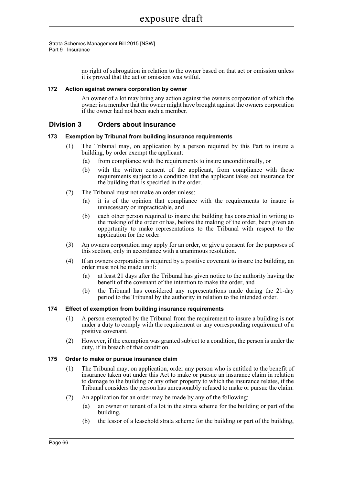no right of subrogation in relation to the owner based on that act or omission unless it is proved that the act or omission was wilful.

## **172 Action against owners corporation by owner**

An owner of a lot may bring any action against the owners corporation of which the owner is a member that the owner might have brought against the owners corporation if the owner had not been such a member.

## **Division 3 Orders about insurance**

### **173 Exemption by Tribunal from building insurance requirements**

- (1) The Tribunal may, on application by a person required by this Part to insure a building, by order exempt the applicant:
	- (a) from compliance with the requirements to insure unconditionally, or
	- (b) with the written consent of the applicant, from compliance with those requirements subject to a condition that the applicant takes out insurance for the building that is specified in the order.
- (2) The Tribunal must not make an order unless:
	- (a) it is of the opinion that compliance with the requirements to insure is unnecessary or impracticable, and
	- (b) each other person required to insure the building has consented in writing to the making of the order or has, before the making of the order, been given an opportunity to make representations to the Tribunal with respect to the application for the order.
- (3) An owners corporation may apply for an order, or give a consent for the purposes of this section, only in accordance with a unanimous resolution.
- (4) If an owners corporation is required by a positive covenant to insure the building, an order must not be made until:
	- (a) at least 21 days after the Tribunal has given notice to the authority having the benefit of the covenant of the intention to make the order, and
	- (b) the Tribunal has considered any representations made during the 21-day period to the Tribunal by the authority in relation to the intended order.

#### **174 Effect of exemption from building insurance requirements**

- (1) A person exempted by the Tribunal from the requirement to insure a building is not under a duty to comply with the requirement or any corresponding requirement of a positive covenant.
- (2) However, if the exemption was granted subject to a condition, the person is under the duty, if in breach of that condition.

#### **175 Order to make or pursue insurance claim**

- (1) The Tribunal may, on application, order any person who is entitled to the benefit of insurance taken out under this Act to make or pursue an insurance claim in relation to damage to the building or any other property to which the insurance relates, if the Tribunal considers the person has unreasonably refused to make or pursue the claim.
- (2) An application for an order may be made by any of the following:
	- (a) an owner or tenant of a lot in the strata scheme for the building or part of the building,
	- (b) the lessor of a leasehold strata scheme for the building or part of the building,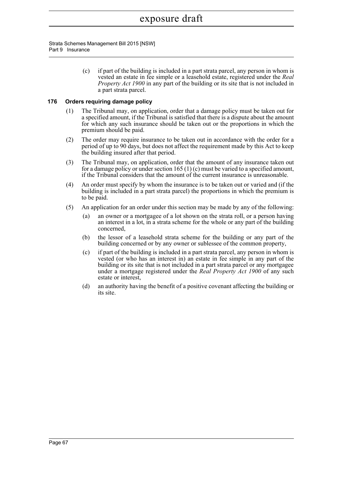> (c) if part of the building is included in a part strata parcel, any person in whom is vested an estate in fee simple or a leasehold estate, registered under the *Real Property Act 1900* in any part of the building or its site that is not included in a part strata parcel.

## **176 Orders requiring damage policy**

- (1) The Tribunal may, on application, order that a damage policy must be taken out for a specified amount, if the Tribunal is satisfied that there is a dispute about the amount for which any such insurance should be taken out or the proportions in which the premium should be paid.
- (2) The order may require insurance to be taken out in accordance with the order for a period of up to 90 days, but does not affect the requirement made by this Act to keep the building insured after that period.
- (3) The Tribunal may, on application, order that the amount of any insurance taken out for a damage policy or under section 165 (1) (c) must be varied to a specified amount, if the Tribunal considers that the amount of the current insurance is unreasonable.
- (4) An order must specify by whom the insurance is to be taken out or varied and (if the building is included in a part strata parcel) the proportions in which the premium is to be paid.
- (5) An application for an order under this section may be made by any of the following:
	- (a) an owner or a mortgagee of a lot shown on the strata roll, or a person having an interest in a lot, in a strata scheme for the whole or any part of the building concerned,
	- (b) the lessor of a leasehold strata scheme for the building or any part of the building concerned or by any owner or sublessee of the common property,
	- (c) if part of the building is included in a part strata parcel, any person in whom is vested (or who has an interest in) an estate in fee simple in any part of the building or its site that is not included in a part strata parcel or any mortgagee under a mortgage registered under the *Real Property Act 1900* of any such estate or interest,
	- (d) an authority having the benefit of a positive covenant affecting the building or its site.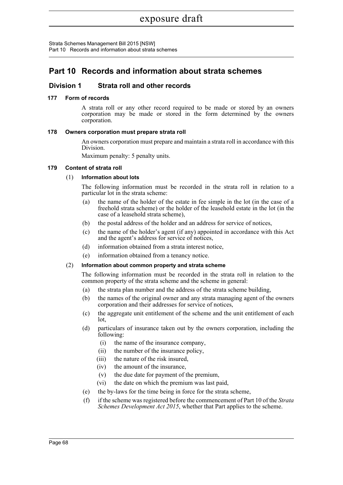Strata Schemes Management Bill 2015 [NSW] Part 10 Records and information about strata schemes

## **Part 10 Records and information about strata schemes**

## **Division 1 Strata roll and other records**

## **177 Form of records**

A strata roll or any other record required to be made or stored by an owners corporation may be made or stored in the form determined by the owners corporation.

## **178 Owners corporation must prepare strata roll**

An owners corporation must prepare and maintain a strata roll in accordance with this Division.

Maximum penalty: 5 penalty units.

## **179 Content of strata roll**

## (1) **Information about lots**

The following information must be recorded in the strata roll in relation to a particular lot in the strata scheme:

- (a) the name of the holder of the estate in fee simple in the lot (in the case of a freehold strata scheme) or the holder of the leasehold estate in the lot (in the case of a leasehold strata scheme),
- (b) the postal address of the holder and an address for service of notices,
- (c) the name of the holder's agent (if any) appointed in accordance with this Act and the agent's address for service of notices,
- (d) information obtained from a strata interest notice,
- (e) information obtained from a tenancy notice.

## (2) **Information about common property and strata scheme**

The following information must be recorded in the strata roll in relation to the common property of the strata scheme and the scheme in general:

- (a) the strata plan number and the address of the strata scheme building,
- (b) the names of the original owner and any strata managing agent of the owners corporation and their addresses for service of notices,
- (c) the aggregate unit entitlement of the scheme and the unit entitlement of each lot,
- (d) particulars of insurance taken out by the owners corporation, including the following:
	- (i) the name of the insurance company,
	- (ii) the number of the insurance policy,
	- (iii) the nature of the risk insured,
	- (iv) the amount of the insurance,
	- (v) the due date for payment of the premium,
	- (vi) the date on which the premium was last paid,
- (e) the by-laws for the time being in force for the strata scheme,
- (f) if the scheme was registered before the commencement of Part 10 of the *Strata Schemes Development Act 2015*, whether that Part applies to the scheme.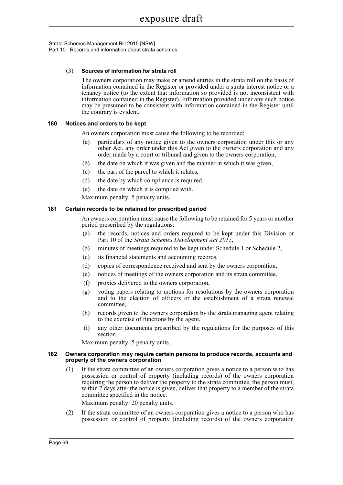Strata Schemes Management Bill 2015 [NSW] Part 10 Records and information about strata schemes

## (3) **Sources of information for strata roll**

The owners corporation may make or amend entries in the strata roll on the basis of information contained in the Register or provided under a strata interest notice or a tenancy notice (to the extent that information so provided is not inconsistent with information contained in the Register). Information provided under any such notice may be presumed to be consistent with information contained in the Register until the contrary is evident.

## **180 Notices and orders to be kept**

An owners corporation must cause the following to be recorded:

- (a) particulars of any notice given to the owners corporation under this or any other Act, any order under this Act given to the owners corporation and any order made by a court or tribunal and given to the owners corporation,
- (b) the date on which it was given and the manner in which it was given,
- (c) the part of the parcel to which it relates,
- (d) the date by which compliance is required,
- (e) the date on which it is complied with.

Maximum penalty: 5 penalty units.

### **181 Certain records to be retained for prescribed period**

An owners corporation must cause the following to be retained for 5 years or another period prescribed by the regulations:

- (a) the records, notices and orders required to be kept under this Division or Part 10 of the *Strata Schemes Development Act 2015*,
- (b) minutes of meetings required to be kept under Schedule 1 or Schedule 2,
- (c) its financial statements and accounting records,
- (d) copies of correspondence received and sent by the owners corporation,
- (e) notices of meetings of the owners corporation and its strata committee,
- (f) proxies delivered to the owners corporation,
- (g) voting papers relating to motions for resolutions by the owners corporation and to the election of officers or the establishment of a strata renewal committee,
- (h) records given to the owners corporation by the strata managing agent relating to the exercise of functions by the agent,
- (i) any other documents prescribed by the regulations for the purposes of this section.

Maximum penalty: 5 penalty units.

#### **182 Owners corporation may require certain persons to produce records, accounts and property of the owners corporation**

(1) If the strata committee of an owners corporation gives a notice to a person who has possession or control of property (including records) of the owners corporation requiring the person to deliver the property to the strata committee, the person must, within 7 days after the notice is given, deliver that property to a member of the strata committee specified in the notice.

Maximum penalty: 20 penalty units.

(2) If the strata committee of an owners corporation gives a notice to a person who has possession or control of property (including records) of the owners corporation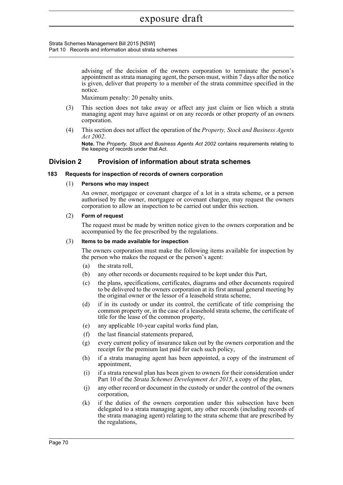Strata Schemes Management Bill 2015 [NSW] Part 10 Records and information about strata schemes

> advising of the decision of the owners corporation to terminate the person's appointment as strata managing agent, the person must, within 7 days after the notice is given, deliver that property to a member of the strata committee specified in the notice.

Maximum penalty: 20 penalty units.

- (3) This section does not take away or affect any just claim or lien which a strata managing agent may have against or on any records or other property of an owners corporation.
- (4) This section does not affect the operation of the *Property, Stock and Business Agents Act 2002*.

**Note.** The *Property, Stock and Business Agents Act 2002* contains requirements relating to the keeping of records under that Act.

## **Division 2 Provision of information about strata schemes**

### **183 Requests for inspection of records of owners corporation**

#### (1) **Persons who may inspect**

An owner, mortgagee or covenant chargee of a lot in a strata scheme, or a person authorised by the owner, mortgagee or covenant chargee, may request the owners corporation to allow an inspection to be carried out under this section.

### (2) **Form of request**

The request must be made by written notice given to the owners corporation and be accompanied by the fee prescribed by the regulations.

#### (3) **Items to be made available for inspection**

The owners corporation must make the following items available for inspection by the person who makes the request or the person's agent:

- (a) the strata roll,
- (b) any other records or documents required to be kept under this Part,
- (c) the plans, specifications, certificates, diagrams and other documents required to be delivered to the owners corporation at its first annual general meeting by the original owner or the lessor of a leasehold strata scheme,
- (d) if in its custody or under its control, the certificate of title comprising the common property or, in the case of a leasehold strata scheme, the certificate of title for the lease of the common property,
- (e) any applicable 10-year capital works fund plan,
- (f) the last financial statements prepared,
- (g) every current policy of insurance taken out by the owners corporation and the receipt for the premium last paid for each such policy,
- (h) if a strata managing agent has been appointed, a copy of the instrument of appointment,
- (i) if a strata renewal plan has been given to owners for their consideration under Part 10 of the *Strata Schemes Development Act 2015*, a copy of the plan,
- (j) any other record or document in the custody or under the control of the owners corporation,
- (k) if the duties of the owners corporation under this subsection have been delegated to a strata managing agent, any other records (including records of the strata managing agent) relating to the strata scheme that are prescribed by the regulations,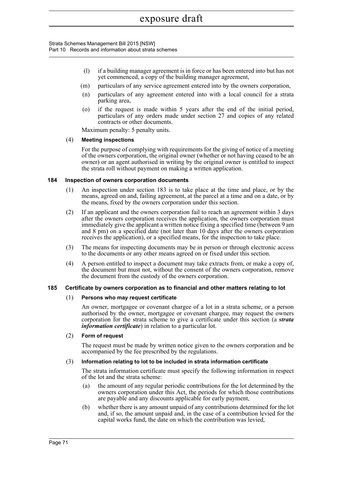Strata Schemes Management Bill 2015 [NSW] Part 10 Records and information about strata schemes

- (l) if a building manager agreement is in force or has been entered into but has not yet commenced, a copy of the building manager agreement,
- (m) particulars of any service agreement entered into by the owners corporation,
- (n) particulars of any agreement entered into with a local council for a strata parking area,
- (o) if the request is made within 5 years after the end of the initial period, particulars of any orders made under section 27 and copies of any related contracts or other documents.

Maximum penalty: 5 penalty units.

### (4) **Meeting inspections**

For the purpose of complying with requirements for the giving of notice of a meeting of the owners corporation, the original owner (whether or not having ceased to be an owner) or an agent authorised in writing by the original owner is entitled to inspect the strata roll without payment on making a written application.

## **184 Inspection of owners corporation documents**

- (1) An inspection under section 183 is to take place at the time and place, or by the means, agreed on and, failing agreement, at the parcel at a time and on a date, or by the means, fixed by the owners corporation under this section.
- (2) If an applicant and the owners corporation fail to reach an agreement within 3 days after the owners corporation receives the application, the owners corporation must immediately give the applicant a written notice fixing a specified time (between 9 am and 8 pm) on a specified date (not later than 10 days after the owners corporation receives the application), or a specified means, for the inspection to take place.
- (3) The means for inspecting documents may be in person or through electronic access to the documents or any other means agreed on or fixed under this section.
- (4) A person entitled to inspect a document may take extracts from, or make a copy of, the document but must not, without the consent of the owners corporation, remove the document from the custody of the owners corporation.

## **185 Certificate by owners corporation as to financial and other matters relating to lot**

## (1) **Persons who may request certificate**

An owner, mortgagee or covenant chargee of a lot in a strata scheme, or a person authorised by the owner, mortgagee or covenant chargee, may request the owners corporation for the strata scheme to give a certificate under this section (a *strata information certificate*) in relation to a particular lot.

#### (2) **Form of request**

The request must be made by written notice given to the owners corporation and be accompanied by the fee prescribed by the regulations.

#### (3) **Information relating to lot to be included in strata information certificate**

The strata information certificate must specify the following information in respect of the lot and the strata scheme:

- (a) the amount of any regular periodic contributions for the lot determined by the owners corporation under this Act, the periods for which those contributions are payable and any discounts applicable for early payment,
- (b) whether there is any amount unpaid of any contributions determined for the lot and, if so, the amount unpaid and, in the case of a contribution levied for the capital works fund, the date on which the contribution was levied,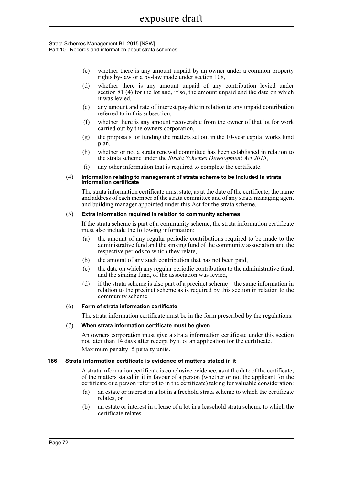#### Strata Schemes Management Bill 2015 [NSW] Part 10 Records and information about strata schemes

- (c) whether there is any amount unpaid by an owner under a common property rights by-law or a by-law made under section 108,
- (d) whether there is any amount unpaid of any contribution levied under section 81 (4) for the lot and, if so, the amount unpaid and the date on which it was levied,
- (e) any amount and rate of interest payable in relation to any unpaid contribution referred to in this subsection,
- (f) whether there is any amount recoverable from the owner of that lot for work carried out by the owners corporation,
- (g) the proposals for funding the matters set out in the 10-year capital works fund plan,
- (h) whether or not a strata renewal committee has been established in relation to the strata scheme under the *Strata Schemes Development Act 2015*,
- (i) any other information that is required to complete the certificate.

#### (4) **Information relating to management of strata scheme to be included in strata information certificate**

The strata information certificate must state, as at the date of the certificate, the name and address of each member of the strata committee and of any strata managing agent and building manager appointed under this Act for the strata scheme.

### (5) **Extra information required in relation to community schemes**

If the strata scheme is part of a community scheme, the strata information certificate must also include the following information:

- (a) the amount of any regular periodic contributions required to be made to the administrative fund and the sinking fund of the community association and the respective periods to which they relate,
- (b) the amount of any such contribution that has not been paid,
- (c) the date on which any regular periodic contribution to the administrative fund, and the sinking fund, of the association was levied,
- (d) if the strata scheme is also part of a precinct scheme—the same information in relation to the precinct scheme as is required by this section in relation to the community scheme.

## (6) **Form of strata information certificate**

The strata information certificate must be in the form prescribed by the regulations.

#### (7) **When strata information certificate must be given**

An owners corporation must give a strata information certificate under this section not later than 14 days after receipt by it of an application for the certificate. Maximum penalty: 5 penalty units.

#### **186 Strata information certificate is evidence of matters stated in it**

A strata information certificate is conclusive evidence, as at the date of the certificate, of the matters stated in it in favour of a person (whether or not the applicant for the certificate or a person referred to in the certificate) taking for valuable consideration:

- (a) an estate or interest in a lot in a freehold strata scheme to which the certificate relates, or
- (b) an estate or interest in a lease of a lot in a leasehold strata scheme to which the certificate relates.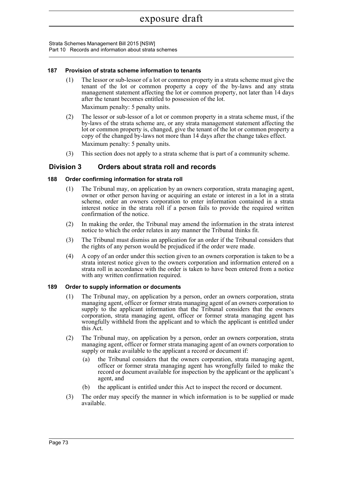Strata Schemes Management Bill 2015 [NSW] Part 10 Records and information about strata schemes

### **187 Provision of strata scheme information to tenants**

(1) The lessor or sub-lessor of a lot or common property in a strata scheme must give the tenant of the lot or common property a copy of the by-laws and any strata management statement affecting the lot or common property, not later than 14 days after the tenant becomes entitled to possession of the lot.

Maximum penalty: 5 penalty units.

- (2) The lessor or sub-lessor of a lot or common property in a strata scheme must, if the by-laws of the strata scheme are, or any strata management statement affecting the lot or common property is, changed, give the tenant of the lot or common property a copy of the changed by-laws not more than 14 days after the change takes effect. Maximum penalty: 5 penalty units.
- (3) This section does not apply to a strata scheme that is part of a community scheme.

## **Division 3 Orders about strata roll and records**

### **188 Order confirming information for strata roll**

- (1) The Tribunal may, on application by an owners corporation, strata managing agent, owner or other person having or acquiring an estate or interest in a lot in a strata scheme, order an owners corporation to enter information contained in a strata interest notice in the strata roll if a person fails to provide the required written confirmation of the notice.
- (2) In making the order, the Tribunal may amend the information in the strata interest notice to which the order relates in any manner the Tribunal thinks fit.
- (3) The Tribunal must dismiss an application for an order if the Tribunal considers that the rights of any person would be prejudiced if the order were made.
- (4) A copy of an order under this section given to an owners corporation is taken to be a strata interest notice given to the owners corporation and information entered on a strata roll in accordance with the order is taken to have been entered from a notice with any written confirmation required.

#### **189 Order to supply information or documents**

- (1) The Tribunal may, on application by a person, order an owners corporation, strata managing agent, officer or former strata managing agent of an owners corporation to supply to the applicant information that the Tribunal considers that the owners corporation, strata managing agent, officer or former strata managing agent has wrongfully withheld from the applicant and to which the applicant is entitled under this Act.
- (2) The Tribunal may, on application by a person, order an owners corporation, strata managing agent, officer or former strata managing agent of an owners corporation to supply or make available to the applicant a record or document if:
	- (a) the Tribunal considers that the owners corporation, strata managing agent, officer or former strata managing agent has wrongfully failed to make the record or document available for inspection by the applicant or the applicant's agent, and
	- (b) the applicant is entitled under this Act to inspect the record or document.
- (3) The order may specify the manner in which information is to be supplied or made available.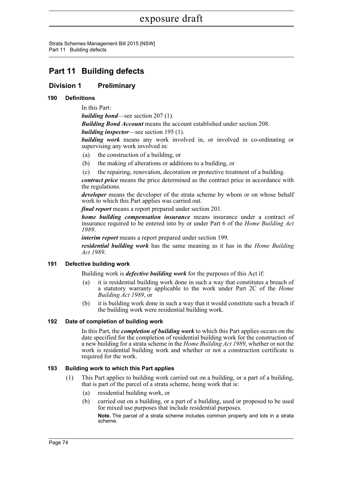Strata Schemes Management Bill 2015 [NSW] Part 11 Building defects

## **Part 11 Building defects**

## **Division 1 Preliminary**

## **190 Definitions**

In this Part:

*building bond*—see section 207 (1).

*Building Bond Account* means the account established under section 208.

*building inspector*—see section 195 (1).

*building work* means any work involved in, or involved in co-ordinating or supervising any work involved in:

- (a) the construction of a building, or
- (b) the making of alterations or additions to a building, or
- (c) the repairing, renovation, decoration or protective treatment of a building.

*contract price* means the price determined as the contract price in accordance with the regulations.

*developer* means the developer of the strata scheme by whom or on whose behalf work to which this Part applies was carried out.

*final report* means a report prepared under section 201.

*home building compensation insurance* means insurance under a contract of insurance required to be entered into by or under Part 6 of the *Home Building Act 1989*.

*interim report* means a report prepared under section 199.

*residential building work* has the same meaning as it has in the *Home Building Act 1989*.

## **191 Defective building work**

Building work is *defective building work* for the purposes of this Act if:

- (a) it is residential building work done in such a way that constitutes a breach of a statutory warranty applicable to the work under Part 2C of the *Home Building Act 1989*, or
- (b) it is building work done in such a way that it would constitute such a breach if the building work were residential building work.

## **192 Date of completion of building work**

In this Part, the *completion of building work* to which this Part applies occurs on the date specified for the completion of residential building work for the construction of a new building for a strata scheme in the *Home Building Act 1989*, whether or not the work is residential building work and whether or not a construction certificate is required for the work.

## **193 Building work to which this Part applies**

- (1) This Part applies to building work carried out on a building, or a part of a building, that is part of the parcel of a strata scheme, being work that is:
	- (a) residential building work, or
	- (b) carried out on a building, or a part of a building, used or proposed to be used for mixed use purposes that include residential purposes.

**Note.** The parcel of a strata scheme includes common property and lots in a strata scheme.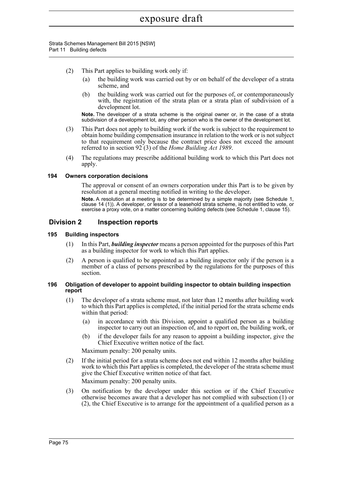Strata Schemes Management Bill 2015 [NSW] Part 11 Building defects

- (2) This Part applies to building work only if:
	- (a) the building work was carried out by or on behalf of the developer of a strata scheme, and
	- (b) the building work was carried out for the purposes of, or contemporaneously with, the registration of the strata plan or a strata plan of subdivision of a development lot.

**Note.** The developer of a strata scheme is the original owner or, in the case of a strata subdivision of a development lot, any other person who is the owner of the development lot.

- (3) This Part does not apply to building work if the work is subject to the requirement to obtain home building compensation insurance in relation to the work or is not subject to that requirement only because the contract price does not exceed the amount referred to in section 92 (3) of the *Home Building Act 1989*.
- (4) The regulations may prescribe additional building work to which this Part does not apply.

### **194 Owners corporation decisions**

The approval or consent of an owners corporation under this Part is to be given by resolution at a general meeting notified in writing to the developer.

**Note.** A resolution at a meeting is to be determined by a simple majority (see Schedule 1, clause 14 (1)). A developer, or lessor of a leasehold strata scheme, is not entitled to vote, or exercise a proxy vote, on a matter concerning building defects (see Schedule 1, clause 15).

## **Division 2 Inspection reports**

#### **195 Building inspectors**

- (1) In this Part, *building inspector* means a person appointed for the purposes of this Part as a building inspector for work to which this Part applies.
- (2) A person is qualified to be appointed as a building inspector only if the person is a member of a class of persons prescribed by the regulations for the purposes of this section.

#### **196 Obligation of developer to appoint building inspector to obtain building inspection report**

- (1) The developer of a strata scheme must, not later than 12 months after building work to which this Part applies is completed, if the initial period for the strata scheme ends within that period:
	- (a) in accordance with this Division, appoint a qualified person as a building inspector to carry out an inspection of, and to report on, the building work, or
	- (b) if the developer fails for any reason to appoint a building inspector, give the Chief Executive written notice of the fact.

Maximum penalty: 200 penalty units.

- (2) If the initial period for a strata scheme does not end within 12 months after building work to which this Part applies is completed, the developer of the strata scheme must give the Chief Executive written notice of that fact. Maximum penalty: 200 penalty units.
- (3) On notification by the developer under this section or if the Chief Executive otherwise becomes aware that a developer has not complied with subsection (1) or (2), the Chief Executive is to arrange for the appointment of a qualified person as a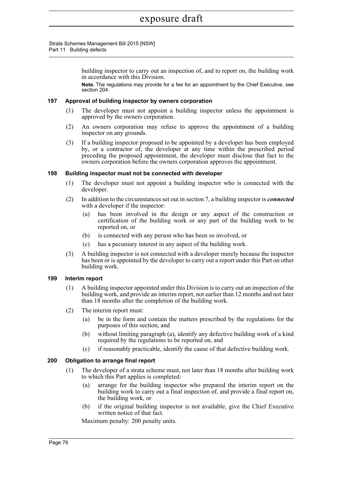#### Strata Schemes Management Bill 2015 [NSW] Part 11 Building defects

building inspector to carry out an inspection of, and to report on, the building work in accordance with this Division.

**Note.** The regulations may provide for a fee for an appointment by the Chief Executive, see section 204.

#### **197 Approval of building inspector by owners corporation**

- (1) The developer must not appoint a building inspector unless the appointment is approved by the owners corporation.
- (2) An owners corporation may refuse to approve the appointment of a building inspector on any grounds.
- (3) If a building inspector proposed to be appointed by a developer has been employed by, or a contractor of, the developer at any time within the prescribed period preceding the proposed appointment, the developer must disclose that fact to the owners corporation before the owners corporation approves the appointment.

## **198 Building inspector must not be connected with developer**

- (1) The developer must not appoint a building inspector who is connected with the developer.
- (2) In addition to the circumstances set out in section 7, a building inspector is *connected* with a developer if the inspector:
	- (a) has been involved in the design or any aspect of the construction or certification of the building work or any part of the building work to be reported on, or
	- (b) is connected with any person who has been so involved, or
	- (c) has a pecuniary interest in any aspect of the building work.
- (3) A building inspector is not connected with a developer merely because the inspector has been or is appointed by the developer to carry out a report under this Part on other building work.

## **199 Interim report**

- (1) A building inspector appointed under this Division is to carry out an inspection of the building work, and provide an interim report, not earlier than 12 months and not later than 18 months after the completion of the building work.
- (2) The interim report must:
	- (a) be in the form and contain the matters prescribed by the regulations for the purposes of this section, and
	- (b) without limiting paragraph (a), identify any defective building work of a kind required by the regulations to be reported on, and
	- (c) if reasonably practicable, identify the cause of that defective building work.

## **200 Obligation to arrange final report**

- (1) The developer of a strata scheme must, not later than 18 months after building work to which this Part applies is completed:
	- (a) arrange for the building inspector who prepared the interim report on the building work to carry out a final inspection of, and provide a final report on, the building work, or
	- (b) if the original building inspector is not available, give the Chief Executive written notice of that fact.

Maximum penalty: 200 penalty units.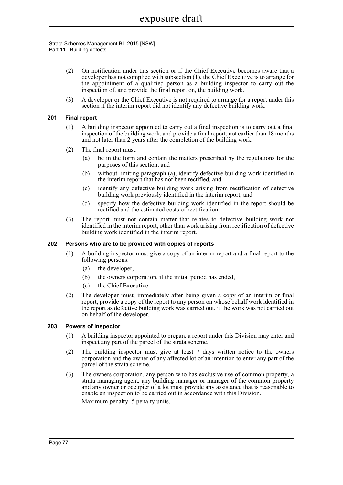#### Strata Schemes Management Bill 2015 [NSW] Part 11 Building defects

- (2) On notification under this section or if the Chief Executive becomes aware that a developer has not complied with subsection (1), the Chief Executive is to arrange for the appointment of a qualified person as a building inspector to carry out the inspection of, and provide the final report on, the building work.
- (3) A developer or the Chief Executive is not required to arrange for a report under this section if the interim report did not identify any defective building work.

## **201 Final report**

- (1) A building inspector appointed to carry out a final inspection is to carry out a final inspection of the building work, and provide a final report, not earlier than 18 months and not later than 2 years after the completion of the building work.
- (2) The final report must:
	- (a) be in the form and contain the matters prescribed by the regulations for the purposes of this section, and
	- (b) without limiting paragraph (a), identify defective building work identified in the interim report that has not been rectified, and
	- (c) identify any defective building work arising from rectification of defective building work previously identified in the interim report, and
	- (d) specify how the defective building work identified in the report should be rectified and the estimated costs of rectification.
- (3) The report must not contain matter that relates to defective building work not identified in the interim report, other than work arising from rectification of defective building work identified in the interim report.

## **202 Persons who are to be provided with copies of reports**

- (1) A building inspector must give a copy of an interim report and a final report to the following persons:
	- (a) the developer,
	- (b) the owners corporation, if the initial period has ended,
	- (c) the Chief Executive.
- (2) The developer must, immediately after being given a copy of an interim or final report, provide a copy of the report to any person on whose behalf work identified in the report as defective building work was carried out, if the work was not carried out on behalf of the developer.

#### **203 Powers of inspector**

- (1) A building inspector appointed to prepare a report under this Division may enter and inspect any part of the parcel of the strata scheme.
- (2) The building inspector must give at least 7 days written notice to the owners corporation and the owner of any affected lot of an intention to enter any part of the parcel of the strata scheme.
- (3) The owners corporation, any person who has exclusive use of common property, a strata managing agent, any building manager or manager of the common property and any owner or occupier of a lot must provide any assistance that is reasonable to enable an inspection to be carried out in accordance with this Division. Maximum penalty: 5 penalty units.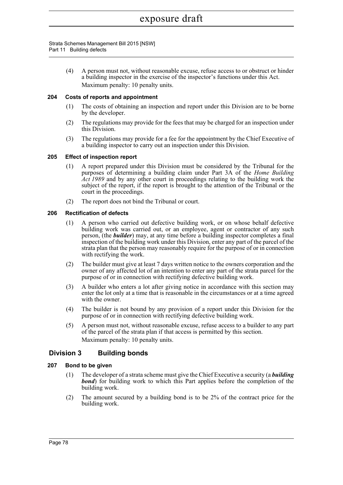Strata Schemes Management Bill 2015 [NSW] Part 11 Building defects

> (4) A person must not, without reasonable excuse, refuse access to or obstruct or hinder a building inspector in the exercise of the inspector's functions under this Act. Maximum penalty: 10 penalty units.

## **204 Costs of reports and appointment**

- (1) The costs of obtaining an inspection and report under this Division are to be borne by the developer.
- (2) The regulations may provide for the fees that may be charged for an inspection under this Division.
- (3) The regulations may provide for a fee for the appointment by the Chief Executive of a building inspector to carry out an inspection under this Division.

## **205 Effect of inspection report**

- (1) A report prepared under this Division must be considered by the Tribunal for the purposes of determining a building claim under Part 3A of the *Home Building Act 1989* and by any other court in proceedings relating to the building work the subject of the report, if the report is brought to the attention of the Tribunal or the court in the proceedings.
- (2) The report does not bind the Tribunal or court.

### **206 Rectification of defects**

- (1) A person who carried out defective building work, or on whose behalf defective building work was carried out, or an employee, agent or contractor of any such person, (the *builder*) may, at any time before a building inspector completes a final inspection of the building work under this Division, enter any part of the parcel of the strata plan that the person may reasonably require for the purpose of or in connection with rectifying the work.
- (2) The builder must give at least 7 days written notice to the owners corporation and the owner of any affected lot of an intention to enter any part of the strata parcel for the purpose of or in connection with rectifying defective building work.
- (3) A builder who enters a lot after giving notice in accordance with this section may enter the lot only at a time that is reasonable in the circumstances or at a time agreed with the owner.
- (4) The builder is not bound by any provision of a report under this Division for the purpose of or in connection with rectifying defective building work.
- (5) A person must not, without reasonable excuse, refuse access to a builder to any part of the parcel of the strata plan if that access is permitted by this section. Maximum penalty: 10 penalty units.

## **Division 3 Building bonds**

## **207 Bond to be given**

- (1) The developer of a strata scheme must give the Chief Executive a security (a *building bond*) for building work to which this Part applies before the completion of the building work.
- (2) The amount secured by a building bond is to be 2% of the contract price for the building work.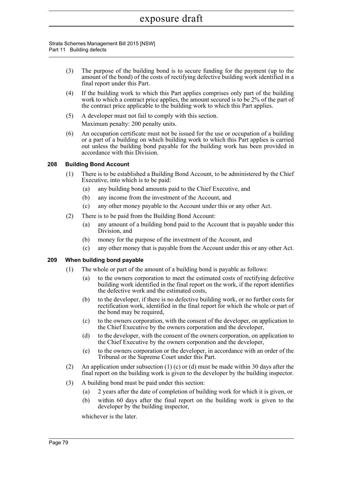#### Strata Schemes Management Bill 2015 [NSW] Part 11 Building defects

- (3) The purpose of the building bond is to secure funding for the payment (up to the amount of the bond) of the costs of rectifying defective building work identified in a final report under this Part.
- (4) If the building work to which this Part applies comprises only part of the building work to which a contract price applies, the amount secured is to be 2% of the part of the contract price applicable to the building work to which this Part applies.
- (5) A developer must not fail to comply with this section. Maximum penalty: 200 penalty units.
- (6) An occupation certificate must not be issued for the use or occupation of a building or a part of a building on which building work to which this Part applies is carried out unless the building bond payable for the building work has been provided in accordance with this Division.

## **208 Building Bond Account**

- (1) There is to be established a Building Bond Account, to be administered by the Chief Executive, into which is to be paid:
	- (a) any building bond amounts paid to the Chief Executive, and
	- (b) any income from the investment of the Account, and
	- (c) any other money payable to the Account under this or any other Act.
- (2) There is to be paid from the Building Bond Account:
	- (a) any amount of a building bond paid to the Account that is payable under this Division, and
	- (b) money for the purpose of the investment of the Account, and
	- (c) any other money that is payable from the Account under this or any other Act.

## **209 When building bond payable**

- (1) The whole or part of the amount of a building bond is payable as follows:
	- (a) to the owners corporation to meet the estimated costs of rectifying defective building work identified in the final report on the work, if the report identifies the defective work and the estimated costs,
	- (b) to the developer, if there is no defective building work, or no further costs for rectification work, identified in the final report for which the whole or part of the bond may be required,
	- (c) to the owners corporation, with the consent of the developer, on application to the Chief Executive by the owners corporation and the developer,
	- (d) to the developer, with the consent of the owners corporation, on application to the Chief Executive by the owners corporation and the developer,
	- (e) to the owners corporation or the developer, in accordance with an order of the Tribunal or the Supreme Court under this Part.
- (2) An application under subsection (1) (c) or (d) must be made within 30 days after the final report on the building work is given to the developer by the building inspector.
- (3) A building bond must be paid under this section:
	- (a) 2 years after the date of completion of building work for which it is given, or
	- (b) within 60 days after the final report on the building work is given to the developer by the building inspector,

whichever is the later.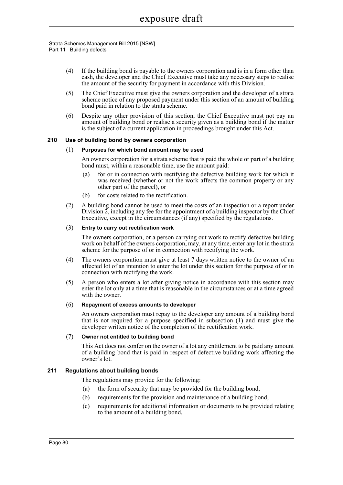#### Strata Schemes Management Bill 2015 [NSW] Part 11 Building defects

- (4) If the building bond is payable to the owners corporation and is in a form other than cash, the developer and the Chief Executive must take any necessary steps to realise the amount of the security for payment in accordance with this Division.
- (5) The Chief Executive must give the owners corporation and the developer of a strata scheme notice of any proposed payment under this section of an amount of building bond paid in relation to the strata scheme.
- (6) Despite any other provision of this section, the Chief Executive must not pay an amount of building bond or realise a security given as a building bond if the matter is the subject of a current application in proceedings brought under this Act.

## **210 Use of building bond by owners corporation**

### (1) **Purposes for which bond amount may be used**

An owners corporation for a strata scheme that is paid the whole or part of a building bond must, within a reasonable time, use the amount paid:

- (a) for or in connection with rectifying the defective building work for which it was received (whether or not the work affects the common property or any other part of the parcel), or
- (b) for costs related to the rectification.
- (2) A building bond cannot be used to meet the costs of an inspection or a report under Division  $\overline{2}$ , including any fee for the appointment of a building inspector by the Chief Executive, except in the circumstances (if any) specified by the regulations.

### (3) **Entry to carry out rectification work**

The owners corporation, or a person carrying out work to rectify defective building work on behalf of the owners corporation, may, at any time, enter any lot in the strata scheme for the purpose of or in connection with rectifying the work.

- (4) The owners corporation must give at least 7 days written notice to the owner of an affected lot of an intention to enter the lot under this section for the purpose of or in connection with rectifying the work.
- (5) A person who enters a lot after giving notice in accordance with this section may enter the lot only at a time that is reasonable in the circumstances or at a time agreed with the owner.

#### (6) **Repayment of excess amounts to developer**

An owners corporation must repay to the developer any amount of a building bond that is not required for a purpose specified in subsection (1) and must give the developer written notice of the completion of the rectification work.

## (7) **Owner not entitled to building bond**

This Act does not confer on the owner of a lot any entitlement to be paid any amount of a building bond that is paid in respect of defective building work affecting the owner's lot.

## **211 Regulations about building bonds**

The regulations may provide for the following:

- (a) the form of security that may be provided for the building bond,
- (b) requirements for the provision and maintenance of a building bond,
- (c) requirements for additional information or documents to be provided relating to the amount of a building bond,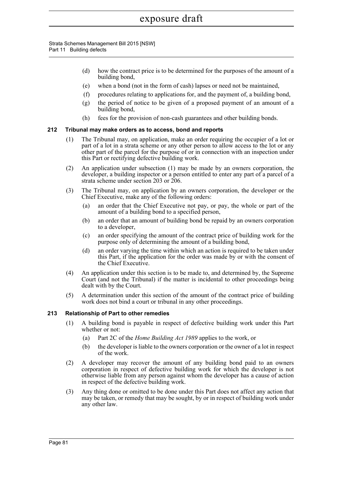Strata Schemes Management Bill 2015 [NSW] Part 11 Building defects

- (d) how the contract price is to be determined for the purposes of the amount of a building bond,
- (e) when a bond (not in the form of cash) lapses or need not be maintained,
- (f) procedures relating to applications for, and the payment of, a building bond,
- (g) the period of notice to be given of a proposed payment of an amount of a building bond,
- (h) fees for the provision of non-cash guarantees and other building bonds.

## **212 Tribunal may make orders as to access, bond and reports**

- (1) The Tribunal may, on application, make an order requiring the occupier of a lot or part of a lot in a strata scheme or any other person to allow access to the lot or any other part of the parcel for the purpose of or in connection with an inspection under this Part or rectifying defective building work.
- (2) An application under subsection (1) may be made by an owners corporation, the developer, a building inspector or a person entitled to enter any part of a parcel of a strata scheme under section 203 or 206.
- (3) The Tribunal may, on application by an owners corporation, the developer or the Chief Executive, make any of the following orders:
	- (a) an order that the Chief Executive not pay, or pay, the whole or part of the amount of a building bond to a specified person,
	- (b) an order that an amount of building bond be repaid by an owners corporation to a developer,
	- (c) an order specifying the amount of the contract price of building work for the purpose only of determining the amount of a building bond,
	- (d) an order varying the time within which an action is required to be taken under this Part, if the application for the order was made by or with the consent of the Chief Executive.
- (4) An application under this section is to be made to, and determined by, the Supreme Court (and not the Tribunal) if the matter is incidental to other proceedings being dealt with by the Court.
- (5) A determination under this section of the amount of the contract price of building work does not bind a court or tribunal in any other proceedings.

## **213 Relationship of Part to other remedies**

- (1) A building bond is payable in respect of defective building work under this Part whether or not:
	- (a) Part 2C of the *Home Building Act 1989* applies to the work, or
	- (b) the developer is liable to the owners corporation or the owner of a lot in respect of the work.
- (2) A developer may recover the amount of any building bond paid to an owners corporation in respect of defective building work for which the developer is not otherwise liable from any person against whom the developer has a cause of action in respect of the defective building work.
- (3) Any thing done or omitted to be done under this Part does not affect any action that may be taken, or remedy that may be sought, by or in respect of building work under any other law.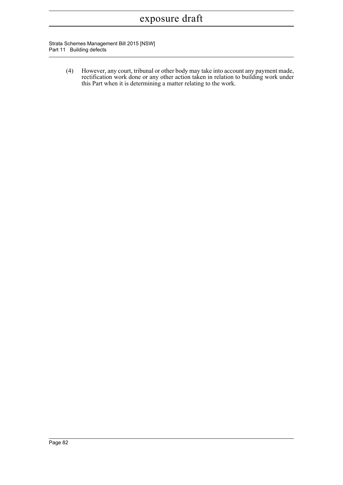Strata Schemes Management Bill 2015 [NSW] Part 11 Building defects

> (4) However, any court, tribunal or other body may take into account any payment made, rectification work done or any other action taken in relation to building work under this Part when it is determining a matter relating to the work.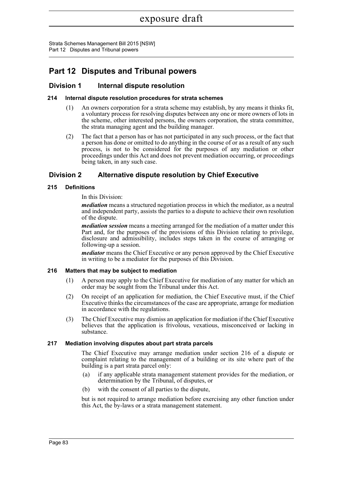Strata Schemes Management Bill 2015 [NSW] Part 12 Disputes and Tribunal powers

## **Part 12 Disputes and Tribunal powers**

## **Division 1 Internal dispute resolution**

## **214 Internal dispute resolution procedures for strata schemes**

- (1) An owners corporation for a strata scheme may establish, by any means it thinks fit, a voluntary process for resolving disputes between any one or more owners of lots in the scheme, other interested persons, the owners corporation, the strata committee, the strata managing agent and the building manager.
- (2) The fact that a person has or has not participated in any such process, or the fact that a person has done or omitted to do anything in the course of or as a result of any such process, is not to be considered for the purposes of any mediation or other proceedings under this Act and does not prevent mediation occurring, or proceedings being taken, in any such case.

## **Division 2 Alternative dispute resolution by Chief Executive**

### **215 Definitions**

### In this Division:

*mediation* means a structured negotiation process in which the mediator, as a neutral and independent party, assists the parties to a dispute to achieve their own resolution of the dispute.

*mediation session* means a meeting arranged for the mediation of a matter under this Part and, for the purposes of the provisions of this Division relating to privilege, disclosure and admissibility, includes steps taken in the course of arranging or following-up a session.

*mediator* means the Chief Executive or any person approved by the Chief Executive in writing to be a mediator for the purposes of this Division.

## **216 Matters that may be subject to mediation**

- (1) A person may apply to the Chief Executive for mediation of any matter for which an order may be sought from the Tribunal under this Act.
- (2) On receipt of an application for mediation, the Chief Executive must, if the Chief Executive thinks the circumstances of the case are appropriate, arrange for mediation in accordance with the regulations.
- (3) The Chief Executive may dismiss an application for mediation if the Chief Executive believes that the application is frivolous, vexatious, misconceived or lacking in substance.

## **217 Mediation involving disputes about part strata parcels**

The Chief Executive may arrange mediation under section 216 of a dispute or complaint relating to the management of a building or its site where part of the building is a part strata parcel only:

- (a) if any applicable strata management statement provides for the mediation, or determination by the Tribunal, of disputes, or
- (b) with the consent of all parties to the dispute,

but is not required to arrange mediation before exercising any other function under this Act, the by-laws or a strata management statement.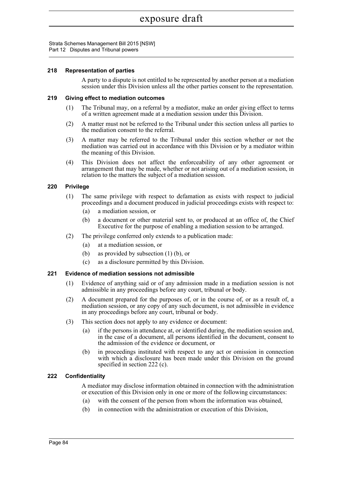Strata Schemes Management Bill 2015 [NSW] Part 12 Disputes and Tribunal powers

#### **218 Representation of parties**

A party to a dispute is not entitled to be represented by another person at a mediation session under this Division unless all the other parties consent to the representation.

### **219 Giving effect to mediation outcomes**

- (1) The Tribunal may, on a referral by a mediator, make an order giving effect to terms of a written agreement made at a mediation session under this Division.
- (2) A matter must not be referred to the Tribunal under this section unless all parties to the mediation consent to the referral.
- (3) A matter may be referred to the Tribunal under this section whether or not the mediation was carried out in accordance with this Division or by a mediator within the meaning of this Division.
- (4) This Division does not affect the enforceability of any other agreement or arrangement that may be made, whether or not arising out of a mediation session, in relation to the matters the subject of a mediation session.

## **220 Privilege**

- (1) The same privilege with respect to defamation as exists with respect to judicial proceedings and a document produced in judicial proceedings exists with respect to:
	- (a) a mediation session, or
	- (b) a document or other material sent to, or produced at an office of, the Chief Executive for the purpose of enabling a mediation session to be arranged.
- (2) The privilege conferred only extends to a publication made:
	- (a) at a mediation session, or
	- (b) as provided by subsection (1) (b), or
	- (c) as a disclosure permitted by this Division.

### **221 Evidence of mediation sessions not admissible**

- (1) Evidence of anything said or of any admission made in a mediation session is not admissible in any proceedings before any court, tribunal or body.
- (2) A document prepared for the purposes of, or in the course of, or as a result of, a mediation session, or any copy of any such document, is not admissible in evidence in any proceedings before any court, tribunal or body.
- (3) This section does not apply to any evidence or document:
	- (a) if the persons in attendance at, or identified during, the mediation session and, in the case of a document, all persons identified in the document, consent to the admission of the evidence or document, or
	- (b) in proceedings instituted with respect to any act or omission in connection with which a disclosure has been made under this Division on the ground specified in section 222 (c).

## **222 Confidentiality**

A mediator may disclose information obtained in connection with the administration or execution of this Division only in one or more of the following circumstances:

- (a) with the consent of the person from whom the information was obtained,
- (b) in connection with the administration or execution of this Division,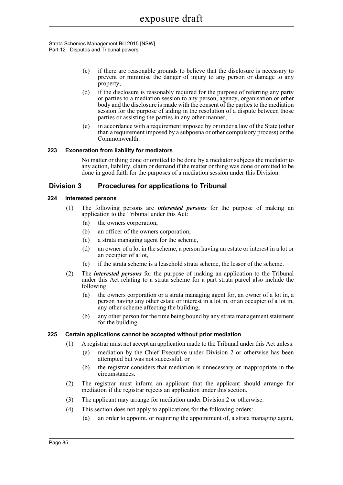- (c) if there are reasonable grounds to believe that the disclosure is necessary to prevent or minimise the danger of injury to any person or damage to any property,
- (d) if the disclosure is reasonably required for the purpose of referring any party or parties to a mediation session to any person, agency, organisation or other body and the disclosure is made with the consent of the parties to the mediation session for the purpose of aiding in the resolution of a dispute between those parties or assisting the parties in any other manner,
- (e) in accordance with a requirement imposed by or under a law of the State (other than a requirement imposed by a subpoena or other compulsory process) or the Commonwealth.

## **223 Exoneration from liability for mediators**

No matter or thing done or omitted to be done by a mediator subjects the mediator to any action, liability, claim or demand if the matter or thing was done or omitted to be done in good faith for the purposes of a mediation session under this Division.

## **Division 3 Procedures for applications to Tribunal**

## **224 Interested persons**

- (1) The following persons are *interested persons* for the purpose of making an application to the Tribunal under this Act:
	- (a) the owners corporation,
	- (b) an officer of the owners corporation,
	- (c) a strata managing agent for the scheme,
	- (d) an owner of a lot in the scheme, a person having an estate or interest in a lot or an occupier of a lot,
	- (e) if the strata scheme is a leasehold strata scheme, the lessor of the scheme.
- (2) The *interested persons* for the purpose of making an application to the Tribunal under this Act relating to a strata scheme for a part strata parcel also include the following:
	- (a) the owners corporation or a strata managing agent for, an owner of a lot in, a person having any other estate or interest in a lot in, or an occupier of a lot in, any other scheme affecting the building,
	- (b) any other person for the time being bound by any strata management statement for the building.

## **225 Certain applications cannot be accepted without prior mediation**

- (1) A registrar must not accept an application made to the Tribunal under this Act unless:
	- (a) mediation by the Chief Executive under Division 2 or otherwise has been attempted but was not successful, or
	- (b) the registrar considers that mediation is unnecessary or inappropriate in the circumstances.
- (2) The registrar must inform an applicant that the applicant should arrange for mediation if the registrar rejects an application under this section.
- (3) The applicant may arrange for mediation under Division 2 or otherwise.
- (4) This section does not apply to applications for the following orders:
	- (a) an order to appoint, or requiring the appointment of, a strata managing agent,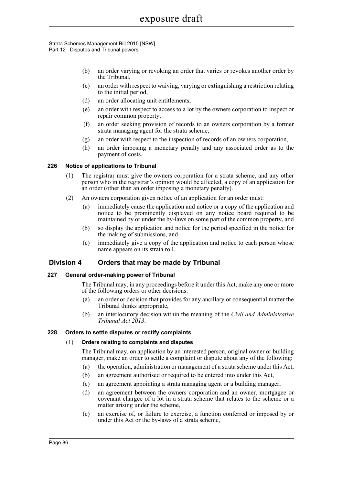#### Strata Schemes Management Bill 2015 [NSW] Part 12 Disputes and Tribunal powers

- (b) an order varying or revoking an order that varies or revokes another order by the Tribunal,
- (c) an order with respect to waiving, varying or extinguishing a restriction relating to the initial period,
- (d) an order allocating unit entitlements,
- (e) an order with respect to access to a lot by the owners corporation to inspect or repair common property,
- (f) an order seeking provision of records to an owners corporation by a former strata managing agent for the strata scheme,
- (g) an order with respect to the inspection of records of an owners corporation,
- (h) an order imposing a monetary penalty and any associated order as to the payment of costs.

## **226 Notice of applications to Tribunal**

- (1) The registrar must give the owners corporation for a strata scheme, and any other person who in the registrar's opinion would be affected, a copy of an application for an order (other than an order imposing a monetary penalty).
- (2) An owners corporation given notice of an application for an order must:
	- (a) immediately cause the application and notice or a copy of the application and notice to be prominently displayed on any notice board required to be maintained by or under the by-laws on some part of the common property, and
	- (b) so display the application and notice for the period specified in the notice for the making of submissions, and
	- (c) immediately give a copy of the application and notice to each person whose name appears on its strata roll.

## **Division 4 Orders that may be made by Tribunal**

## **227 General order-making power of Tribunal**

The Tribunal may, in any proceedings before it under this Act, make any one or more of the following orders or other decisions:

- (a) an order or decision that provides for any ancillary or consequential matter the Tribunal thinks appropriate,
- (b) an interlocutory decision within the meaning of the *Civil and Administrative Tribunal Act 2013*.

## **228 Orders to settle disputes or rectify complaints**

## (1) **Orders relating to complaints and disputes**

The Tribunal may, on application by an interested person, original owner or building manager, make an order to settle a complaint or dispute about any of the following:

- (a) the operation, administration or management of a strata scheme under this Act,
- (b) an agreement authorised or required to be entered into under this Act,
- (c) an agreement appointing a strata managing agent or a building manager,
- (d) an agreement between the owners corporation and an owner, mortgagee or covenant chargee of a lot in a strata scheme that relates to the scheme or a matter arising under the scheme,
- (e) an exercise of, or failure to exercise, a function conferred or imposed by or under this Act or the by-laws of a strata scheme,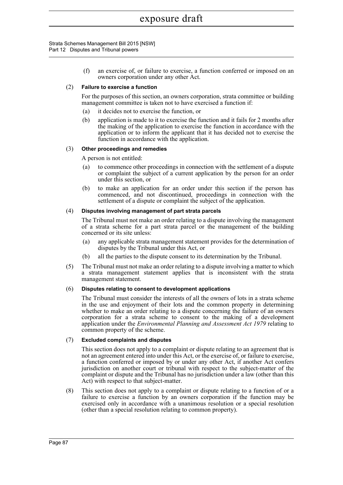(f) an exercise of, or failure to exercise, a function conferred or imposed on an owners corporation under any other Act.

## (2) **Failure to exercise a function**

For the purposes of this section, an owners corporation, strata committee or building management committee is taken not to have exercised a function if:

- (a) it decides not to exercise the function, or
- (b) application is made to it to exercise the function and it fails for 2 months after the making of the application to exercise the function in accordance with the application or to inform the applicant that it has decided not to exercise the function in accordance with the application.

## (3) **Other proceedings and remedies**

A person is not entitled:

- (a) to commence other proceedings in connection with the settlement of a dispute or complaint the subject of a current application by the person for an order under this section, or
- (b) to make an application for an order under this section if the person has commenced, and not discontinued, proceedings in connection with the settlement of a dispute or complaint the subject of the application.

## (4) **Disputes involving management of part strata parcels**

The Tribunal must not make an order relating to a dispute involving the management of a strata scheme for a part strata parcel or the management of the building concerned or its site unless:

- (a) any applicable strata management statement provides for the determination of disputes by the Tribunal under this Act, or
- (b) all the parties to the dispute consent to its determination by the Tribunal.
- (5) The Tribunal must not make an order relating to a dispute involving a matter to which a strata management statement applies that is inconsistent with the strata management statement.

## (6) **Disputes relating to consent to development applications**

The Tribunal must consider the interests of all the owners of lots in a strata scheme in the use and enjoyment of their lots and the common property in determining whether to make an order relating to a dispute concerning the failure of an owners corporation for a strata scheme to consent to the making of a development application under the *Environmental Planning and Assessment Act 1979* relating to common property of the scheme.

## (7) **Excluded complaints and disputes**

This section does not apply to a complaint or dispute relating to an agreement that is not an agreement entered into under this Act, or the exercise of, or failure to exercise, a function conferred or imposed by or under any other Act, if another Act confers jurisdiction on another court or tribunal with respect to the subject-matter of the complaint or dispute and the Tribunal has no jurisdiction under a law (other than this Act) with respect to that subject-matter.

(8) This section does not apply to a complaint or dispute relating to a function of or a failure to exercise a function by an owners corporation if the function may be exercised only in accordance with a unanimous resolution or a special resolution (other than a special resolution relating to common property).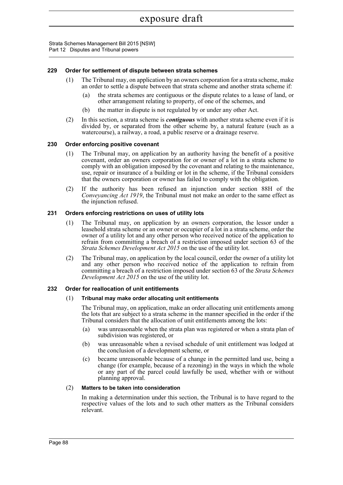## **229 Order for settlement of dispute between strata schemes**

- (1) The Tribunal may, on application by an owners corporation for a strata scheme, make an order to settle a dispute between that strata scheme and another strata scheme if:
	- (a) the strata schemes are contiguous or the dispute relates to a lease of land, or other arrangement relating to property, of one of the schemes, and
	- (b) the matter in dispute is not regulated by or under any other Act.
- (2) In this section, a strata scheme is *contiguous* with another strata scheme even if it is divided by, or separated from the other scheme by, a natural feature (such as a watercourse), a railway, a road, a public reserve or a drainage reserve.

### **230 Order enforcing positive covenant**

- (1) The Tribunal may, on application by an authority having the benefit of a positive covenant, order an owners corporation for or owner of a lot in a strata scheme to comply with an obligation imposed by the covenant and relating to the maintenance, use, repair or insurance of a building or lot in the scheme, if the Tribunal considers that the owners corporation or owner has failed to comply with the obligation.
- (2) If the authority has been refused an injunction under section 88H of the *Conveyancing Act 1919*, the Tribunal must not make an order to the same effect as the injunction refused.

### **231 Orders enforcing restrictions on uses of utility lots**

- (1) The Tribunal may, on application by an owners corporation, the lessor under a leasehold strata scheme or an owner or occupier of a lot in a strata scheme, order the owner of a utility lot and any other person who received notice of the application to refrain from committing a breach of a restriction imposed under section 63 of the *Strata Schemes Development Act 2015* on the use of the utility lot.
- (2) The Tribunal may, on application by the local council, order the owner of a utility lot and any other person who received notice of the application to refrain from committing a breach of a restriction imposed under section 63 of the *Strata Schemes Development Act 2015* on the use of the utility lot.

## **232 Order for reallocation of unit entitlements**

#### (1) **Tribunal may make order allocating unit entitlements**

The Tribunal may, on application, make an order allocating unit entitlements among the lots that are subject to a strata scheme in the manner specified in the order if the Tribunal considers that the allocation of unit entitlements among the lots:

- (a) was unreasonable when the strata plan was registered or when a strata plan of subdivision was registered, or
- (b) was unreasonable when a revised schedule of unit entitlement was lodged at the conclusion of a development scheme, or
- (c) became unreasonable because of a change in the permitted land use, being a change (for example, because of a rezoning) in the ways in which the whole or any part of the parcel could lawfully be used, whether with or without planning approval.

#### (2) **Matters to be taken into consideration**

In making a determination under this section, the Tribunal is to have regard to the respective values of the lots and to such other matters as the Tribunal considers relevant.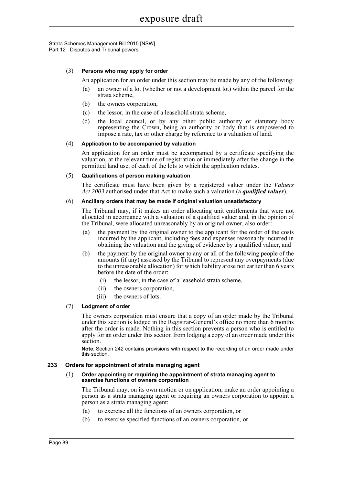## (3) **Persons who may apply for order**

An application for an order under this section may be made by any of the following:

- (a) an owner of a lot (whether or not a development lot) within the parcel for the strata scheme,
- (b) the owners corporation,
- (c) the lessor, in the case of a leasehold strata scheme,
- (d) the local council, or by any other public authority or statutory body representing the Crown, being an authority or body that is empowered to impose a rate, tax or other charge by reference to a valuation of land.

## (4) **Application to be accompanied by valuation**

An application for an order must be accompanied by a certificate specifying the valuation, at the relevant time of registration or immediately after the change in the permitted land use, of each of the lots to which the application relates.

### (5) **Qualifications of person making valuation**

The certificate must have been given by a registered valuer under the *Valuers Act 2003* authorised under that Act to make such a valuation (a *qualified valuer*).

### (6) **Ancillary orders that may be made if original valuation unsatisfactory**

The Tribunal may, if it makes an order allocating unit entitlements that were not allocated in accordance with a valuation of a qualified valuer and, in the opinion of the Tribunal, were allocated unreasonably by an original owner, also order:

- (a) the payment by the original owner to the applicant for the order of the costs incurred by the applicant, including fees and expenses reasonably incurred in obtaining the valuation and the giving of evidence by a qualified valuer, and
- (b) the payment by the original owner to any or all of the following people of the amounts (if any) assessed by the Tribunal to represent any overpayments (due to the unreasonable allocation) for which liability arose not earlier than 6 years before the date of the order:
	- (i) the lessor, in the case of a leasehold strata scheme,
	- (ii) the owners corporation,
	- (iii) the owners of lots.

## (7) **Lodgment of order**

The owners corporation must ensure that a copy of an order made by the Tribunal under this section is lodged in the Registrar-General's office no more than 6 months after the order is made. Nothing in this section prevents a person who is entitled to apply for an order under this section from lodging a copy of an order made under this section.

**Note.** Section 242 contains provisions with respect to the recording of an order made under this section.

#### **233 Orders for appointment of strata managing agent**

#### (1) **Order appointing or requiring the appointment of strata managing agent to exercise functions of owners corporation**

The Tribunal may, on its own motion or on application, make an order appointing a person as a strata managing agent or requiring an owners corporation to appoint a person as a strata managing agent:

- (a) to exercise all the functions of an owners corporation, or
- (b) to exercise specified functions of an owners corporation, or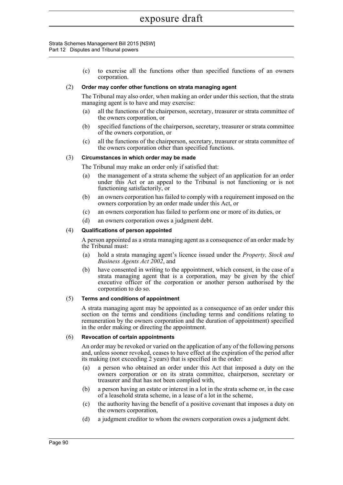#### Strata Schemes Management Bill 2015 [NSW] Part 12 Disputes and Tribunal powers

(c) to exercise all the functions other than specified functions of an owners corporation.

## (2) **Order may confer other functions on strata managing agent**

The Tribunal may also order, when making an order under this section, that the strata managing agent is to have and may exercise:

- (a) all the functions of the chairperson, secretary, treasurer or strata committee of the owners corporation, or
- (b) specified functions of the chairperson, secretary, treasurer or strata committee of the owners corporation, or
- (c) all the functions of the chairperson, secretary, treasurer or strata committee of the owners corporation other than specified functions.

### (3) **Circumstances in which order may be made**

The Tribunal may make an order only if satisfied that:

- (a) the management of a strata scheme the subject of an application for an order under this Act or an appeal to the Tribunal is not functioning or is not functioning satisfactorily, or
- (b) an owners corporation has failed to comply with a requirement imposed on the owners corporation by an order made under this Act, or
- (c) an owners corporation has failed to perform one or more of its duties, or
- (d) an owners corporation owes a judgment debt.

#### (4) **Qualifications of person appointed**

A person appointed as a strata managing agent as a consequence of an order made by the Tribunal must:

- (a) hold a strata managing agent's licence issued under the *Property, Stock and Business Agents Act 2002*, and
- (b) have consented in writing to the appointment, which consent, in the case of a strata managing agent that is a corporation, may be given by the chief executive officer of the corporation or another person authorised by the corporation to do so.

#### (5) **Terms and conditions of appointment**

A strata managing agent may be appointed as a consequence of an order under this section on the terms and conditions (including terms and conditions relating to remuneration by the owners corporation and the duration of appointment) specified in the order making or directing the appointment.

#### (6) **Revocation of certain appointments**

An order may be revoked or varied on the application of any of the following persons and, unless sooner revoked, ceases to have effect at the expiration of the period after its making (not exceeding 2 years) that is specified in the order:

- (a) a person who obtained an order under this Act that imposed a duty on the owners corporation or on its strata committee, chairperson, secretary or treasurer and that has not been complied with,
- (b) a person having an estate or interest in a lot in the strata scheme or, in the case of a leasehold strata scheme, in a lease of a lot in the scheme,
- (c) the authority having the benefit of a positive covenant that imposes a duty on the owners corporation,
- (d) a judgment creditor to whom the owners corporation owes a judgment debt.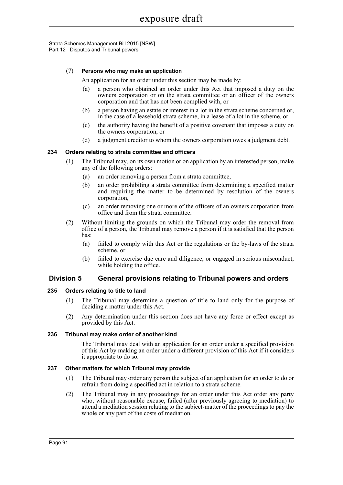## (7) **Persons who may make an application**

An application for an order under this section may be made by:

- (a) a person who obtained an order under this Act that imposed a duty on the owners corporation or on the strata committee or an officer of the owners corporation and that has not been complied with, or
- (b) a person having an estate or interest in a lot in the strata scheme concerned or, in the case of a leasehold strata scheme, in a lease of a lot in the scheme, or
- (c) the authority having the benefit of a positive covenant that imposes a duty on the owners corporation, or
- (d) a judgment creditor to whom the owners corporation owes a judgment debt.

### **234 Orders relating to strata committee and officers**

- (1) The Tribunal may, on its own motion or on application by an interested person, make any of the following orders:
	- (a) an order removing a person from a strata committee,
	- (b) an order prohibiting a strata committee from determining a specified matter and requiring the matter to be determined by resolution of the owners corporation,
	- (c) an order removing one or more of the officers of an owners corporation from office and from the strata committee.
- (2) Without limiting the grounds on which the Tribunal may order the removal from office of a person, the Tribunal may remove a person if it is satisfied that the person has:
	- (a) failed to comply with this Act or the regulations or the by-laws of the strata scheme, or
	- (b) failed to exercise due care and diligence, or engaged in serious misconduct, while holding the office.

## **Division 5 General provisions relating to Tribunal powers and orders**

#### **235 Orders relating to title to land**

- (1) The Tribunal may determine a question of title to land only for the purpose of deciding a matter under this Act.
- (2) Any determination under this section does not have any force or effect except as provided by this Act.

#### **236 Tribunal may make order of another kind**

The Tribunal may deal with an application for an order under a specified provision of this Act by making an order under a different provision of this Act if it considers it appropriate to do so.

#### **237 Other matters for which Tribunal may provide**

- (1) The Tribunal may order any person the subject of an application for an order to do or refrain from doing a specified act in relation to a strata scheme.
- (2) The Tribunal may in any proceedings for an order under this Act order any party who, without reasonable excuse, failed (after previously agreeing to mediation) to attend a mediation session relating to the subject-matter of the proceedings to pay the whole or any part of the costs of mediation.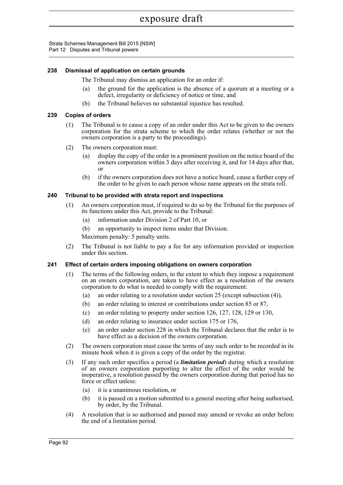Strata Schemes Management Bill 2015 [NSW] Part 12 Disputes and Tribunal powers

# **238 Dismissal of application on certain grounds**

The Tribunal may dismiss an application for an order if:

- (a) the ground for the application is the absence of a quorum at a meeting or a defect, irregularity or deficiency of notice or time, and
- (b) the Tribunal believes no substantial injustice has resulted.

# **239 Copies of orders**

- (1) The Tribunal is to cause a copy of an order under this Act to be given to the owners corporation for the strata scheme to which the order relates (whether or not the owners corporation is a party to the proceedings).
- (2) The owners corporation must:
	- (a) display the copy of the order in a prominent position on the notice board of the owners corporation within 3 days after receiving it, and for 14 days after that, or
	- (b) if the owners corporation does not have a notice board, cause a further copy of the order to be given to each person whose name appears on the strata roll.

# **240 Tribunal to be provided with strata report and inspections**

- (1) An owners corporation must, if required to do so by the Tribunal for the purposes of its functions under this Act, provide to the Tribunal:
	- (a) information under Division 2 of Part 10, or
	- (b) an opportunity to inspect items under that Division.

Maximum penalty: 5 penalty units.

(2) The Tribunal is not liable to pay a fee for any information provided or inspection under this section.

# **241 Effect of certain orders imposing obligations on owners corporation**

- (1) The terms of the following orders, to the extent to which they impose a requirement on an owners corporation, are taken to have effect as a resolution of the owners corporation to do what is needed to comply with the requirement:
	- (a) an order relating to a resolution under section 25 (except subsection (4)),
	- (b) an order relating to interest or contributions under section 85 or 87,
	- (c) an order relating to property under section 126, 127, 128, 129 or 130,
	- (d) an order relating to insurance under section 175 or 176,
	- (e) an order under section 228 in which the Tribunal declares that the order is to have effect as a decision of the owners corporation.
- (2) The owners corporation must cause the terms of any such order to be recorded in its minute book when it is given a copy of the order by the registrar.
- (3) If any such order specifies a period (a *limitation period*) during which a resolution of an owners corporation purporting to alter the effect of the order would be inoperative, a resolution passed by the owners corporation during that period has no force or effect unless:
	- (a) it is a unanimous resolution, or
	- (b) it is passed on a motion submitted to a general meeting after being authorised, by order, by the Tribunal.
- (4) A resolution that is so authorised and passed may amend or revoke an order before the end of a limitation period.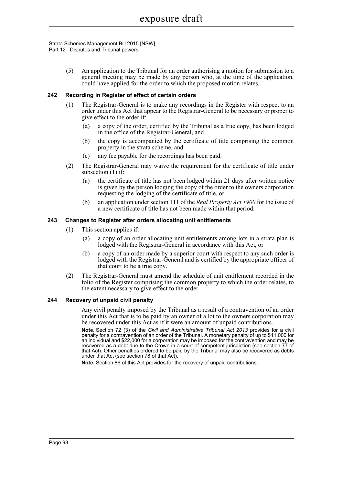Strata Schemes Management Bill 2015 [NSW] Part 12 Disputes and Tribunal powers

> (5) An application to the Tribunal for an order authorising a motion for submission to a general meeting may be made by any person who, at the time of the application, could have applied for the order to which the proposed motion relates.

### **242 Recording in Register of effect of certain orders**

- (1) The Registrar-General is to make any recordings in the Register with respect to an order under this Act that appear to the Registrar-General to be necessary or proper to give effect to the order if:
	- (a) a copy of the order, certified by the Tribunal as a true copy, has been lodged in the office of the Registrar-General, and
	- (b) the copy is accompanied by the certificate of title comprising the common property in the strata scheme, and
	- (c) any fee payable for the recordings has been paid.
- (2) The Registrar-General may waive the requirement for the certificate of title under subsection (1) if:
	- (a) the certificate of title has not been lodged within 21 days after written notice is given by the person lodging the copy of the order to the owners corporation requesting the lodging of the certificate of title, or
	- (b) an application under section 111 of the *Real Property Act 1900* for the issue of a new certificate of title has not been made within that period.

### **243 Changes to Register after orders allocating unit entitlements**

- (1) This section applies if:
	- (a) a copy of an order allocating unit entitlements among lots in a strata plan is lodged with the Registrar-General in accordance with this Act, or
	- (b) a copy of an order made by a superior court with respect to any such order is lodged with the Registrar-General and is certified by the appropriate officer of that court to be a true copy.
- (2) The Registrar-General must amend the schedule of unit entitlement recorded in the folio of the Register comprising the common property to which the order relates, to the extent necessary to give effect to the order.

### **244 Recovery of unpaid civil penalty**

Any civil penalty imposed by the Tribunal as a result of a contravention of an order under this Act that is to be paid by an owner of a lot to the owners corporation may be recovered under this Act as if it were an amount of unpaid contributions.

**Note.** Section 72 (3) of the *Civil and Administrative Tribunal Act 2013* provides for a civil penalty for a contravention of an order of the Tribunal. A monetary penalty of up to \$11,000 for an individual and \$22,000 for a corporation may be imposed for the contravention and may be recovered as a debt due to the Crown in a court of competent jurisdiction (see section 77 of that Act). Other penalties ordered to be paid by the Tribunal may also be recovered as debts under that Act (see section 78 of that Act).

**Note.** Section 86 of this Act provides for the recovery of unpaid contributions.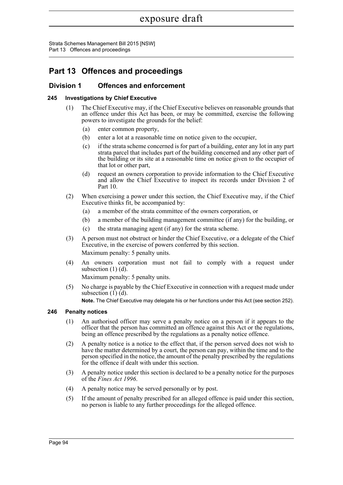Strata Schemes Management Bill 2015 [NSW] Part 13 Offences and proceedings

# **Part 13 Offences and proceedings**

# **Division 1 Offences and enforcement**

# **245 Investigations by Chief Executive**

- (1) The Chief Executive may, if the Chief Executive believes on reasonable grounds that an offence under this Act has been, or may be committed, exercise the following powers to investigate the grounds for the belief:
	- (a) enter common property,
	- (b) enter a lot at a reasonable time on notice given to the occupier,
	- (c) if the strata scheme concerned is for part of a building, enter any lot in any part strata parcel that includes part of the building concerned and any other part of the building or its site at a reasonable time on notice given to the occupier of that lot or other part,
	- (d) request an owners corporation to provide information to the Chief Executive and allow the Chief Executive to inspect its records under Division 2 of Part 10.
- (2) When exercising a power under this section, the Chief Executive may, if the Chief Executive thinks fit, be accompanied by:
	- (a) a member of the strata committee of the owners corporation, or
	- (b) a member of the building management committee (if any) for the building, or
	- (c) the strata managing agent (if any) for the strata scheme.
- (3) A person must not obstruct or hinder the Chief Executive, or a delegate of the Chief Executive, in the exercise of powers conferred by this section. Maximum penalty: 5 penalty units.
- (4) An owners corporation must not fail to comply with a request under subsection  $(1)$   $(d)$ .

Maximum penalty: 5 penalty units.

(5) No charge is payable by the Chief Executive in connection with a request made under subsection  $(1)$   $(d)$ .

**Note.** The Chief Executive may delegate his or her functions under this Act (see section 252).

# **246 Penalty notices**

- (1) An authorised officer may serve a penalty notice on a person if it appears to the officer that the person has committed an offence against this Act or the regulations, being an offence prescribed by the regulations as a penalty notice offence.
- (2) A penalty notice is a notice to the effect that, if the person served does not wish to have the matter determined by a court, the person can pay, within the time and to the person specified in the notice, the amount of the penalty prescribed by the regulations for the offence if dealt with under this section.
- (3) A penalty notice under this section is declared to be a penalty notice for the purposes of the *Fines Act 1996*.
- (4) A penalty notice may be served personally or by post.
- (5) If the amount of penalty prescribed for an alleged offence is paid under this section, no person is liable to any further proceedings for the alleged offence.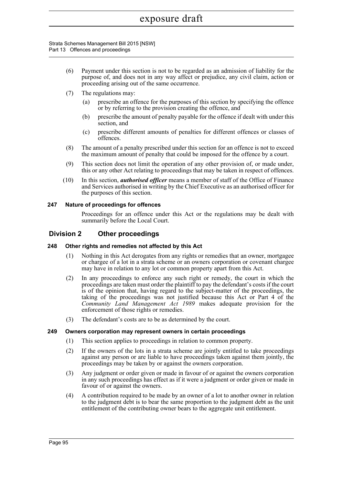#### Strata Schemes Management Bill 2015 [NSW] Part 13 Offences and proceedings

- (6) Payment under this section is not to be regarded as an admission of liability for the purpose of, and does not in any way affect or prejudice, any civil claim, action or proceeding arising out of the same occurrence.
- (7) The regulations may:
	- (a) prescribe an offence for the purposes of this section by specifying the offence or by referring to the provision creating the offence, and
	- (b) prescribe the amount of penalty payable for the offence if dealt with under this section, and
	- (c) prescribe different amounts of penalties for different offences or classes of offences.
- (8) The amount of a penalty prescribed under this section for an offence is not to exceed the maximum amount of penalty that could be imposed for the offence by a court.
- (9) This section does not limit the operation of any other provision of, or made under, this or any other Act relating to proceedings that may be taken in respect of offences.
- (10) In this section, *authorised officer* means a member of staff of the Office of Finance and Services authorised in writing by the Chief Executive as an authorised officer for the purposes of this section.

### **247 Nature of proceedings for offences**

Proceedings for an offence under this Act or the regulations may be dealt with summarily before the Local Court.

# **Division 2 Other proceedings**

### **248 Other rights and remedies not affected by this Act**

- (1) Nothing in this Act derogates from any rights or remedies that an owner, mortgagee or chargee of a lot in a strata scheme or an owners corporation or covenant chargee may have in relation to any lot or common property apart from this Act.
- (2) In any proceedings to enforce any such right or remedy, the court in which the proceedings are taken must order the plaintiff to pay the defendant's costs if the court is of the opinion that, having regard to the subject-matter of the proceedings, the taking of the proceedings was not justified because this Act or Part 4 of the *Community Land Management Act 1989* makes adequate provision for the enforcement of those rights or remedies.
- (3) The defendant's costs are to be as determined by the court.

### **249 Owners corporation may represent owners in certain proceedings**

- (1) This section applies to proceedings in relation to common property.
- (2) If the owners of the lots in a strata scheme are jointly entitled to take proceedings against any person or are liable to have proceedings taken against them jointly, the proceedings may be taken by or against the owners corporation.
- (3) Any judgment or order given or made in favour of or against the owners corporation in any such proceedings has effect as if it were a judgment or order given or made in favour of or against the owners.
- (4) A contribution required to be made by an owner of a lot to another owner in relation to the judgment debt is to bear the same proportion to the judgment debt as the unit entitlement of the contributing owner bears to the aggregate unit entitlement.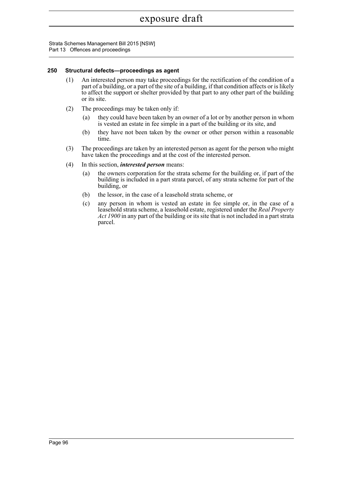Strata Schemes Management Bill 2015 [NSW] Part 13 Offences and proceedings

### **250 Structural defects—proceedings as agent**

- (1) An interested person may take proceedings for the rectification of the condition of a part of a building, or a part of the site of a building, if that condition affects or is likely to affect the support or shelter provided by that part to any other part of the building or its site.
- (2) The proceedings may be taken only if:
	- (a) they could have been taken by an owner of a lot or by another person in whom is vested an estate in fee simple in a part of the building or its site, and
	- (b) they have not been taken by the owner or other person within a reasonable time.
- (3) The proceedings are taken by an interested person as agent for the person who might have taken the proceedings and at the cost of the interested person.
- (4) In this section, *interested person* means:
	- (a) the owners corporation for the strata scheme for the building or, if part of the building is included in a part strata parcel, of any strata scheme for part of the building, or
	- (b) the lessor, in the case of a leasehold strata scheme, or
	- (c) any person in whom is vested an estate in fee simple or, in the case of a leasehold strata scheme, a leasehold estate, registered under the *Real Property Act 1900* in any part of the building or its site that is not included in a part strata parcel.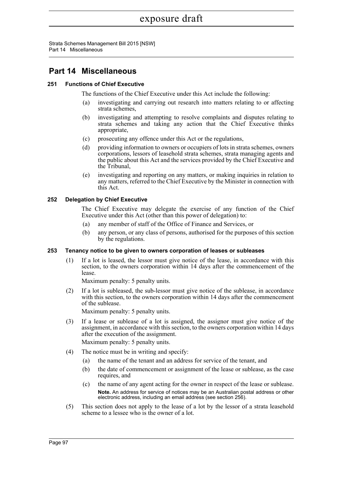Strata Schemes Management Bill 2015 [NSW] Part 14 Miscellaneous

# **Part 14 Miscellaneous**

# **251 Functions of Chief Executive**

The functions of the Chief Executive under this Act include the following:

- (a) investigating and carrying out research into matters relating to or affecting strata schemes,
- (b) investigating and attempting to resolve complaints and disputes relating to strata schemes and taking any action that the Chief Executive thinks appropriate,
- (c) prosecuting any offence under this Act or the regulations,
- (d) providing information to owners or occupiers of lots in strata schemes, owners corporations, lessors of leasehold strata schemes, strata managing agents and the public about this Act and the services provided by the Chief Executive and the Tribunal,
- (e) investigating and reporting on any matters, or making inquiries in relation to any matters, referred to the Chief Executive by the Minister in connection with this Act.

# **252 Delegation by Chief Executive**

The Chief Executive may delegate the exercise of any function of the Chief Executive under this Act (other than this power of delegation) to:

- (a) any member of staff of the Office of Finance and Services, or
- (b) any person, or any class of persons, authorised for the purposes of this section by the regulations.

# **253 Tenancy notice to be given to owners corporation of leases or subleases**

(1) If a lot is leased, the lessor must give notice of the lease, in accordance with this section, to the owners corporation within 14 days after the commencement of the lease.

Maximum penalty: 5 penalty units.

(2) If a lot is subleased, the sub-lessor must give notice of the sublease, in accordance with this section, to the owners corporation within 14 days after the commencement of the sublease.

Maximum penalty: 5 penalty units.

- (3) If a lease or sublease of a lot is assigned, the assignor must give notice of the assignment, in accordance with this section, to the owners corporation within 14 days after the execution of the assignment. Maximum penalty: 5 penalty units.
- (4) The notice must be in writing and specify:
	- (a) the name of the tenant and an address for service of the tenant, and
	- (b) the date of commencement or assignment of the lease or sublease, as the case requires, and
	- (c) the name of any agent acting for the owner in respect of the lease or sublease. **Note.** An address for service of notices may be an Australian postal address or other electronic address, including an email address (see section 256).
- (5) This section does not apply to the lease of a lot by the lessor of a strata leasehold scheme to a lessee who is the owner of a lot.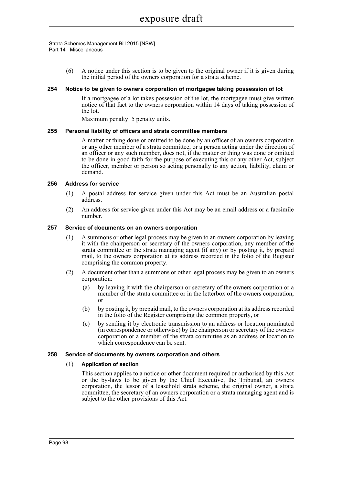(6) A notice under this section is to be given to the original owner if it is given during the initial period of the owners corporation for a strata scheme.

### **254 Notice to be given to owners corporation of mortgagee taking possession of lot**

If a mortgagee of a lot takes possession of the lot, the mortgagee must give written notice of that fact to the owners corporation within 14 days of taking possession of the lot.

Maximum penalty: 5 penalty units.

### **255 Personal liability of officers and strata committee members**

A matter or thing done or omitted to be done by an officer of an owners corporation or any other member of a strata committee, or a person acting under the direction of an officer or any such member, does not, if the matter or thing was done or omitted to be done in good faith for the purpose of executing this or any other Act, subject the officer, member or person so acting personally to any action, liability, claim or demand.

### **256 Address for service**

- (1) A postal address for service given under this Act must be an Australian postal address.
- (2) An address for service given under this Act may be an email address or a facsimile number.

### **257 Service of documents on an owners corporation**

- (1) A summons or other legal process may be given to an owners corporation by leaving it with the chairperson or secretary of the owners corporation, any member of the strata committee or the strata managing agent (if any) or by posting it, by prepaid mail, to the owners corporation at its address recorded in the folio of the Register comprising the common property.
- (2) A document other than a summons or other legal process may be given to an owners corporation:
	- (a) by leaving it with the chairperson or secretary of the owners corporation or a member of the strata committee or in the letterbox of the owners corporation, or
	- (b) by posting it, by prepaid mail, to the owners corporation at its address recorded in the folio of the Register comprising the common property, or
	- (c) by sending it by electronic transmission to an address or location nominated (in correspondence or otherwise) by the chairperson or secretary of the owners corporation or a member of the strata committee as an address or location to which correspondence can be sent.

### **258 Service of documents by owners corporation and others**

# (1) **Application of section**

This section applies to a notice or other document required or authorised by this Act or the by-laws to be given by the Chief Executive, the Tribunal, an owners corporation, the lessor of a leasehold strata scheme, the original owner, a strata committee, the secretary of an owners corporation or a strata managing agent and is subject to the other provisions of this Act.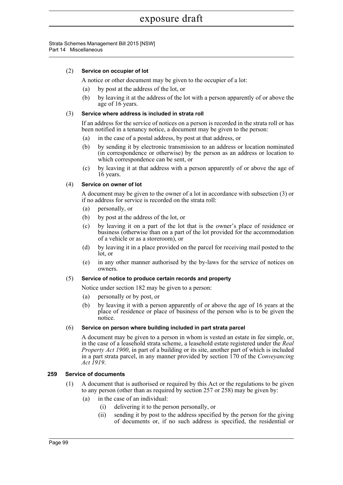# (2) **Service on occupier of lot**

A notice or other document may be given to the occupier of a lot:

- (a) by post at the address of the lot, or
- (b) by leaving it at the address of the lot with a person apparently of or above the age of 16 years.

### (3) **Service where address is included in strata roll**

If an address for the service of notices on a person is recorded in the strata roll or has been notified in a tenancy notice, a document may be given to the person:

- (a) in the case of a postal address, by post at that address, or
- (b) by sending it by electronic transmission to an address or location nominated (in correspondence or otherwise) by the person as an address or location to which correspondence can be sent, or
- (c) by leaving it at that address with a person apparently of or above the age of 16 years.

### (4) **Service on owner of lot**

A document may be given to the owner of a lot in accordance with subsection (3) or if no address for service is recorded on the strata roll:

- (a) personally, or
- (b) by post at the address of the lot, or
- (c) by leaving it on a part of the lot that is the owner's place of residence or business (otherwise than on a part of the lot provided for the accommodation of a vehicle or as a storeroom), or
- (d) by leaving it in a place provided on the parcel for receiving mail posted to the lot, or
- (e) in any other manner authorised by the by-laws for the service of notices on owners.

### (5) **Service of notice to produce certain records and property**

Notice under section 182 may be given to a person:

- (a) personally or by post, or
- (b) by leaving it with a person apparently of or above the age of 16 years at the place of residence or place of business of the person who is to be given the notice.

### (6) **Service on person where building included in part strata parcel**

A document may be given to a person in whom is vested an estate in fee simple, or, in the case of a leasehold strata scheme, a leasehold estate registered under the *Real Property Act 1900*, in part of a building or its site, another part of which is included in a part strata parcel, in any manner provided by section 170 of the *Conveyancing Act 1919*.

### **259 Service of documents**

- (1) A document that is authorised or required by this Act or the regulations to be given to any person (other than as required by section 257 or 258) may be given by:
	- (a) in the case of an individual:
		- (i) delivering it to the person personally, or
		- (ii) sending it by post to the address specified by the person for the giving of documents or, if no such address is specified, the residential or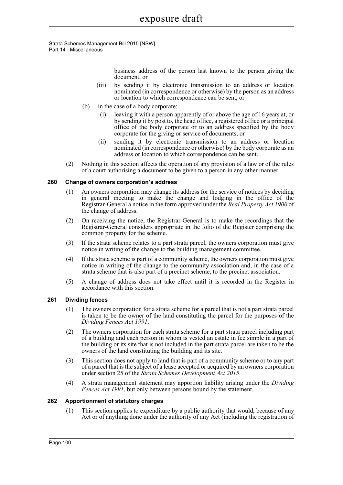> business address of the person last known to the person giving the document, or

- (iii) by sending it by electronic transmission to an address or location nominated (in correspondence or otherwise) by the person as an address or location to which correspondence can be sent, or
- (b) in the case of a body corporate:
	- (i) leaving it with a person apparently of or above the age of 16 years at, or by sending it by post to, the head office, a registered office or a principal office of the body corporate or to an address specified by the body corporate for the giving or service of documents, or
	- (ii) sending it by electronic transmission to an address or location nominated (in correspondence or otherwise) by the body corporate as an address or location to which correspondence can be sent.
- (2) Nothing in this section affects the operation of any provision of a law or of the rules of a court authorising a document to be given to a person in any other manner.

### **260 Change of owners corporation's address**

- (1) An owners corporation may change its address for the service of notices by deciding in general meeting to make the change and lodging in the office of the Registrar-General a notice in the form approved under the *Real Property Act 1900* of the change of address.
- (2) On receiving the notice, the Registrar-General is to make the recordings that the Registrar-General considers appropriate in the folio of the Register comprising the common property for the scheme.
- (3) If the strata scheme relates to a part strata parcel, the owners corporation must give notice in writing of the change to the building management committee.
- (4) If the strata scheme is part of a community scheme, the owners corporation must give notice in writing of the change to the community association and, in the case of a strata scheme that is also part of a precinct scheme, to the precinct association.
- (5) A change of address does not take effect until it is recorded in the Register in accordance with this section.

### **261 Dividing fences**

- (1) The owners corporation for a strata scheme for a parcel that is not a part strata parcel is taken to be the owner of the land constituting the parcel for the purposes of the *Dividing Fences Act 1991*.
- (2) The owners corporation for each strata scheme for a part strata parcel including part of a building and each person in whom is vested an estate in fee simple in a part of the building or its site that is not included in the part strata parcel are taken to be the owners of the land constituting the building and its site.
- (3) This section does not apply to land that is part of a community scheme or to any part of a parcel that is the subject of a lease accepted or acquired by an owners corporation under section 25 of the *Strata Schemes Development Act 2015*.
- (4) A strata management statement may apportion liability arising under the *Dividing Fences Act 1991*, but only between persons bound by the statement.

### **262 Apportionment of statutory charges**

(1) This section applies to expenditure by a public authority that would, because of any Act or of anything done under the authority of any Act (including the registration of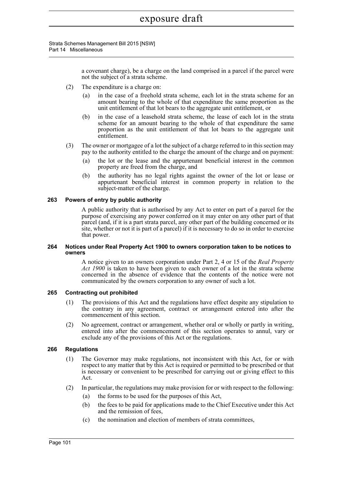Strata Schemes Management Bill 2015 [NSW] Part 14 Miscellaneous

> a covenant charge), be a charge on the land comprised in a parcel if the parcel were not the subject of a strata scheme.

- (2) The expenditure is a charge on:
	- (a) in the case of a freehold strata scheme, each lot in the strata scheme for an amount bearing to the whole of that expenditure the same proportion as the unit entitlement of that lot bears to the aggregate unit entitlement, or
	- (b) in the case of a leasehold strata scheme, the lease of each lot in the strata scheme for an amount bearing to the whole of that expenditure the same proportion as the unit entitlement of that lot bears to the aggregate unit entitlement.
- (3) The owner or mortgagee of a lot the subject of a charge referred to in this section may pay to the authority entitled to the charge the amount of the charge and on payment:
	- (a) the lot or the lease and the appurtenant beneficial interest in the common property are freed from the charge, and
	- (b) the authority has no legal rights against the owner of the lot or lease or appurtenant beneficial interest in common property in relation to the subject-matter of the charge.

### **263 Powers of entry by public authority**

A public authority that is authorised by any Act to enter on part of a parcel for the purpose of exercising any power conferred on it may enter on any other part of that parcel (and, if it is a part strata parcel, any other part of the building concerned or its site, whether or not it is part of a parcel) if it is necessary to do so in order to exercise that power.

### **264 Notices under Real Property Act 1900 to owners corporation taken to be notices to owners**

A notice given to an owners corporation under Part 2, 4 or 15 of the *Real Property Act 1900* is taken to have been given to each owner of a lot in the strata scheme concerned in the absence of evidence that the contents of the notice were not communicated by the owners corporation to any owner of such a lot.

### **265 Contracting out prohibited**

- (1) The provisions of this Act and the regulations have effect despite any stipulation to the contrary in any agreement, contract or arrangement entered into after the commencement of this section.
- (2) No agreement, contract or arrangement, whether oral or wholly or partly in writing, entered into after the commencement of this section operates to annul, vary or exclude any of the provisions of this Act or the regulations.

# **266 Regulations**

- (1) The Governor may make regulations, not inconsistent with this Act, for or with respect to any matter that by this Act is required or permitted to be prescribed or that is necessary or convenient to be prescribed for carrying out or giving effect to this Act.
- (2) In particular, the regulations may make provision for or with respect to the following:
	- (a) the forms to be used for the purposes of this Act,
	- (b) the fees to be paid for applications made to the Chief Executive under this Act and the remission of fees,
	- (c) the nomination and election of members of strata committees,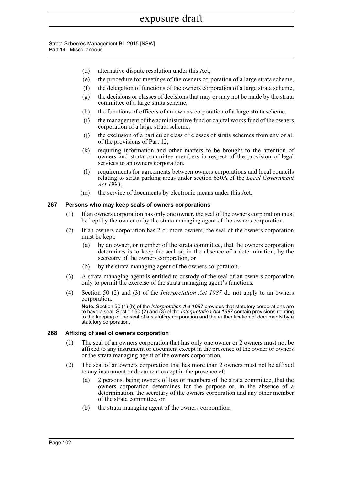- (d) alternative dispute resolution under this Act,
- (e) the procedure for meetings of the owners corporation of a large strata scheme,
- (f) the delegation of functions of the owners corporation of a large strata scheme,
- (g) the decisions or classes of decisions that may or may not be made by the strata committee of a large strata scheme,
- (h) the functions of officers of an owners corporation of a large strata scheme,
- (i) the management of the administrative fund or capital works fund of the owners corporation of a large strata scheme,
- (j) the exclusion of a particular class or classes of strata schemes from any or all of the provisions of Part 12,
- (k) requiring information and other matters to be brought to the attention of owners and strata committee members in respect of the provision of legal services to an owners corporation,
- (l) requirements for agreements between owners corporations and local councils relating to strata parking areas under section 650A of the *Local Government Act 1993*,
- (m) the service of documents by electronic means under this Act.

### **267 Persons who may keep seals of owners corporations**

- (1) If an owners corporation has only one owner, the seal of the owners corporation must be kept by the owner or by the strata managing agent of the owners corporation.
- (2) If an owners corporation has 2 or more owners, the seal of the owners corporation must be kept:
	- (a) by an owner, or member of the strata committee, that the owners corporation determines is to keep the seal or, in the absence of a determination, by the secretary of the owners corporation, or
	- (b) by the strata managing agent of the owners corporation.
- (3) A strata managing agent is entitled to custody of the seal of an owners corporation only to permit the exercise of the strata managing agent's functions.
- (4) Section 50 (2) and (3) of the *Interpretation Act 1987* do not apply to an owners corporation.

**Note.** Section 50 (1) (b) of the *Interpretation Act 1987* provides that statutory corporations are to have a seal. Section 50 (2) and (3) of the *Interpretation Act 1987* contain provisions relating to the keeping of the seal of a statutory corporation and the authentication of documents by a statutory corporation.

### **268 Affixing of seal of owners corporation**

- (1) The seal of an owners corporation that has only one owner or 2 owners must not be affixed to any instrument or document except in the presence of the owner or owners or the strata managing agent of the owners corporation.
- (2) The seal of an owners corporation that has more than 2 owners must not be affixed to any instrument or document except in the presence of:
	- (a) 2 persons, being owners of lots or members of the strata committee, that the owners corporation determines for the purpose or, in the absence of a determination, the secretary of the owners corporation and any other member of the strata committee, or
	- (b) the strata managing agent of the owners corporation.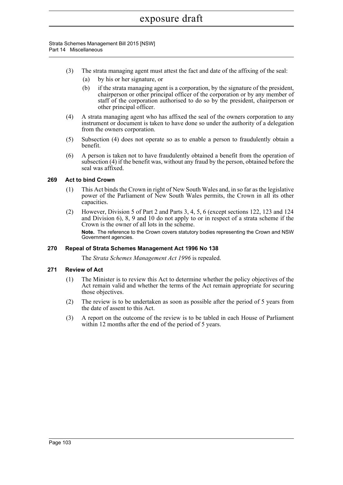- (3) The strata managing agent must attest the fact and date of the affixing of the seal:
	- (a) by his or her signature, or
	- (b) if the strata managing agent is a corporation, by the signature of the president, chairperson or other principal officer of the corporation or by any member of staff of the corporation authorised to do so by the president, chairperson or other principal officer.
- (4) A strata managing agent who has affixed the seal of the owners corporation to any instrument or document is taken to have done so under the authority of a delegation from the owners corporation.
- (5) Subsection (4) does not operate so as to enable a person to fraudulently obtain a benefit.
- (6) A person is taken not to have fraudulently obtained a benefit from the operation of subsection (4) if the benefit was, without any fraud by the person, obtained before the seal was affixed.

# **269 Act to bind Crown**

- (1) This Act binds the Crown in right of New South Wales and, in so far as the legislative power of the Parliament of New South Wales permits, the Crown in all its other capacities.
- (2) However, Division 5 of Part 2 and Parts 3, 4, 5, 6 (except sections 122, 123 and 124 and Division 6), 8, 9 and 10 do not apply to or in respect of a strata scheme if the Crown is the owner of all lots in the scheme. **Note.** The reference to the Crown covers statutory bodies representing the Crown and NSW Government agencies.

# **270 Repeal of Strata Schemes Management Act 1996 No 138**

The *Strata Schemes Management Act 1996* is repealed.

# **271 Review of Act**

- (1) The Minister is to review this Act to determine whether the policy objectives of the Act remain valid and whether the terms of the Act remain appropriate for securing those objectives.
- (2) The review is to be undertaken as soon as possible after the period of 5 years from the date of assent to this Act.
- (3) A report on the outcome of the review is to be tabled in each House of Parliament within 12 months after the end of the period of 5 years.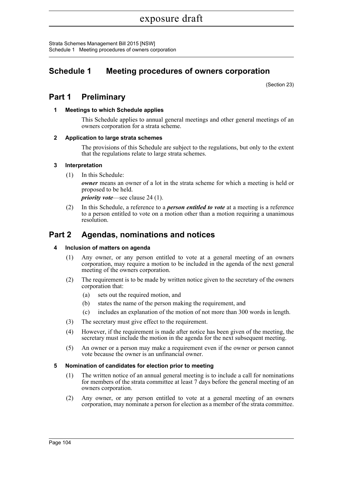Strata Schemes Management Bill 2015 [NSW] Schedule 1 Meeting procedures of owners corporation

# **Schedule 1 Meeting procedures of owners corporation**

(Section 23)

# **Part 1 Preliminary**

# **1 Meetings to which Schedule applies**

This Schedule applies to annual general meetings and other general meetings of an owners corporation for a strata scheme.

# **2 Application to large strata schemes**

The provisions of this Schedule are subject to the regulations, but only to the extent that the regulations relate to large strata schemes.

# **3 Interpretation**

(1) In this Schedule:

*owner* means an owner of a lot in the strata scheme for which a meeting is held or proposed to be held.

*priority vote*—see clause 24 (1).

(2) In this Schedule, a reference to a *person entitled to vote* at a meeting is a reference to a person entitled to vote on a motion other than a motion requiring a unanimous resolution.

# **Part 2 Agendas, nominations and notices**

# **4 Inclusion of matters on agenda**

- (1) Any owner, or any person entitled to vote at a general meeting of an owners corporation, may require a motion to be included in the agenda of the next general meeting of the owners corporation.
- (2) The requirement is to be made by written notice given to the secretary of the owners corporation that:
	- (a) sets out the required motion, and
	- (b) states the name of the person making the requirement, and
	- (c) includes an explanation of the motion of not more than 300 words in length.
- (3) The secretary must give effect to the requirement.
- (4) However, if the requirement is made after notice has been given of the meeting, the secretary must include the motion in the agenda for the next subsequent meeting.
- (5) An owner or a person may make a requirement even if the owner or person cannot vote because the owner is an unfinancial owner.

# **5 Nomination of candidates for election prior to meeting**

- (1) The written notice of an annual general meeting is to include a call for nominations for members of the strata committee at least 7 days before the general meeting of an owners corporation.
- (2) Any owner, or any person entitled to vote at a general meeting of an owners corporation, may nominate a person for election as a member of the strata committee.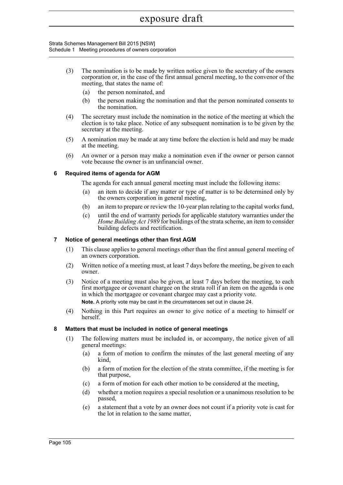### Strata Schemes Management Bill 2015 [NSW] Schedule 1 Meeting procedures of owners corporation

- (3) The nomination is to be made by written notice given to the secretary of the owners corporation or, in the case of the first annual general meeting, to the convenor of the meeting, that states the name of:
	- (a) the person nominated, and
	- (b) the person making the nomination and that the person nominated consents to the nomination.
- (4) The secretary must include the nomination in the notice of the meeting at which the election is to take place. Notice of any subsequent nomination is to be given by the secretary at the meeting.
- (5) A nomination may be made at any time before the election is held and may be made at the meeting.
- (6) An owner or a person may make a nomination even if the owner or person cannot vote because the owner is an unfinancial owner.

# **6 Required items of agenda for AGM**

The agenda for each annual general meeting must include the following items:

- (a) an item to decide if any matter or type of matter is to be determined only by the owners corporation in general meeting,
- (b) an item to prepare or review the 10-year plan relating to the capital works fund,
- (c) until the end of warranty periods for applicable statutory warranties under the *Home Building Act 1989* for buildings of the strata scheme, an item to consider building defects and rectification.

# **7 Notice of general meetings other than first AGM**

- (1) This clause applies to general meetings other than the first annual general meeting of an owners corporation.
- (2) Written notice of a meeting must, at least 7 days before the meeting, be given to each owner.
- (3) Notice of a meeting must also be given, at least 7 days before the meeting, to each first mortgagee or covenant chargee on the strata roll if an item on the agenda is one in which the mortgagee or covenant chargee may cast a priority vote. **Note.** A priority vote may be cast in the circumstances set out in clause 24.
- (4) Nothing in this Part requires an owner to give notice of a meeting to himself or herself<sup>-</sup>

# **8 Matters that must be included in notice of general meetings**

- (1) The following matters must be included in, or accompany, the notice given of all general meetings:
	- (a) a form of motion to confirm the minutes of the last general meeting of any kind,
	- (b) a form of motion for the election of the strata committee, if the meeting is for that purpose,
	- (c) a form of motion for each other motion to be considered at the meeting,
	- (d) whether a motion requires a special resolution or a unanimous resolution to be passed,
	- (e) a statement that a vote by an owner does not count if a priority vote is cast for the lot in relation to the same matter,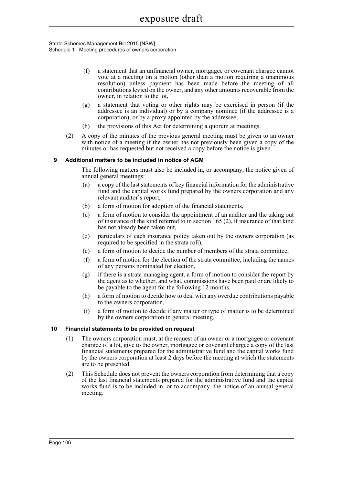Strata Schemes Management Bill 2015 [NSW] Schedule 1 Meeting procedures of owners corporation

- (f) a statement that an unfinancial owner, mortgagee or covenant chargee cannot vote at a meeting on a motion (other than a motion requiring a unanimous resolution) unless payment has been made before the meeting of all contributions levied on the owner, and any other amounts recoverable from the owner, in relation to the lot,
- (g) a statement that voting or other rights may be exercised in person (if the addressee is an individual) or by a company nominee (if the addressee is a corporation), or by a proxy appointed by the addressee,
- (h) the provisions of this Act for determining a quorum at meetings.
- (2) A copy of the minutes of the previous general meeting must be given to an owner with notice of a meeting if the owner has not previously been given a copy of the minutes or has requested but not received a copy before the notice is given.

# **9 Additional matters to be included in notice of AGM**

The following matters must also be included in, or accompany, the notice given of annual general meetings:

- (a) a copy of the last statements of key financial information for the administrative fund and the capital works fund prepared by the owners corporation and any relevant auditor's report,
- (b) a form of motion for adoption of the financial statements,
- (c) a form of motion to consider the appointment of an auditor and the taking out of insurance of the kind referred to in section 165 (2), if insurance of that kind has not already been taken out,
- (d) particulars of each insurance policy taken out by the owners corporation (as required to be specified in the strata roll),
- (e) a form of motion to decide the number of members of the strata committee,
- (f) a form of motion for the election of the strata committee, including the names of any persons nominated for election,
- (g) if there is a strata managing agent, a form of motion to consider the report by the agent as to whether, and what, commissions have been paid or are likely to be payable to the agent for the following 12 months,
- (h) a form of motion to decide how to deal with any overdue contributions payable to the owners corporation,
- (i) a form of motion to decide if any matter or type of matter is to be determined by the owners corporation in general meeting.

# **10 Financial statements to be provided on request**

- (1) The owners corporation must, at the request of an owner or a mortgagee or covenant chargee of a lot, give to the owner, mortgagee or covenant chargee a copy of the last financial statements prepared for the administrative fund and the capital works fund by the owners corporation at least 2 days before the meeting at which the statements are to be presented.
- (2) This Schedule does not prevent the owners corporation from determining that a copy of the last financial statements prepared for the administrative fund and the capital works fund is to be included in, or to accompany, the notice of an annual general meeting.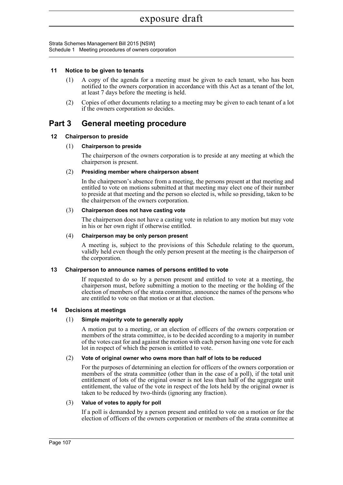### **11 Notice to be given to tenants**

- (1) A copy of the agenda for a meeting must be given to each tenant, who has been notified to the owners corporation in accordance with this Act as a tenant of the lot, at least 7 days before the meeting is held.
- (2) Copies of other documents relating to a meeting may be given to each tenant of a lot if the owners corporation so decides.

# **Part 3 General meeting procedure**

# **12 Chairperson to preside**

### (1) **Chairperson to preside**

The chairperson of the owners corporation is to preside at any meeting at which the chairperson is present.

### (2) **Presiding member where chairperson absent**

In the chairperson's absence from a meeting, the persons present at that meeting and entitled to vote on motions submitted at that meeting may elect one of their number to preside at that meeting and the person so elected is, while so presiding, taken to be the chairperson of the owners corporation.

### (3) **Chairperson does not have casting vote**

The chairperson does not have a casting vote in relation to any motion but may vote in his or her own right if otherwise entitled.

### (4) **Chairperson may be only person present**

A meeting is, subject to the provisions of this Schedule relating to the quorum, validly held even though the only person present at the meeting is the chairperson of the corporation.

# **13 Chairperson to announce names of persons entitled to vote**

If requested to do so by a person present and entitled to vote at a meeting, the chairperson must, before submitting a motion to the meeting or the holding of the election of members of the strata committee, announce the names of the persons who are entitled to vote on that motion or at that election.

# **14 Decisions at meetings**

# (1) **Simple majority vote to generally apply**

A motion put to a meeting, or an election of officers of the owners corporation or members of the strata committee, is to be decided according to a majority in number of the votes cast for and against the motion with each person having one vote for each lot in respect of which the person is entitled to vote.

### (2) **Vote of original owner who owns more than half of lots to be reduced**

For the purposes of determining an election for officers of the owners corporation or members of the strata committee (other than in the case of a poll), if the total unit entitlement of lots of the original owner is not less than half of the aggregate unit entitlement, the value of the vote in respect of the lots held by the original owner is taken to be reduced by two-thirds (ignoring any fraction).

### (3) **Value of votes to apply for poll**

If a poll is demanded by a person present and entitled to vote on a motion or for the election of officers of the owners corporation or members of the strata committee at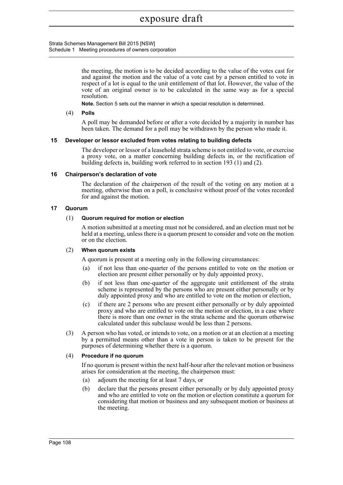Strata Schemes Management Bill 2015 [NSW] Schedule 1 Meeting procedures of owners corporation

> the meeting, the motion is to be decided according to the value of the votes cast for and against the motion and the value of a vote cast by a person entitled to vote in respect of a lot is equal to the unit entitlement of that lot. However, the value of the vote of an original owner is to be calculated in the same way as for a special resolution.

**Note.** Section 5 sets out the manner in which a special resolution is determined.

### (4) **Polls**

A poll may be demanded before or after a vote decided by a majority in number has been taken. The demand for a poll may be withdrawn by the person who made it.

### **15 Developer or lessor excluded from votes relating to building defects**

The developer or lessor of a leasehold strata scheme is not entitled to vote, or exercise a proxy vote, on a matter concerning building defects in, or the rectification of building defects in, building work referred to in section 193 (1) and (2).

### **16 Chairperson's declaration of vote**

The declaration of the chairperson of the result of the voting on any motion at a meeting, otherwise than on a poll, is conclusive without proof of the votes recorded for and against the motion.

### **17 Quorum**

### (1) **Quorum required for motion or election**

A motion submitted at a meeting must not be considered, and an election must not be held at a meeting, unless there is a quorum present to consider and vote on the motion or on the election.

### (2) **When quorum exists**

A quorum is present at a meeting only in the following circumstances:

- (a) if not less than one-quarter of the persons entitled to vote on the motion or election are present either personally or by duly appointed proxy,
- (b) if not less than one-quarter of the aggregate unit entitlement of the strata scheme is represented by the persons who are present either personally or by duly appointed proxy and who are entitled to vote on the motion or election,
- (c) if there are 2 persons who are present either personally or by duly appointed proxy and who are entitled to vote on the motion or election, in a case where there is more than one owner in the strata scheme and the quorum otherwise calculated under this subclause would be less than 2 persons.
- (3) A person who has voted, or intends to vote, on a motion or at an election at a meeting by a permitted means other than a vote in person is taken to be present for the purposes of determining whether there is a quorum.

### (4) **Procedure if no quorum**

If no quorum is present within the next half-hour after the relevant motion or business arises for consideration at the meeting, the chairperson must:

- (a) adjourn the meeting for at least 7 days, or
- (b) declare that the persons present either personally or by duly appointed proxy and who are entitled to vote on the motion or election constitute a quorum for considering that motion or business and any subsequent motion or business at the meeting.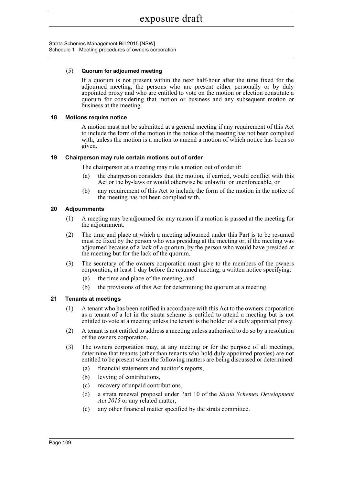### (5) **Quorum for adjourned meeting**

If a quorum is not present within the next half-hour after the time fixed for the adjourned meeting, the persons who are present either personally or by duly appointed proxy and who are entitled to vote on the motion or election constitute a quorum for considering that motion or business and any subsequent motion or business at the meeting.

### **18 Motions require notice**

A motion must not be submitted at a general meeting if any requirement of this Act to include the form of the motion in the notice of the meeting has not been complied with, unless the motion is a motion to amend a motion of which notice has been so given.

### **19 Chairperson may rule certain motions out of order**

The chairperson at a meeting may rule a motion out of order if:

- (a) the chairperson considers that the motion, if carried, would conflict with this Act or the by-laws or would otherwise be unlawful or unenforceable, or
- (b) any requirement of this Act to include the form of the motion in the notice of the meeting has not been complied with.

### **20 Adjournments**

- (1) A meeting may be adjourned for any reason if a motion is passed at the meeting for the adjournment.
- (2) The time and place at which a meeting adjourned under this Part is to be resumed must be fixed by the person who was presiding at the meeting or, if the meeting was adjourned because of a lack of a quorum, by the person who would have presided at the meeting but for the lack of the quorum.
- (3) The secretary of the owners corporation must give to the members of the owners corporation, at least 1 day before the resumed meeting, a written notice specifying:
	- (a) the time and place of the meeting, and
	- (b) the provisions of this Act for determining the quorum at a meeting.

# **21 Tenants at meetings**

- (1) A tenant who has been notified in accordance with this Act to the owners corporation as a tenant of a lot in the strata scheme is entitled to attend a meeting but is not entitled to vote at a meeting unless the tenant is the holder of a duly appointed proxy.
- (2) A tenant is not entitled to address a meeting unless authorised to do so by a resolution of the owners corporation.
- (3) The owners corporation may, at any meeting or for the purpose of all meetings, determine that tenants (other than tenants who hold duly appointed proxies) are not entitled to be present when the following matters are being discussed or determined:
	- (a) financial statements and auditor's reports,
	- (b) levying of contributions,
	- (c) recovery of unpaid contributions,
	- (d) a strata renewal proposal under Part 10 of the *Strata Schemes Development Act 2015* or any related matter,
	- (e) any other financial matter specified by the strata committee.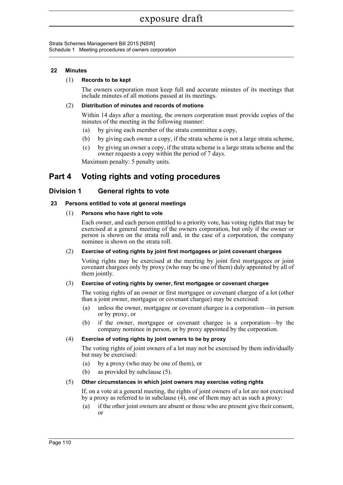# **22 Minutes**

### (1) **Records to be kept**

The owners corporation must keep full and accurate minutes of its meetings that include minutes of all motions passed at its meetings.

### (2) **Distribution of minutes and records of motions**

Within 14 days after a meeting, the owners corporation must provide copies of the minutes of the meeting in the following manner:

- (a) by giving each member of the strata committee a copy,
- (b) by giving each owner a copy, if the strata scheme is not a large strata scheme,
- (c) by giving an owner a copy, if the strata scheme is a large strata scheme and the owner requests a copy within the period of 7 days.

Maximum penalty: 5 penalty units.

# **Part 4 Voting rights and voting procedures**

# **Division 1 General rights to vote**

# **23 Persons entitled to vote at general meetings**

### (1) **Persons who have right to vote**

Each owner, and each person entitled to a priority vote, has voting rights that may be exercised at a general meeting of the owners corporation, but only if the owner or person is shown on the strata roll and, in the case of a corporation, the company nominee is shown on the strata roll.

### (2) **Exercise of voting rights by joint first mortgagees or joint covenant chargees**

Voting rights may be exercised at the meeting by joint first mortgagees or joint covenant chargees only by proxy (who may be one of them) duly appointed by all of them jointly.

### (3) **Exercise of voting rights by owner, first mortgagee or covenant chargee**

The voting rights of an owner or first mortgagee or covenant chargee of a lot (other than a joint owner, mortgagee or covenant chargee) may be exercised:

- (a) unless the owner, mortgagee or covenant chargee is a corporation—in person or by proxy, or
- (b) if the owner, mortgagee or covenant chargee is a corporation—by the company nominee in person, or by proxy appointed by the corporation.

### (4) **Exercise of voting rights by joint owners to be by proxy**

The voting rights of joint owners of a lot may not be exercised by them individually but may be exercised:

- (a) by a proxy (who may be one of them), or
- (b) as provided by subclause (5).

# (5) **Other circumstances in which joint owners may exercise voting rights**

If, on a vote at a general meeting, the rights of joint owners of a lot are not exercised by a proxy as referred to in subclause  $(\overline{4})$ , one of them may act as such a proxy:

(a) if the other joint owners are absent or those who are present give their consent, or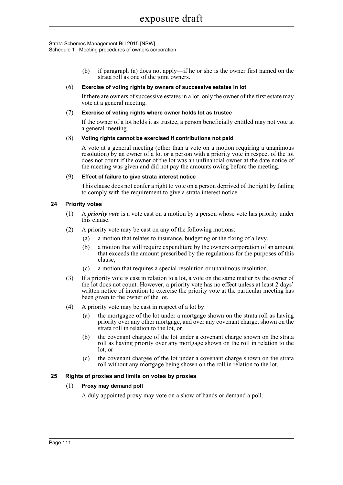> (b) if paragraph (a) does not apply—if he or she is the owner first named on the strata roll as one of the joint owners.

### (6) **Exercise of voting rights by owners of successive estates in lot**

If there are owners of successive estates in a lot, only the owner of the first estate may vote at a general meeting.

### (7) **Exercise of voting rights where owner holds lot as trustee**

If the owner of a lot holds it as trustee, a person beneficially entitled may not vote at a general meeting.

### (8) **Voting rights cannot be exercised if contributions not paid**

A vote at a general meeting (other than a vote on a motion requiring a unanimous resolution) by an owner of a lot or a person with a priority vote in respect of the lot does not count if the owner of the lot was an unfinancial owner at the date notice of the meeting was given and did not pay the amounts owing before the meeting.

### (9) **Effect of failure to give strata interest notice**

This clause does not confer a right to vote on a person deprived of the right by failing to comply with the requirement to give a strata interest notice.

# **24 Priority votes**

- (1) A *priority vote* is a vote cast on a motion by a person whose vote has priority under this clause.
- (2) A priority vote may be cast on any of the following motions:
	- (a) a motion that relates to insurance, budgeting or the fixing of a levy,
	- (b) a motion that will require expenditure by the owners corporation of an amount that exceeds the amount prescribed by the regulations for the purposes of this clause,
	- (c) a motion that requires a special resolution or unanimous resolution.
- (3) If a priority vote is cast in relation to a lot, a vote on the same matter by the owner of the lot does not count. However, a priority vote has no effect unless at least 2 days' written notice of intention to exercise the priority vote at the particular meeting has been given to the owner of the lot.
- (4) A priority vote may be cast in respect of a lot by:
	- (a) the mortgagee of the lot under a mortgage shown on the strata roll as having priority over any other mortgage, and over any covenant charge, shown on the strata roll in relation to the lot, or
	- (b) the covenant chargee of the lot under a covenant charge shown on the strata roll as having priority over any mortgage shown on the roll in relation to the lot, or
	- (c) the covenant chargee of the lot under a covenant charge shown on the strata roll without any mortgage being shown on the roll in relation to the lot.

# **25 Rights of proxies and limits on votes by proxies**

# (1) **Proxy may demand poll**

A duly appointed proxy may vote on a show of hands or demand a poll.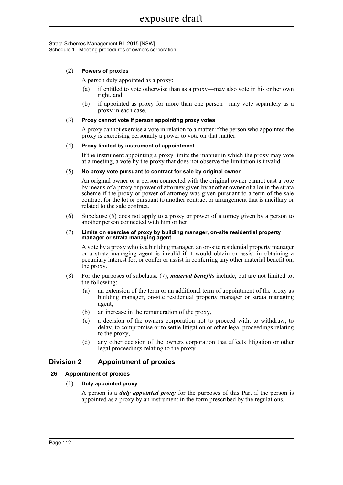### (2) **Powers of proxies**

A person duly appointed as a proxy:

- (a) if entitled to vote otherwise than as a proxy—may also vote in his or her own right, and
- (b) if appointed as proxy for more than one person—may vote separately as a proxy in each case.

### (3) **Proxy cannot vote if person appointing proxy votes**

A proxy cannot exercise a vote in relation to a matter if the person who appointed the proxy is exercising personally a power to vote on that matter.

### (4) **Proxy limited by instrument of appointment**

If the instrument appointing a proxy limits the manner in which the proxy may vote at a meeting, a vote by the proxy that does not observe the limitation is invalid.

### (5) **No proxy vote pursuant to contract for sale by original owner**

An original owner or a person connected with the original owner cannot cast a vote by means of a proxy or power of attorney given by another owner of a lot in the strata scheme if the proxy or power of attorney was given pursuant to a term of the sale contract for the lot or pursuant to another contract or arrangement that is ancillary or related to the sale contract.

(6) Subclause (5) does not apply to a proxy or power of attorney given by a person to another person connected with him or her.

#### (7) **Limits on exercise of proxy by building manager, on-site residential property manager or strata managing agent**

A vote by a proxy who is a building manager, an on-site residential property manager or a strata managing agent is invalid if it would obtain or assist in obtaining a pecuniary interest for, or confer or assist in conferring any other material benefit on, the proxy.

- (8) For the purposes of subclause (7), *material benefits* include, but are not limited to, the following:
	- (a) an extension of the term or an additional term of appointment of the proxy as building manager, on-site residential property manager or strata managing agent,
	- (b) an increase in the remuneration of the proxy,
	- (c) a decision of the owners corporation not to proceed with, to withdraw, to delay, to compromise or to settle litigation or other legal proceedings relating to the proxy,
	- (d) any other decision of the owners corporation that affects litigation or other legal proceedings relating to the proxy.

# **Division 2 Appointment of proxies**

# **26 Appointment of proxies**

# (1) **Duly appointed proxy**

A person is a *duly appointed proxy* for the purposes of this Part if the person is appointed as a proxy by an instrument in the form prescribed by the regulations.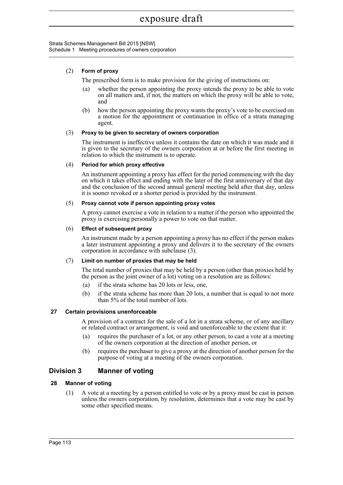# (2) **Form of proxy**

The prescribed form is to make provision for the giving of instructions on:

- (a) whether the person appointing the proxy intends the proxy to be able to vote on all matters and, if not, the matters on which the proxy will be able to vote, and
- (b) how the person appointing the proxy wants the proxy's vote to be exercised on a motion for the appointment or continuation in office of a strata managing agent.

### (3) **Proxy to be given to secretary of owners corporation**

The instrument is ineffective unless it contains the date on which it was made and it is given to the secretary of the owners corporation at or before the first meeting in relation to which the instrument is to operate.

### (4) **Period for which proxy effective**

An instrument appointing a proxy has effect for the period commencing with the day on which it takes effect and ending with the later of the first anniversary of that day and the conclusion of the second annual general meeting held after that day, unless it is sooner revoked or a shorter period is provided by the instrument.

### (5) **Proxy cannot vote if person appointing proxy votes**

A proxy cannot exercise a vote in relation to a matter if the person who appointed the proxy is exercising personally a power to vote on that matter.

### (6) **Effect of subsequent proxy**

An instrument made by a person appointing a proxy has no effect if the person makes a later instrument appointing a proxy and delivers it to the secretary of the owners corporation in accordance with subclause (3).

# (7) **Limit on number of proxies that may be held**

The total number of proxies that may be held by a person (other than proxies held by the person as the joint owner of a lot) voting on a resolution are as follows:

- (a) if the strata scheme has 20 lots or less, one,
- (b) if the strata scheme has more than 20 lots, a number that is equal to not more than 5% of the total number of lots.

# **27 Certain provisions unenforceable**

A provision of a contract for the sale of a lot in a strata scheme, or of any ancillary or related contract or arrangement, is void and unenforceable to the extent that it:

- (a) requires the purchaser of a lot, or any other person, to cast a vote at a meeting of the owners corporation at the direction of another person, or
- (b) requires the purchaser to give a proxy at the direction of another person for the purpose of voting at a meeting of the owners corporation.

# **Division 3 Manner of voting**

# **28 Manner of voting**

(1) A vote at a meeting by a person entitled to vote or by a proxy must be cast in person unless the owners corporation, by resolution, determines that a vote may be cast by some other specified means.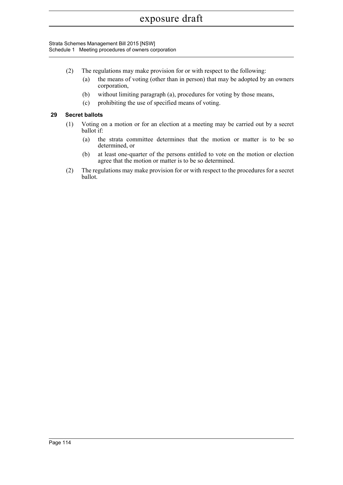Strata Schemes Management Bill 2015 [NSW] Schedule 1 Meeting procedures of owners corporation

- (2) The regulations may make provision for or with respect to the following:
	- (a) the means of voting (other than in person) that may be adopted by an owners corporation,
	- (b) without limiting paragraph (a), procedures for voting by those means,
	- (c) prohibiting the use of specified means of voting.

# **29 Secret ballots**

- (1) Voting on a motion or for an election at a meeting may be carried out by a secret ballot if:
	- (a) the strata committee determines that the motion or matter is to be so determined, or
	- (b) at least one-quarter of the persons entitled to vote on the motion or election agree that the motion or matter is to be so determined.
- (2) The regulations may make provision for or with respect to the procedures for a secret ballot.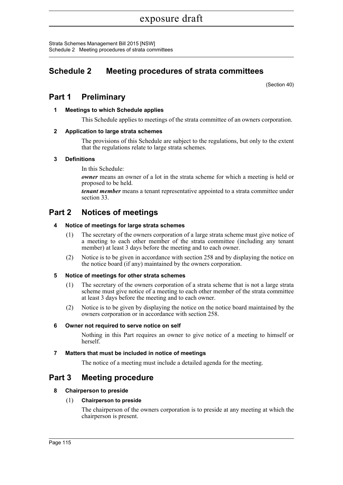Strata Schemes Management Bill 2015 [NSW] Schedule 2 Meeting procedures of strata committees

# **Schedule 2 Meeting procedures of strata committees**

(Section 40)

# **Part 1 Preliminary**

# **1 Meetings to which Schedule applies**

This Schedule applies to meetings of the strata committee of an owners corporation.

# **2 Application to large strata schemes**

The provisions of this Schedule are subject to the regulations, but only to the extent that the regulations relate to large strata schemes.

# **3 Definitions**

In this Schedule:

*owner* means an owner of a lot in the strata scheme for which a meeting is held or proposed to be held.

*tenant member* means a tenant representative appointed to a strata committee under section 33.

# **Part 2 Notices of meetings**

# **4 Notice of meetings for large strata schemes**

- (1) The secretary of the owners corporation of a large strata scheme must give notice of a meeting to each other member of the strata committee (including any tenant member) at least 3 days before the meeting and to each owner.
- (2) Notice is to be given in accordance with section 258 and by displaying the notice on the notice board (if any) maintained by the owners corporation.

# **5 Notice of meetings for other strata schemes**

- (1) The secretary of the owners corporation of a strata scheme that is not a large strata scheme must give notice of a meeting to each other member of the strata committee at least 3 days before the meeting and to each owner.
- (2) Notice is to be given by displaying the notice on the notice board maintained by the owners corporation or in accordance with section 258.

# **6 Owner not required to serve notice on self**

Nothing in this Part requires an owner to give notice of a meeting to himself or herself.

# **7 Matters that must be included in notice of meetings**

The notice of a meeting must include a detailed agenda for the meeting.

# **Part 3 Meeting procedure**

# **8 Chairperson to preside**

# (1) **Chairperson to preside**

The chairperson of the owners corporation is to preside at any meeting at which the chairperson is present.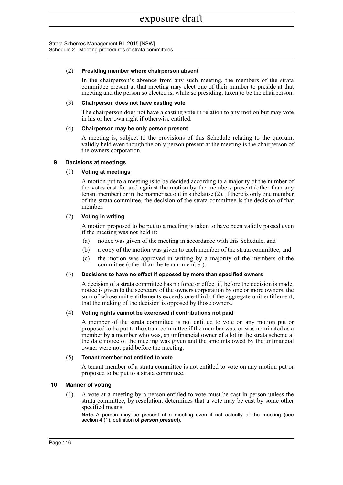Strata Schemes Management Bill 2015 [NSW] Schedule 2 Meeting procedures of strata committees

### (2) **Presiding member where chairperson absent**

In the chairperson's absence from any such meeting, the members of the strata committee present at that meeting may elect one of their number to preside at that meeting and the person so elected is, while so presiding, taken to be the chairperson.

### (3) **Chairperson does not have casting vote**

The chairperson does not have a casting vote in relation to any motion but may vote in his or her own right if otherwise entitled.

# (4) **Chairperson may be only person present**

A meeting is, subject to the provisions of this Schedule relating to the quorum, validly held even though the only person present at the meeting is the chairperson of the owners corporation.

### **9 Decisions at meetings**

### (1) **Voting at meetings**

A motion put to a meeting is to be decided according to a majority of the number of the votes cast for and against the motion by the members present (other than any tenant member) or in the manner set out in subclause (2). If there is only one member of the strata committee, the decision of the strata committee is the decision of that member.

### (2) **Voting in writing**

A motion proposed to be put to a meeting is taken to have been validly passed even if the meeting was not held if:

- (a) notice was given of the meeting in accordance with this Schedule, and
- (b) a copy of the motion was given to each member of the strata committee, and
- (c) the motion was approved in writing by a majority of the members of the committee (other than the tenant member).

### (3) **Decisions to have no effect if opposed by more than specified owners**

A decision of a strata committee has no force or effect if, before the decision is made, notice is given to the secretary of the owners corporation by one or more owners, the sum of whose unit entitlements exceeds one-third of the aggregate unit entitlement, that the making of the decision is opposed by those owners.

### (4) **Voting rights cannot be exercised if contributions not paid**

A member of the strata committee is not entitled to vote on any motion put or proposed to be put to the strata committee if the member was, or was nominated as a member by a member who was, an unfinancial owner of a lot in the strata scheme at the date notice of the meeting was given and the amounts owed by the unfinancial owner were not paid before the meeting.

### (5) **Tenant member not entitled to vote**

A tenant member of a strata committee is not entitled to vote on any motion put or proposed to be put to a strata committee.

# **10 Manner of voting**

(1) A vote at a meeting by a person entitled to vote must be cast in person unless the strata committee, by resolution, determines that a vote may be cast by some other specified means.

**Note.** A person may be present at a meeting even if not actually at the meeting (see section 4 (1), definition of *person present*).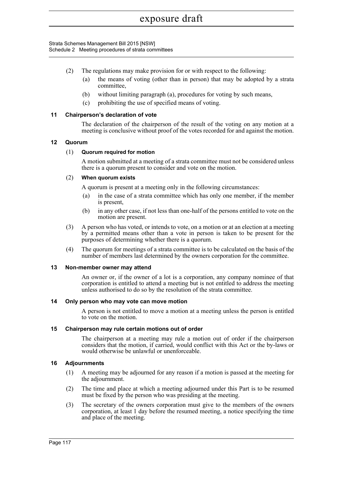Strata Schemes Management Bill 2015 [NSW] Schedule 2 Meeting procedures of strata committees

- (2) The regulations may make provision for or with respect to the following:
	- (a) the means of voting (other than in person) that may be adopted by a strata committee,
	- (b) without limiting paragraph (a), procedures for voting by such means,
	- (c) prohibiting the use of specified means of voting.

# **11 Chairperson's declaration of vote**

The declaration of the chairperson of the result of the voting on any motion at a meeting is conclusive without proof of the votes recorded for and against the motion.

# **12 Quorum**

# (1) **Quorum required for motion**

A motion submitted at a meeting of a strata committee must not be considered unless there is a quorum present to consider and vote on the motion.

# (2) **When quorum exists**

A quorum is present at a meeting only in the following circumstances:

- (a) in the case of a strata committee which has only one member, if the member is present,
- (b) in any other case, if not less than one-half of the persons entitled to vote on the motion are present.
- (3) A person who has voted, or intends to vote, on a motion or at an election at a meeting by a permitted means other than a vote in person is taken to be present for the purposes of determining whether there is a quorum.
- (4) The quorum for meetings of a strata committee is to be calculated on the basis of the number of members last determined by the owners corporation for the committee.

# **13 Non-member owner may attend**

An owner or, if the owner of a lot is a corporation, any company nominee of that corporation is entitled to attend a meeting but is not entitled to address the meeting unless authorised to do so by the resolution of the strata committee.

# **14 Only person who may vote can move motion**

A person is not entitled to move a motion at a meeting unless the person is entitled to vote on the motion.

# **15 Chairperson may rule certain motions out of order**

The chairperson at a meeting may rule a motion out of order if the chairperson considers that the motion, if carried, would conflict with this Act or the by-laws or would otherwise be unlawful or unenforceable.

# **16 Adjournments**

- (1) A meeting may be adjourned for any reason if a motion is passed at the meeting for the adjournment.
- (2) The time and place at which a meeting adjourned under this Part is to be resumed must be fixed by the person who was presiding at the meeting.
- (3) The secretary of the owners corporation must give to the members of the owners corporation, at least 1 day before the resumed meeting, a notice specifying the time and place of the meeting.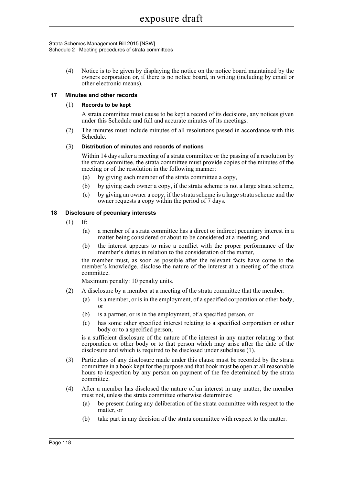Strata Schemes Management Bill 2015 [NSW] Schedule 2 Meeting procedures of strata committees

> (4) Notice is to be given by displaying the notice on the notice board maintained by the owners corporation or, if there is no notice board, in writing (including by email or other electronic means).

### **17 Minutes and other records**

### (1) **Records to be kept**

A strata committee must cause to be kept a record of its decisions, any notices given under this Schedule and full and accurate minutes of its meetings.

(2) The minutes must include minutes of all resolutions passed in accordance with this Schedule.

### (3) **Distribution of minutes and records of motions**

Within 14 days after a meeting of a strata committee or the passing of a resolution by the strata committee, the strata committee must provide copies of the minutes of the meeting or of the resolution in the following manner:

- (a) by giving each member of the strata committee a copy,
- (b) by giving each owner a copy, if the strata scheme is not a large strata scheme,
- (c) by giving an owner a copy, if the strata scheme is a large strata scheme and the owner requests a copy within the period of 7 days.

### **18 Disclosure of pecuniary interests**

- (1) If:
	- (a) a member of a strata committee has a direct or indirect pecuniary interest in a matter being considered or about to be considered at a meeting, and
	- (b) the interest appears to raise a conflict with the proper performance of the member's duties in relation to the consideration of the matter,

the member must, as soon as possible after the relevant facts have come to the member's knowledge, disclose the nature of the interest at a meeting of the strata committee.

Maximum penalty: 10 penalty units.

- (2) A disclosure by a member at a meeting of the strata committee that the member:
	- (a) is a member, or is in the employment, of a specified corporation or other body, or
	- (b) is a partner, or is in the employment, of a specified person, or
	- (c) has some other specified interest relating to a specified corporation or other body or to a specified person,

is a sufficient disclosure of the nature of the interest in any matter relating to that corporation or other body or to that person which may arise after the date of the disclosure and which is required to be disclosed under subclause (1).

- (3) Particulars of any disclosure made under this clause must be recorded by the strata committee in a book kept for the purpose and that book must be open at all reasonable hours to inspection by any person on payment of the fee determined by the strata committee.
- (4) After a member has disclosed the nature of an interest in any matter, the member must not, unless the strata committee otherwise determines:
	- (a) be present during any deliberation of the strata committee with respect to the matter, or
	- (b) take part in any decision of the strata committee with respect to the matter.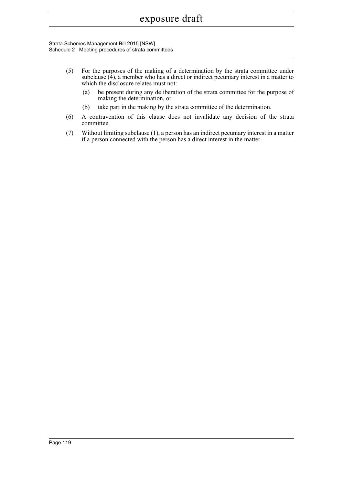Strata Schemes Management Bill 2015 [NSW] Schedule 2 Meeting procedures of strata committees

- (5) For the purposes of the making of a determination by the strata committee under subclause  $(\hat{4})$ , a member who has a direct or indirect pecuniary interest in a matter to which the disclosure relates must not:
	- (a) be present during any deliberation of the strata committee for the purpose of making the determination, or
	- (b) take part in the making by the strata committee of the determination.
- (6) A contravention of this clause does not invalidate any decision of the strata committee.
- (7) Without limiting subclause (1), a person has an indirect pecuniary interest in a matter if a person connected with the person has a direct interest in the matter.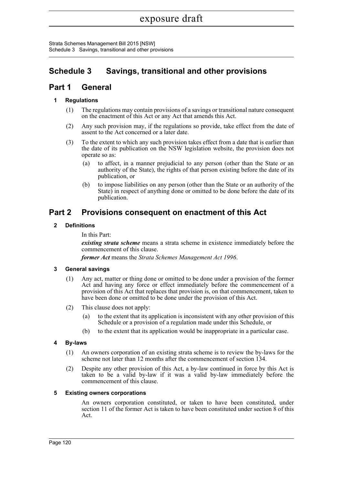Strata Schemes Management Bill 2015 [NSW] Schedule 3 Savings, transitional and other provisions

# **Schedule 3 Savings, transitional and other provisions**

# **Part 1 General**

# **1 Regulations**

- (1) The regulations may contain provisions of a savings or transitional nature consequent on the enactment of this Act or any Act that amends this Act.
- (2) Any such provision may, if the regulations so provide, take effect from the date of assent to the Act concerned or a later date.
- (3) To the extent to which any such provision takes effect from a date that is earlier than the date of its publication on the NSW legislation website, the provision does not operate so as:
	- (a) to affect, in a manner prejudicial to any person (other than the State or an authority of the State), the rights of that person existing before the date of its publication, or
	- (b) to impose liabilities on any person (other than the State or an authority of the State) in respect of anything done or omitted to be done before the date of its publication.

# **Part 2 Provisions consequent on enactment of this Act**

# **2 Definitions**

In this Part:

*existing strata scheme* means a strata scheme in existence immediately before the commencement of this clause.

*former Act* means the *Strata Schemes Management Act 1996*.

# **3 General savings**

- (1) Any act, matter or thing done or omitted to be done under a provision of the former Act and having any force or effect immediately before the commencement of a provision of this Act that replaces that provision is, on that commencement, taken to have been done or omitted to be done under the provision of this Act.
- (2) This clause does not apply:
	- (a) to the extent that its application is inconsistent with any other provision of this Schedule or a provision of a regulation made under this Schedule, or
	- (b) to the extent that its application would be inappropriate in a particular case.

# **4 By-laws**

- (1) An owners corporation of an existing strata scheme is to review the by-laws for the scheme not later than 12 months after the commencement of section 134.
- (2) Despite any other provision of this Act, a by-law continued in force by this Act is taken to be a valid by-law if it was a valid by-law immediately before the commencement of this clause.

# **5 Existing owners corporations**

An owners corporation constituted, or taken to have been constituted, under section 11 of the former Act is taken to have been constituted under section 8 of this Act.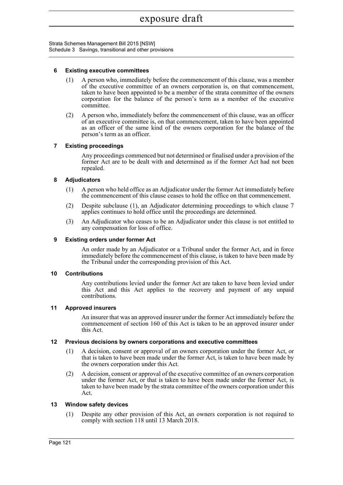Strata Schemes Management Bill 2015 [NSW] Schedule 3 Savings, transitional and other provisions

### **6 Existing executive committees**

- (1) A person who, immediately before the commencement of this clause, was a member of the executive committee of an owners corporation is, on that commencement, taken to have been appointed to be a member of the strata committee of the owners corporation for the balance of the person's term as a member of the executive committee.
- (2) A person who, immediately before the commencement of this clause, was an officer of an executive committee is, on that commencement, taken to have been appointed as an officer of the same kind of the owners corporation for the balance of the person's term as an officer.

# **7 Existing proceedings**

Any proceedings commenced but not determined or finalised under a provision of the former Act are to be dealt with and determined as if the former Act had not been repealed.

### **8 Adjudicators**

- (1) A person who held office as an Adjudicator under the former Act immediately before the commencement of this clause ceases to hold the office on that commencement.
- (2) Despite subclause (1), an Adjudicator determining proceedings to which clause 7 applies continues to hold office until the proceedings are determined.
- (3) An Adjudicator who ceases to be an Adjudicator under this clause is not entitled to any compensation for loss of office.

### **9 Existing orders under former Act**

An order made by an Adjudicator or a Tribunal under the former Act, and in force immediately before the commencement of this clause, is taken to have been made by the Tribunal under the corresponding provision of this Act.

### **10 Contributions**

Any contributions levied under the former Act are taken to have been levied under this Act and this Act applies to the recovery and payment of any unpaid contributions.

### **11 Approved insurers**

An insurer that was an approved insurer under the former Act immediately before the commencement of section 160 of this Act is taken to be an approved insurer under this Act.

### **12 Previous decisions by owners corporations and executive committees**

- (1) A decision, consent or approval of an owners corporation under the former Act, or that is taken to have been made under the former Act, is taken to have been made by the owners corporation under this Act.
- (2) A decision, consent or approval of the executive committee of an owners corporation under the former Act, or that is taken to have been made under the former Act, is taken to have been made by the strata committee of the owners corporation under this Act.

### **13 Window safety devices**

(1) Despite any other provision of this Act, an owners corporation is not required to comply with section 118 until 13 March 2018.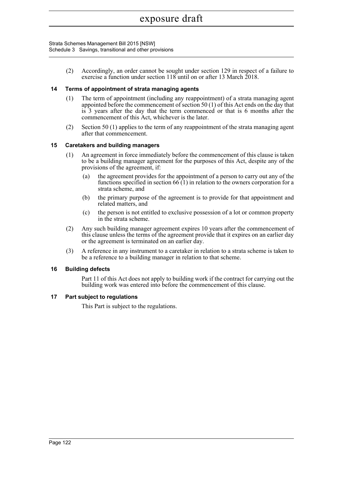Strata Schemes Management Bill 2015 [NSW] Schedule 3 Savings, transitional and other provisions

> (2) Accordingly, an order cannot be sought under section 129 in respect of a failure to exercise a function under section 118 until on or after 13 March 2018.

# **14 Terms of appointment of strata managing agents**

- (1) The term of appointment (including any reappointment) of a strata managing agent appointed before the commencement of section 50 (1) of this Act ends on the day that is 3 years after the day that the term commenced or that is 6 months after the commencement of this Act, whichever is the later.
- (2) Section 50 (1) applies to the term of any reappointment of the strata managing agent after that commencement.

# **15 Caretakers and building managers**

- (1) An agreement in force immediately before the commencement of this clause is taken to be a building manager agreement for the purposes of this Act, despite any of the provisions of the agreement, if:
	- (a) the agreement provides for the appointment of a person to carry out any of the functions specified in section  $66(1)$  in relation to the owners corporation for a strata scheme, and
	- (b) the primary purpose of the agreement is to provide for that appointment and related matters, and
	- (c) the person is not entitled to exclusive possession of a lot or common property in the strata scheme.
- (2) Any such building manager agreement expires 10 years after the commencement of this clause unless the terms of the agreement provide that it expires on an earlier day or the agreement is terminated on an earlier day.
- (3) A reference in any instrument to a caretaker in relation to a strata scheme is taken to be a reference to a building manager in relation to that scheme.

# **16 Building defects**

Part 11 of this Act does not apply to building work if the contract for carrying out the building work was entered into before the commencement of this clause.

# **17 Part subject to regulations**

This Part is subject to the regulations.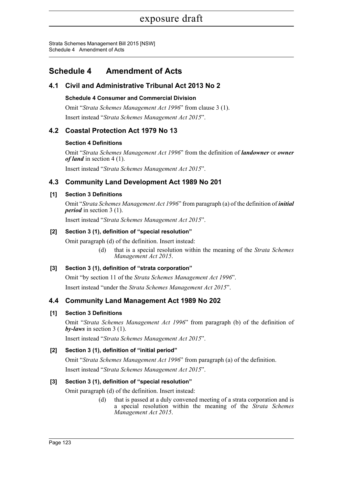Strata Schemes Management Bill 2015 [NSW] Schedule 4 Amendment of Acts

# **Schedule 4 Amendment of Acts**

# **4.1 Civil and Administrative Tribunal Act 2013 No 2**

# **Schedule 4 Consumer and Commercial Division**

Omit "*Strata Schemes Management Act 1996*" from clause 3 (1). Insert instead "*Strata Schemes Management Act 2015*".

# **4.2 Coastal Protection Act 1979 No 13**

# **Section 4 Definitions**

Omit "*Strata Schemes Management Act 1996*" from the definition of *landowner* or *owner of land* in section 4 (1).

Insert instead "*Strata Schemes Management Act 2015*".

# **4.3 Community Land Development Act 1989 No 201**

# **[1] Section 3 Definitions**

Omit "*Strata Schemes Management Act 1996*" from paragraph (a) of the definition of *initial period* in section 3 (1).

Insert instead "*Strata Schemes Management Act 2015*".

# **[2] Section 3 (1), definition of "special resolution"**

Omit paragraph (d) of the definition. Insert instead:

(d) that is a special resolution within the meaning of the *Strata Schemes Management Act 2015*.

# **[3] Section 3 (1), definition of "strata corporation"**

Omit "by section 11 of the *Strata Schemes Management Act 1996*".

Insert instead "under the *Strata Schemes Management Act 2015*".

# **4.4 Community Land Management Act 1989 No 202**

# **[1] Section 3 Definitions**

Omit "*Strata Schemes Management Act 1996*" from paragraph (b) of the definition of *by-laws* in section 3 (1).

Insert instead "*Strata Schemes Management Act 2015*".

# **[2] Section 3 (1), definition of "initial period"**

Omit "*Strata Schemes Management Act 1996*" from paragraph (a) of the definition.

Insert instead "*Strata Schemes Management Act 2015*".

# **[3] Section 3 (1), definition of "special resolution"**

Omit paragraph (d) of the definition. Insert instead:

(d) that is passed at a duly convened meeting of a strata corporation and is a special resolution within the meaning of the *Strata Schemes Management Act 2015*.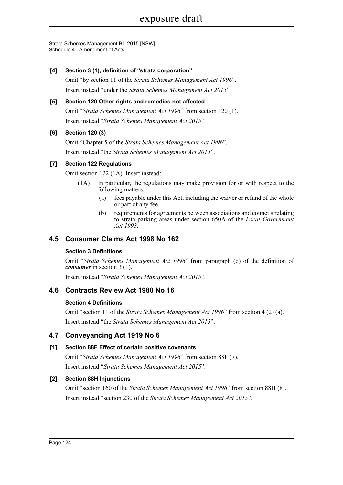Strata Schemes Management Bill 2015 [NSW] Schedule 4 Amendment of Acts

# **[4] Section 3 (1), definition of "strata corporation"**

Omit "by section 11 of the *Strata Schemes Management Act 1996*". Insert instead "under the *Strata Schemes Management Act 2015*".

# **[5] Section 120 Other rights and remedies not affected**

Omit "*Strata Schemes Management Act 1996*" from section 120 (1). Insert instead "*Strata Schemes Management Act 2015*".

# **[6] Section 120 (3)**

Omit "Chapter 5 of the *Strata Schemes Management Act 1996*". Insert instead "the *Strata Schemes Management Act 2015*".

# **[7] Section 122 Regulations**

Omit section 122 (1A). Insert instead:

- (1A) In particular, the regulations may make provision for or with respect to the following matters:
	- (a) fees payable under this Act, including the waiver or refund of the whole or part of any fee,
	- (b) requirements for agreements between associations and councils relating to strata parking areas under section 650A of the *Local Government Act 1993*.

# **4.5 Consumer Claims Act 1998 No 162**

# **Section 3 Definitions**

Omit "*Strata Schemes Management Act 1996*" from paragraph (d) of the definition of *consumer* in section 3 (1).

Insert instead "*Strata Schemes Management Act 2015*".

# **4.6 Contracts Review Act 1980 No 16**

# **Section 4 Definitions**

Omit "section 11 of the *Strata Schemes Management Act 1996*" from section 4 (2) (a). Insert instead "the *Strata Schemes Management Act 2015*".

# **4.7 Conveyancing Act 1919 No 6**

# **[1] Section 88F Effect of certain positive covenants**

Omit "*Strata Schemes Management Act 1996*" from section 88F (7). Insert instead "*Strata Schemes Management Act 2015*".

# **[2] Section 88H Injunctions**

Omit "section 160 of the *Strata Schemes Management Act 1996*" from section 88H (8). Insert instead "section 230 of the *Strata Schemes Management Act 2015*".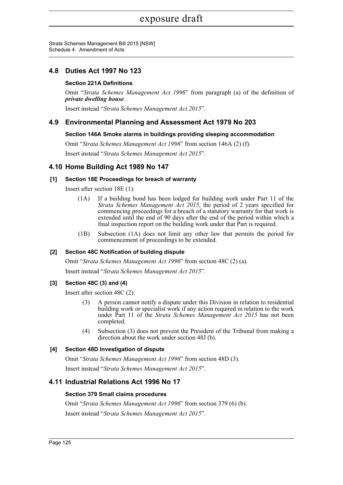Strata Schemes Management Bill 2015 [NSW] Schedule 4 Amendment of Acts

# **4.8 Duties Act 1997 No 123**

# **Section 221A Definitions**

Omit "*Strata Schemes Management Act 1996*" from paragraph (a) of the definition of *private dwelling house*.

Insert instead "*Strata Schemes Management Act 2015*".

# **4.9 Environmental Planning and Assessment Act 1979 No 203**

### **Section 146A Smoke alarms in buildings providing sleeping accommodation**

Omit "*Strata Schemes Management Act 1996*" from section 146A (2) (f). Insert instead "*Strata Schemes Management Act 2015*".

# **4.10 Home Building Act 1989 No 147**

### **[1] Section 18E Proceedings for breach of warranty**

Insert after section 18E (1):

- (1A) If a building bond has been lodged for building work under Part 11 of the *Strata Schemes Management Act 2015*, the period of 2 years specified for commencing proceedings for a breach of a statutory warranty for that work is extended until the end of 90 days after the end of the period within which a final inspection report on the building work under that Part is required.
- (1B) Subsection (1A) does not limit any other law that permits the period for commencement of proceedings to be extended.

### **[2] Section 48C Notification of building dispute**

Omit "*Strata Schemes Management Act 1996*" from section 48C (2) (a).

Insert instead "*Strata Schemes Management Act 2015*".

### **[3] Section 48C (3) and (4)**

Insert after section 48C (2):

- (3) A person cannot notify a dispute under this Division in relation to residential building work or specialist work if any action required in relation to the work under Part 11 of the *Strata Schemes Management Act 2015* has not been completed.
- (4) Subsection (3) does not prevent the President of the Tribunal from making a direction about the work under section 48J (b).

### **[4] Section 48D Investigation of dispute**

Omit "*Strata Schemes Management Act 1996*" from section 48D (3). Insert instead "*Strata Schemes Management Act 2015*".

# **4.11 Industrial Relations Act 1996 No 17**

### **Section 379 Small claims procedures**

Omit "*Strata Schemes Management Act 1996*" from section 379 (6) (b). Insert instead "*Strata Schemes Management Act 2015*".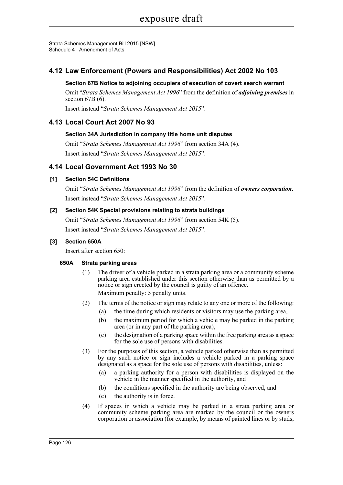Strata Schemes Management Bill 2015 [NSW] Schedule 4 Amendment of Acts

# **4.12 Law Enforcement (Powers and Responsibilities) Act 2002 No 103**

### **Section 67B Notice to adjoining occupiers of execution of covert search warrant**

Omit "*Strata Schemes Management Act 1996*" from the definition of *adjoining premises* in section 67B (6).

Insert instead "*Strata Schemes Management Act 2015*".

# **4.13 Local Court Act 2007 No 93**

### **Section 34A Jurisdiction in company title home unit disputes**

Omit "*Strata Schemes Management Act 1996*" from section 34A (4). Insert instead "*Strata Schemes Management Act 2015*".

# **4.14 Local Government Act 1993 No 30**

# **[1] Section 54C Definitions**

Omit "*Strata Schemes Management Act 1996*" from the definition of *owners corporation*. Insert instead "*Strata Schemes Management Act 2015*".

# **[2] Section 54K Special provisions relating to strata buildings**

Omit "*Strata Schemes Management Act 1996*" from section 54K (5). Insert instead "*Strata Schemes Management Act 2015*".

### **[3] Section 650A**

Insert after section 650:

### **650A Strata parking areas**

- (1) The driver of a vehicle parked in a strata parking area or a community scheme parking area established under this section otherwise than as permitted by a notice or sign erected by the council is guilty of an offence. Maximum penalty: 5 penalty units.
- (2) The terms of the notice or sign may relate to any one or more of the following:
	- (a) the time during which residents or visitors may use the parking area,
	- (b) the maximum period for which a vehicle may be parked in the parking area (or in any part of the parking area),
	- (c) the designation of a parking space within the free parking area as a space for the sole use of persons with disabilities.
- (3) For the purposes of this section, a vehicle parked otherwise than as permitted by any such notice or sign includes a vehicle parked in a parking space designated as a space for the sole use of persons with disabilities, unless:
	- (a) a parking authority for a person with disabilities is displayed on the vehicle in the manner specified in the authority, and
	- (b) the conditions specified in the authority are being observed, and
	- (c) the authority is in force.
- (4) If spaces in which a vehicle may be parked in a strata parking area or community scheme parking area are marked by the council or the owners corporation or association (for example, by means of painted lines or by studs,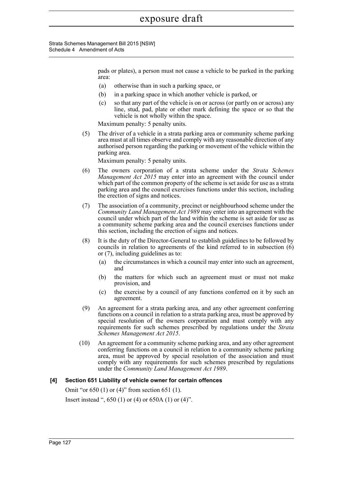Strata Schemes Management Bill 2015 [NSW] Schedule 4 Amendment of Acts

> pads or plates), a person must not cause a vehicle to be parked in the parking area:

- (a) otherwise than in such a parking space, or
- (b) in a parking space in which another vehicle is parked, or
- (c) so that any part of the vehicle is on or across (or partly on or across) any line, stud, pad, plate or other mark defining the space or so that the vehicle is not wholly within the space.

Maximum penalty: 5 penalty units.

(5) The driver of a vehicle in a strata parking area or community scheme parking area must at all times observe and comply with any reasonable direction of any authorised person regarding the parking or movement of the vehicle within the parking area.

Maximum penalty: 5 penalty units.

- (6) The owners corporation of a strata scheme under the *Strata Schemes Management Act 2015* may enter into an agreement with the council under which part of the common property of the scheme is set aside for use as a strata parking area and the council exercises functions under this section, including the erection of signs and notices.
- (7) The association of a community, precinct or neighbourhood scheme under the *Community Land Management Act 1989* may enter into an agreement with the council under which part of the land within the scheme is set aside for use as a community scheme parking area and the council exercises functions under this section, including the erection of signs and notices.
- (8) It is the duty of the Director-General to establish guidelines to be followed by councils in relation to agreements of the kind referred to in subsection (6) or (7), including guidelines as to:
	- (a) the circumstances in which a council may enter into such an agreement, and
	- (b) the matters for which such an agreement must or must not make provision, and
	- (c) the exercise by a council of any functions conferred on it by such an agreement.
- (9) An agreement for a strata parking area, and any other agreement conferring functions on a council in relation to a strata parking area, must be approved by special resolution of the owners corporation and must comply with any requirements for such schemes prescribed by regulations under the *Strata Schemes Management Act 2015*.
- (10) An agreement for a community scheme parking area, and any other agreement conferring functions on a council in relation to a community scheme parking area, must be approved by special resolution of the association and must comply with any requirements for such schemes prescribed by regulations under the *Community Land Management Act 1989*.

# **[4] Section 651 Liability of vehicle owner for certain offences**

Omit "or 650 (1) or (4)" from section 651 (1). Insert instead ", 650 (1) or (4) or 650A (1) or (4)".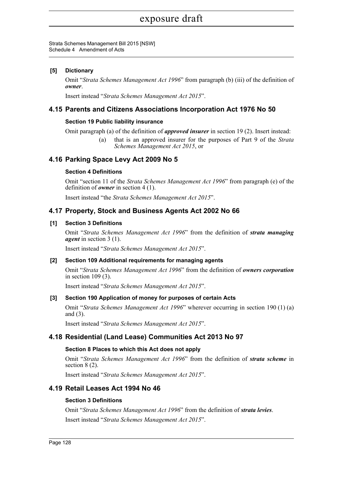## exposure draft

#### Strata Schemes Management Bill 2015 [NSW] Schedule 4 Amendment of Acts

#### **[5] Dictionary**

Omit "*Strata Schemes Management Act 1996*" from paragraph (b) (iii) of the definition of *owner*.

Insert instead "*Strata Schemes Management Act 2015*".

## **4.15 Parents and Citizens Associations Incorporation Act 1976 No 50**

#### **Section 19 Public liability insurance**

Omit paragraph (a) of the definition of *approved insurer* in section 19 (2). Insert instead:

(a) that is an approved insurer for the purposes of Part 9 of the *Strata Schemes Management Act 2015*, or

## **4.16 Parking Space Levy Act 2009 No 5**

#### **Section 4 Definitions**

Omit "section 11 of the *Strata Schemes Management Act 1996*" from paragraph (e) of the definition of *owner* in section 4 (1).

Insert instead "the *Strata Schemes Management Act 2015*".

## **4.17 Property, Stock and Business Agents Act 2002 No 66**

#### **[1] Section 3 Definitions**

Omit "*Strata Schemes Management Act 1996*" from the definition of *strata managing agent* in section 3 (1).

Insert instead "*Strata Schemes Management Act 2015*".

#### **[2] Section 109 Additional requirements for managing agents**

Omit "*Strata Schemes Management Act 1996*" from the definition of *owners corporation* in section 109 (3).

Insert instead "*Strata Schemes Management Act 2015*".

#### **[3] Section 190 Application of money for purposes of certain Acts**

Omit "*Strata Schemes Management Act 1996*" wherever occurring in section 190 (1) (a) and (3).

Insert instead "*Strata Schemes Management Act 2015*".

## **4.18 Residential (Land Lease) Communities Act 2013 No 97**

#### **Section 8 Places to which this Act does not apply**

Omit "*Strata Schemes Management Act 1996*" from the definition of *strata scheme* in section 8 (2).

Insert instead "*Strata Schemes Management Act 2015*".

## **4.19 Retail Leases Act 1994 No 46**

#### **Section 3 Definitions**

Omit "*Strata Schemes Management Act 1996*" from the definition of *strata levies*. Insert instead "*Strata Schemes Management Act 2015*".